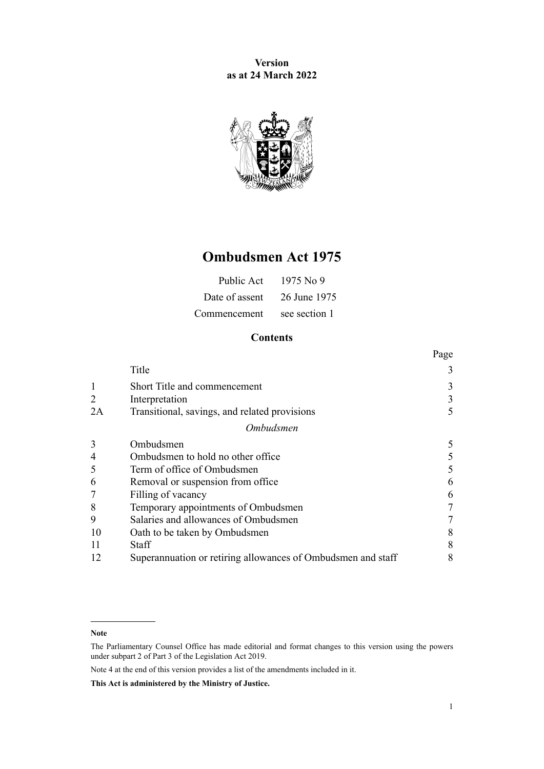**Version as at 24 March 2022**



# **Ombudsmen Act 1975**

| Public Act     | $1975$ No 9   |  |
|----------------|---------------|--|
| Date of assent | 26 June 1975  |  |
| Commencement   | see section 1 |  |

# **Contents**

|    |                                                              | Page |
|----|--------------------------------------------------------------|------|
|    | Title                                                        | 3    |
|    | Short Title and commencement                                 | 3    |
| 2  | Interpretation                                               | 3    |
| 2A | Transitional, savings, and related provisions                | 5    |
|    | Ombudsmen                                                    |      |
| 3  | Ombudsmen                                                    | 5    |
| 4  | Ombudsmen to hold no other office                            | 5    |
| 5  | Term of office of Ombudsmen                                  | 5    |
| 6  | Removal or suspension from office                            | 6    |
| 7  | Filling of vacancy                                           | 6    |
| 8  | Temporary appointments of Ombudsmen                          |      |
| 9  | Salaries and allowances of Ombudsmen                         |      |
| 10 | Oath to be taken by Ombudsmen                                | 8    |
| 11 | Staff                                                        | 8    |
| 12 | Superannuation or retiring allowances of Ombudsmen and staff | 8    |

**Note**

The Parliamentary Counsel Office has made editorial and format changes to this version using the powers under [subpart 2](http://legislation.govt.nz/pdflink.aspx?id=DLM7298371) of Part 3 of the Legislation Act 2019.

Note 4 at the end of this version provides a list of the amendments included in it.

**This Act is administered by the Ministry of Justice.**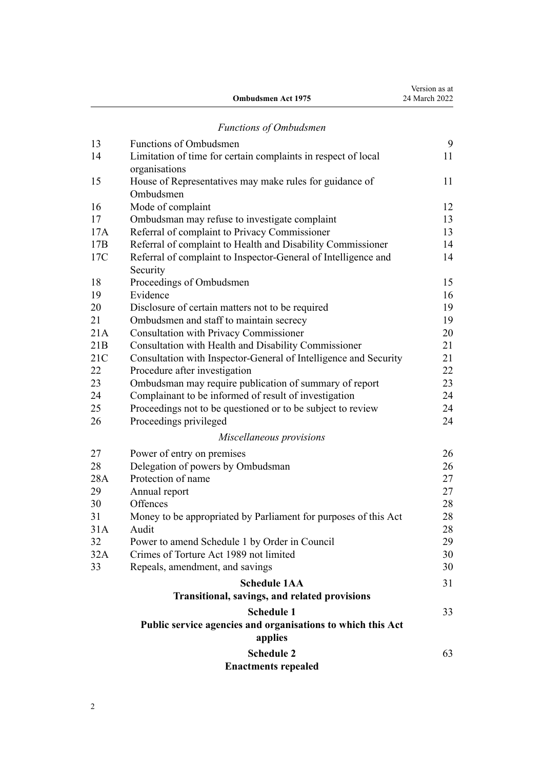|                           | Version as at |
|---------------------------|---------------|
| <b>Ombudsmen Act 1975</b> | 24 March 2022 |

| 13  | Functions of Ombudsmen                                                     | 9  |
|-----|----------------------------------------------------------------------------|----|
| 14  | Limitation of time for certain complaints in respect of local              | 11 |
|     | organisations                                                              |    |
| 15  | House of Representatives may make rules for guidance of                    | 11 |
|     | Ombudsmen                                                                  |    |
| 16  | Mode of complaint                                                          | 12 |
| 17  | Ombudsman may refuse to investigate complaint                              | 13 |
| 17A | Referral of complaint to Privacy Commissioner                              | 13 |
| 17B | Referral of complaint to Health and Disability Commissioner                | 14 |
| 17C | Referral of complaint to Inspector-General of Intelligence and<br>Security | 14 |
| 18  | Proceedings of Ombudsmen                                                   | 15 |
| 19  | Evidence                                                                   | 16 |
| 20  | Disclosure of certain matters not to be required                           | 19 |
| 21  | Ombudsmen and staff to maintain secrecy                                    | 19 |
| 21A | Consultation with Privacy Commissioner                                     | 20 |
| 21B | Consultation with Health and Disability Commissioner                       | 21 |
| 21C | Consultation with Inspector-General of Intelligence and Security           | 21 |
| 22  | Procedure after investigation                                              | 22 |
| 23  | Ombudsman may require publication of summary of report                     | 23 |
| 24  | Complainant to be informed of result of investigation                      | 24 |
| 25  | Proceedings not to be questioned or to be subject to review                |    |
| 26  | Proceedings privileged                                                     | 24 |
|     | Miscellaneous provisions                                                   |    |
| 27  | Power of entry on premises                                                 | 26 |
| 28  | Delegation of powers by Ombudsman                                          | 26 |
| 28A | Protection of name                                                         | 27 |
| 29  | Annual report                                                              | 27 |
| 30  | Offences                                                                   | 28 |
| 31  | Money to be appropriated by Parliament for purposes of this Act            | 28 |
| 31A | Audit                                                                      | 28 |
| 32  | Power to amend Schedule 1 by Order in Council                              | 29 |
| 32A | Crimes of Torture Act 1989 not limited                                     | 30 |
| 33  | Repeals, amendment, and savings                                            | 30 |
|     | <b>Schedule 1AA</b>                                                        | 31 |
|     | Transitional, savings, and related provisions                              |    |
|     | <b>Schedule 1</b>                                                          | 33 |
|     | Public service agencies and organisations to which this Act<br>applies     |    |
|     | <b>Schedule 2</b>                                                          | 63 |
|     |                                                                            |    |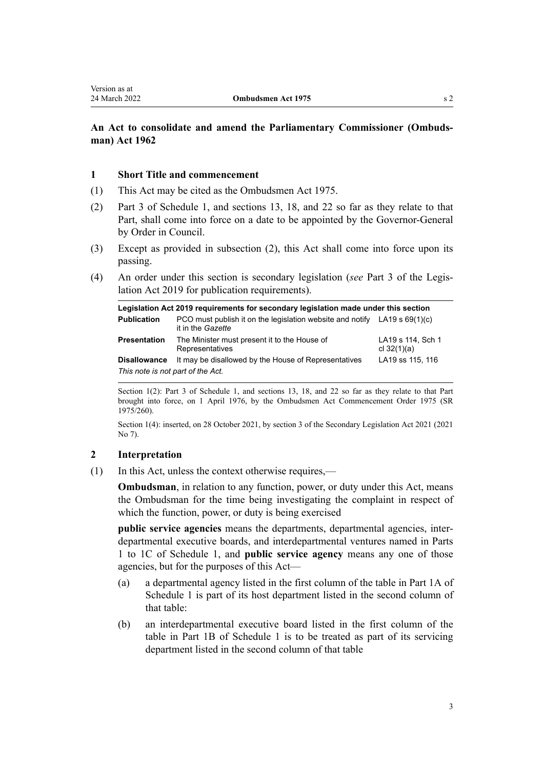# <span id="page-2-0"></span>**An Act to consolidate and amend the Parliamentary Commissioner (Ombuds‐ man) Act 1962**

### **1 Short Title and commencement**

- (1) This Act may be cited as the Ombudsmen Act 1975.
- (2) [Part 3](#page-57-0) of Schedule 1, and [sections 13,](#page-8-0) [18](#page-14-0), and [22](#page-21-0) so far as they relate to that Part, shall come into force on a date to be appointed by the Governor-General by Order in Council.
- (3) Except as provided in subsection (2), this Act shall come into force upon its passing.
- (4) An order under this section is secondary legislation (*see* [Part 3](http://legislation.govt.nz/pdflink.aspx?id=DLM7298343) of the Legis‐ lation Act 2019 for publication requirements).

| Legislation Act 2019 requirements for secondary legislation made under this section |                                                                                                  |                                    |  |
|-------------------------------------------------------------------------------------|--------------------------------------------------------------------------------------------------|------------------------------------|--|
| <b>Publication</b>                                                                  | PCO must publish it on the legislation website and notify LA19 s $69(1)(c)$<br>it in the Gazette |                                    |  |
| <b>Presentation</b>                                                                 | The Minister must present it to the House of<br>Representatives                                  | LA19 s 114, Sch 1<br>cl $32(1)(a)$ |  |
| <b>Disallowance</b>                                                                 | It may be disallowed by the House of Representatives                                             | LA19 ss 115, 116                   |  |
| This note is not part of the Act.                                                   |                                                                                                  |                                    |  |

Section 1(2): Part 3 of Schedule 1, and sections 13, 18, and 22 so far as they relate to that Part brought into force, on 1 April 1976, by the [Ombudsmen Act Commencement Order 1975](http://legislation.govt.nz/pdflink.aspx?id=DLM48245) (SR 1975/260).

Section 1(4): inserted, on 28 October 2021, by [section 3](http://legislation.govt.nz/pdflink.aspx?id=LMS268932) of the Secondary Legislation Act 2021 (2021 No 7).

## **2 Interpretation**

(1) In this Act, unless the context otherwise requires,—

**Ombudsman**, in relation to any function, power, or duty under this Act, means the Ombudsman for the time being investigating the complaint in respect of which the function, power, or duty is being exercised

**public service agencies** means the departments, departmental agencies, inter‐ departmental executive boards, and interdepartmental ventures named in [Parts](#page-30-0) [1 to 1C](#page-30-0) of Schedule 1, and **public service agency** means any one of those agencies, but for the purposes of this Act—

- (a) a departmental agency listed in the first column of the table in [Part 1A](#page-37-0) of Schedule 1 is part of its host department listed in the second column of that table:
- (b) an interdepartmental executive board listed in the first column of the table in [Part 1B](#page-38-0) of Schedule 1 is to be treated as part of its servicing department listed in the second column of that table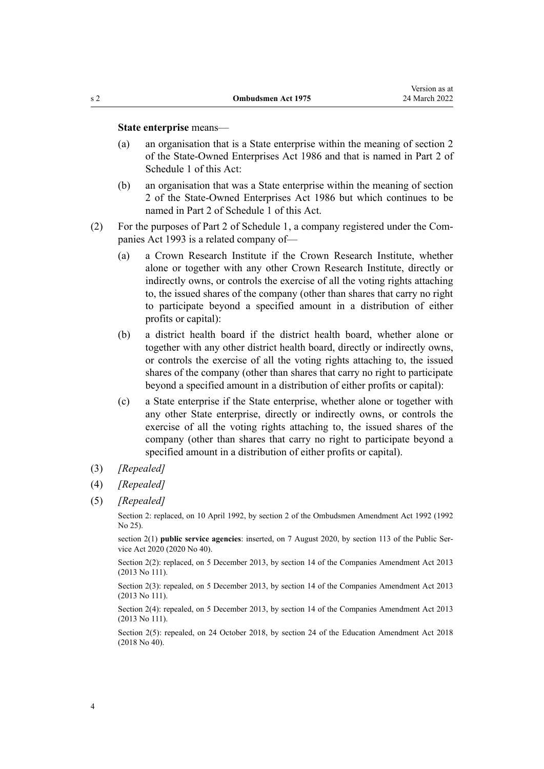#### **State enterprise** means—

- (a) an organisation that is a State enterprise within the meaning of [section 2](http://legislation.govt.nz/pdflink.aspx?id=DLM97382) of the State-Owned Enterprises Act 1986 and that is named in [Part 2](#page-38-0) of Schedule 1 of this Act:
- (b) an organisation that was a State enterprise within the meaning of [section](http://legislation.govt.nz/pdflink.aspx?id=DLM97382) [2](http://legislation.govt.nz/pdflink.aspx?id=DLM97382) of the State-Owned Enterprises Act 1986 but which continues to be named in [Part 2](#page-38-0) of Schedule 1 of this Act.
- (2) For the purposes of [Part 2](#page-38-0) of Schedule 1, a company registered under the [Com‐](http://legislation.govt.nz/pdflink.aspx?id=DLM319569) [panies Act 1993](http://legislation.govt.nz/pdflink.aspx?id=DLM319569) is a related company of—
	- (a) a Crown Research Institute if the Crown Research Institute, whether alone or together with any other Crown Research Institute, directly or indirectly owns, or controls the exercise of all the voting rights attaching to, the issued shares of the company (other than shares that carry no right to participate beyond a specified amount in a distribution of either profits or capital):
	- (b) a district health board if the district health board, whether alone or together with any other district health board, directly or indirectly owns, or controls the exercise of all the voting rights attaching to, the issued shares of the company (other than shares that carry no right to participate beyond a specified amount in a distribution of either profits or capital):
	- (c) a State enterprise if the State enterprise, whether alone or together with any other State enterprise, directly or indirectly owns, or controls the exercise of all the voting rights attaching to, the issued shares of the company (other than shares that carry no right to participate beyond a specified amount in a distribution of either profits or capital).
- (3) *[Repealed]*
- (4) *[Repealed]*
- (5) *[Repealed]*

Section 2: replaced, on 10 April 1992, by section 2 of the Ombudsmen Amendment Act 1992 (1992 No 25).

section 2(1) **public service agencies**: inserted, on 7 August 2020, by [section 113](http://legislation.govt.nz/pdflink.aspx?id=LMS359111) of the Public Service Act 2020 (2020 No 40).

Section 2(2): replaced, on 5 December 2013, by [section 14](http://legislation.govt.nz/pdflink.aspx?id=DLM5620822) of the Companies Amendment Act 2013 (2013 No 111).

Section 2(3): repealed, on 5 December 2013, by [section 14](http://legislation.govt.nz/pdflink.aspx?id=DLM5620822) of the Companies Amendment Act 2013 (2013 No 111).

Section 2(4): repealed, on 5 December 2013, by [section 14](http://legislation.govt.nz/pdflink.aspx?id=DLM5620822) of the Companies Amendment Act 2013 (2013 No 111).

Section 2(5): repealed, on 24 October 2018, by [section 24](http://legislation.govt.nz/pdflink.aspx?id=LMS8587) of the Education Amendment Act 2018 (2018 No 40).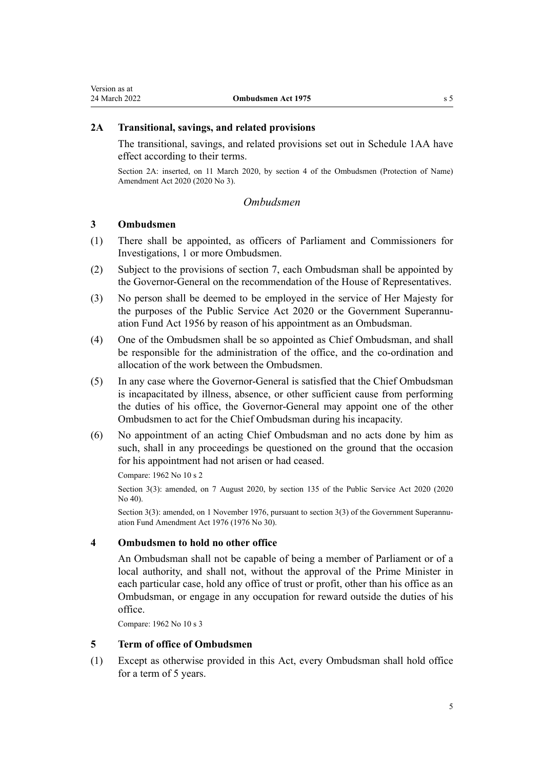# <span id="page-4-0"></span>**2A Transitional, savings, and related provisions**

The transitional, savings, and related provisions set out in [Schedule 1AA](#page-30-0) have effect according to their terms.

Section 2A: inserted, on 11 March 2020, by [section 4](http://legislation.govt.nz/pdflink.aspx?id=LMS190595) of the Ombudsmen (Protection of Name) Amendment Act 2020 (2020 No 3).

### *Ombudsmen*

# **3 Ombudsmen**

- (1) There shall be appointed, as officers of Parliament and Commissioners for Investigations, 1 or more Ombudsmen.
- (2) Subject to the provisions of [section 7](#page-5-0), each Ombudsman shall be appointed by the Governor-General on the recommendation of the House of Representatives.
- (3) No person shall be deemed to be employed in the service of Her Majesty for the purposes of the [Public Service Act 2020](http://legislation.govt.nz/pdflink.aspx?id=LMS106157) or the Government Superannu[ation Fund Act 1956](http://legislation.govt.nz/pdflink.aspx?id=DLM446000) by reason of his appointment as an Ombudsman.
- (4) One of the Ombudsmen shall be so appointed as Chief Ombudsman, and shall be responsible for the administration of the office, and the co-ordination and allocation of the work between the Ombudsmen.
- (5) In any case where the Governor-General is satisfied that the Chief Ombudsman is incapacitated by illness, absence, or other sufficient cause from performing the duties of his office, the Governor-General may appoint one of the other Ombudsmen to act for the Chief Ombudsman during his incapacity.
- (6) No appointment of an acting Chief Ombudsman and no acts done by him as such, shall in any proceedings be questioned on the ground that the occasion for his appointment had not arisen or had ceased.

Compare: 1962 No 10 s 2

Section 3(3): amended, on 7 August 2020, by [section 135](http://legislation.govt.nz/pdflink.aspx?id=LMS176959) of the Public Service Act 2020 (2020 No 40).

Section  $3(3)$ : amended, on 1 November 1976, pursuant to section  $3(3)$  of the Government Superannuation Fund Amendment Act 1976 (1976 No 30).

### **4 Ombudsmen to hold no other office**

An Ombudsman shall not be capable of being a member of Parliament or of a local authority, and shall not, without the approval of the Prime Minister in each particular case, hold any office of trust or profit, other than his office as an Ombudsman, or engage in any occupation for reward outside the duties of his office.

Compare: 1962 No 10 s 3

#### **5 Term of office of Ombudsmen**

(1) Except as otherwise provided in this Act, every Ombudsman shall hold office for a term of 5 years.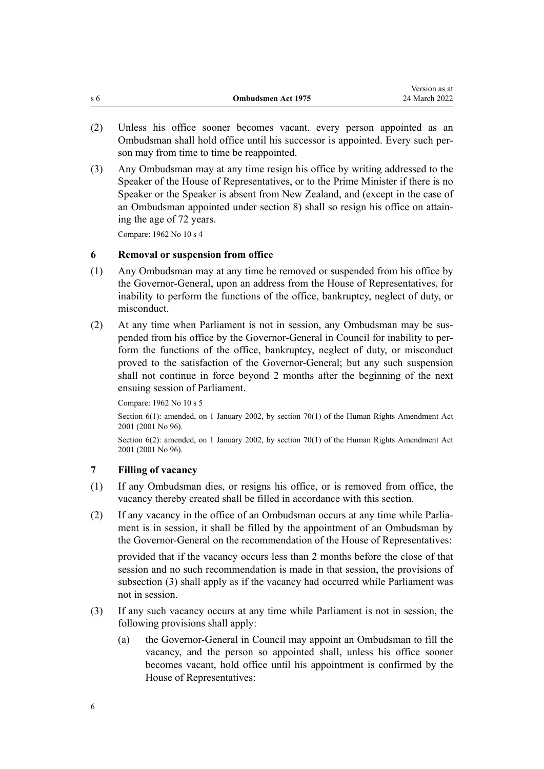Version as at

- <span id="page-5-0"></span>(2) Unless his office sooner becomes vacant, every person appointed as an Ombudsman shall hold office until his successor is appointed. Every such per‐ son may from time to time be reappointed.
- (3) Any Ombudsman may at any time resign his office by writing addressed to the Speaker of the House of Representatives, or to the Prime Minister if there is no Speaker or the Speaker is absent from New Zealand, and (except in the case of an Ombudsman appointed under [section 8](#page-6-0)) shall so resign his office on attain‐ ing the age of 72 years.

Compare: 1962 No 10 s 4

## **6 Removal or suspension from office**

- (1) Any Ombudsman may at any time be removed or suspended from his office by the Governor-General, upon an address from the House of Representatives, for inability to perform the functions of the office, bankruptcy, neglect of duty, or misconduct.
- (2) At any time when Parliament is not in session, any Ombudsman may be sus‐ pended from his office by the Governor-General in Council for inability to per‐ form the functions of the office, bankruptcy, neglect of duty, or misconduct proved to the satisfaction of the Governor-General; but any such suspension shall not continue in force beyond 2 months after the beginning of the next ensuing session of Parliament.

Compare: 1962 No 10 s 5

Section 6(1): amended, on 1 January 2002, by [section 70\(1\)](http://legislation.govt.nz/pdflink.aspx?id=DLM122579) of the Human Rights Amendment Act 2001 (2001 No 96).

Section 6(2): amended, on 1 January 2002, by [section 70\(1\)](http://legislation.govt.nz/pdflink.aspx?id=DLM122579) of the Human Rights Amendment Act 2001 (2001 No 96).

# **7 Filling of vacancy**

- (1) If any Ombudsman dies, or resigns his office, or is removed from office, the vacancy thereby created shall be filled in accordance with this section.
- (2) If any vacancy in the office of an Ombudsman occurs at any time while Parlia‐ ment is in session, it shall be filled by the appointment of an Ombudsman by the Governor-General on the recommendation of the House of Representatives:

provided that if the vacancy occurs less than 2 months before the close of that session and no such recommendation is made in that session, the provisions of subsection (3) shall apply as if the vacancy had occurred while Parliament was not in session.

- (3) If any such vacancy occurs at any time while Parliament is not in session, the following provisions shall apply:
	- (a) the Governor-General in Council may appoint an Ombudsman to fill the vacancy, and the person so appointed shall, unless his office sooner becomes vacant, hold office until his appointment is confirmed by the House of Representatives: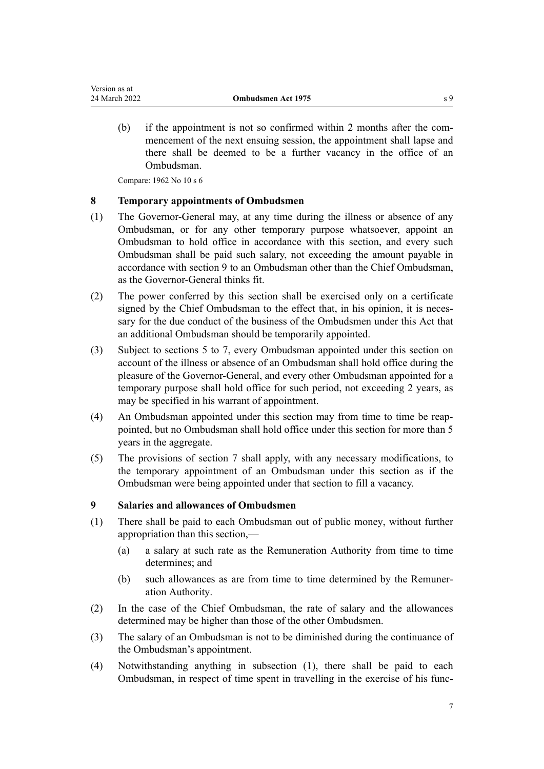(b) if the appointment is not so confirmed within 2 months after the commencement of the next ensuing session, the appointment shall lapse and there shall be deemed to be a further vacancy in the office of an Ombudsman.

Compare: 1962 No 10 s 6

<span id="page-6-0"></span>Version as at

### **8 Temporary appointments of Ombudsmen**

- (1) The Governor-General may, at any time during the illness or absence of any Ombudsman, or for any other temporary purpose whatsoever, appoint an Ombudsman to hold office in accordance with this section, and every such Ombudsman shall be paid such salary, not exceeding the amount payable in accordance with section 9 to an Ombudsman other than the Chief Ombudsman, as the Governor-General thinks fit.
- (2) The power conferred by this section shall be exercised only on a certificate signed by the Chief Ombudsman to the effect that, in his opinion, it is necessary for the due conduct of the business of the Ombudsmen under this Act that an additional Ombudsman should be temporarily appointed.
- (3) Subject to [sections 5 to 7,](#page-4-0) every Ombudsman appointed under this section on account of the illness or absence of an Ombudsman shall hold office during the pleasure of the Governor-General, and every other Ombudsman appointed for a temporary purpose shall hold office for such period, not exceeding 2 years, as may be specified in his warrant of appointment.
- (4) An Ombudsman appointed under this section may from time to time be reap‐ pointed, but no Ombudsman shall hold office under this section for more than 5 years in the aggregate.
- (5) The provisions of [section 7](#page-5-0) shall apply, with any necessary modifications, to the temporary appointment of an Ombudsman under this section as if the Ombudsman were being appointed under that section to fill a vacancy.

## **9 Salaries and allowances of Ombudsmen**

- (1) There shall be paid to each Ombudsman out of public money, without further appropriation than this section,—
	- (a) a salary at such rate as the Remuneration Authority from time to time determines; and
	- (b) such allowances as are from time to time determined by the Remuner‐ ation Authority.
- (2) In the case of the Chief Ombudsman, the rate of salary and the allowances determined may be higher than those of the other Ombudsmen.
- (3) The salary of an Ombudsman is not to be diminished during the continuance of the Ombudsman's appointment.
- (4) Notwithstanding anything in subsection (1), there shall be paid to each Ombudsman, in respect of time spent in travelling in the exercise of his func‐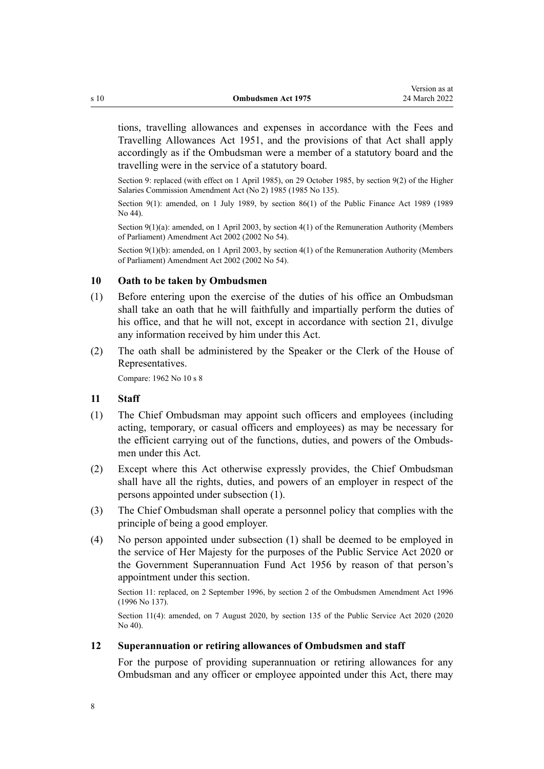<span id="page-7-0"></span>tions, travelling allowances and expenses in accordance with the [Fees and](http://legislation.govt.nz/pdflink.aspx?id=DLM264952) [Travelling Allowances Act 1951](http://legislation.govt.nz/pdflink.aspx?id=DLM264952), and the provisions of that Act shall apply accordingly as if the Ombudsman were a member of a statutory board and the travelling were in the service of a statutory board.

Section 9: replaced (with effect on 1 April 1985), on 29 October 1985, by [section 9\(2\)](http://legislation.govt.nz/pdflink.aspx?id=DLM81011) of the Higher Salaries Commission Amendment Act (No 2) 1985 (1985 No 135).

Section 9(1): amended, on 1 July 1989, by [section 86\(1\)](http://legislation.govt.nz/pdflink.aspx?id=DLM163175) of the Public Finance Act 1989 (1989 No 44).

Section 9(1)(a): amended, on 1 April 2003, by [section 4\(1\)](http://legislation.govt.nz/pdflink.aspx?id=DLM167443) of the Remuneration Authority (Members of Parliament) Amendment Act 2002 (2002 No 54).

Section 9(1)(b): amended, on 1 April 2003, by [section 4\(1\)](http://legislation.govt.nz/pdflink.aspx?id=DLM167443) of the Remuneration Authority (Members of Parliament) Amendment Act 2002 (2002 No 54).

### **10 Oath to be taken by Ombudsmen**

- (1) Before entering upon the exercise of the duties of his office an Ombudsman shall take an oath that he will faithfully and impartially perform the duties of his office, and that he will not, except in accordance with [section 21,](#page-18-0) divulge any information received by him under this Act.
- (2) The oath shall be administered by the Speaker or the Clerk of the House of Representatives.

Compare: 1962 No 10 s 8

### **11 Staff**

- (1) The Chief Ombudsman may appoint such officers and employees (including acting, temporary, or casual officers and employees) as may be necessary for the efficient carrying out of the functions, duties, and powers of the Ombuds‐ men under this Act.
- (2) Except where this Act otherwise expressly provides, the Chief Ombudsman shall have all the rights, duties, and powers of an employer in respect of the persons appointed under subsection (1).
- (3) The Chief Ombudsman shall operate a personnel policy that complies with the principle of being a good employer.
- (4) No person appointed under subsection (1) shall be deemed to be employed in the service of Her Majesty for the purposes of the [Public Service Act 2020](http://legislation.govt.nz/pdflink.aspx?id=LMS106157) or the [Government Superannuation Fund Act 1956](http://legislation.govt.nz/pdflink.aspx?id=DLM446000) by reason of that person's appointment under this section.

Section 11: replaced, on 2 September 1996, by section 2 of the Ombudsmen Amendment Act 1996 (1996 No 137).

Section 11(4): amended, on 7 August 2020, by [section 135](http://legislation.govt.nz/pdflink.aspx?id=LMS176959) of the Public Service Act 2020 (2020 No 40).

#### **12 Superannuation or retiring allowances of Ombudsmen and staff**

For the purpose of providing superannuation or retiring allowances for any Ombudsman and any officer or employee appointed under this Act, there may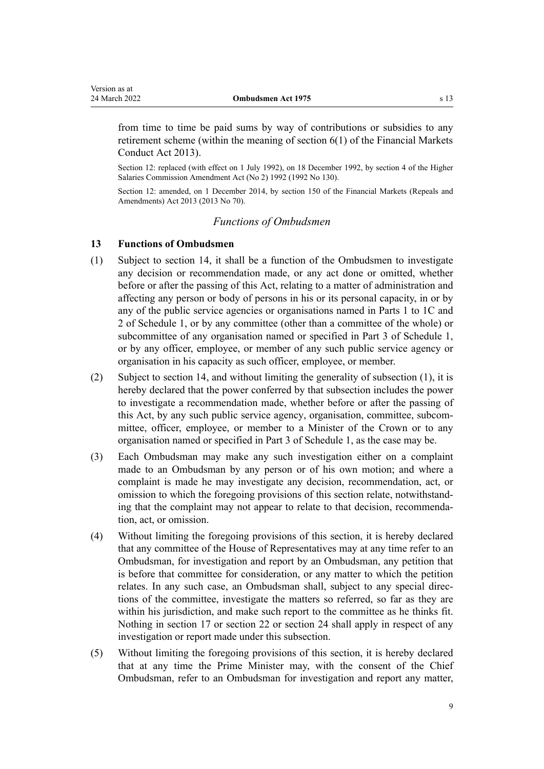<span id="page-8-0"></span>from time to time be paid sums by way of contributions or subsidies to any retirement scheme (within the meaning of [section 6\(1\)](http://legislation.govt.nz/pdflink.aspx?id=DLM4090590) of the Financial Markets Conduct Act 2013).

Section 12: replaced (with effect on 1 July 1992), on 18 December 1992, by section 4 of the Higher Salaries Commission Amendment Act (No 2) 1992 (1992 No 130).

Section 12: amended, on 1 December 2014, by [section 150](http://legislation.govt.nz/pdflink.aspx?id=DLM5561603) of the Financial Markets (Repeals and Amendments) Act 2013 (2013 No 70).

#### *Functions of Ombudsmen*

#### **13 Functions of Ombudsmen**

- (1) Subject to [section 14,](#page-10-0) it shall be a function of the Ombudsmen to investigate any decision or recommendation made, or any act done or omitted, whether before or after the passing of this Act, relating to a matter of administration and affecting any person or body of persons in his or its personal capacity, in or by any of the public service agencies or organisations named in [Parts 1 to 1C](#page-32-0) and [2](#page-38-0) of Schedule 1, or by any committee (other than a committee of the whole) or subcommittee of any organisation named or specified in [Part 3](#page-57-0) of Schedule 1, or by any officer, employee, or member of any such public service agency or organisation in his capacity as such officer, employee, or member.
- (2) Subject to [section 14,](#page-10-0) and without limiting the generality of subsection (1), it is hereby declared that the power conferred by that subsection includes the power to investigate a recommendation made, whether before or after the passing of this Act, by any such public service agency, organisation, committee, subcom‐ mittee, officer, employee, or member to a Minister of the Crown or to any organisation named or specified in [Part 3](#page-57-0) of Schedule 1, as the case may be.
- (3) Each Ombudsman may make any such investigation either on a complaint made to an Ombudsman by any person or of his own motion; and where a complaint is made he may investigate any decision, recommendation, act, or omission to which the foregoing provisions of this section relate, notwithstand‐ ing that the complaint may not appear to relate to that decision, recommenda‐ tion, act, or omission.
- (4) Without limiting the foregoing provisions of this section, it is hereby declared that any committee of the House of Representatives may at any time refer to an Ombudsman, for investigation and report by an Ombudsman, any petition that is before that committee for consideration, or any matter to which the petition relates. In any such case, an Ombudsman shall, subject to any special directions of the committee, investigate the matters so referred, so far as they are within his jurisdiction, and make such report to the committee as he thinks fit. Nothing in [section 17](#page-12-0) or [section 22](#page-21-0) or [section 24](#page-23-0) shall apply in respect of any investigation or report made under this subsection.
- (5) Without limiting the foregoing provisions of this section, it is hereby declared that at any time the Prime Minister may, with the consent of the Chief Ombudsman, refer to an Ombudsman for investigation and report any matter,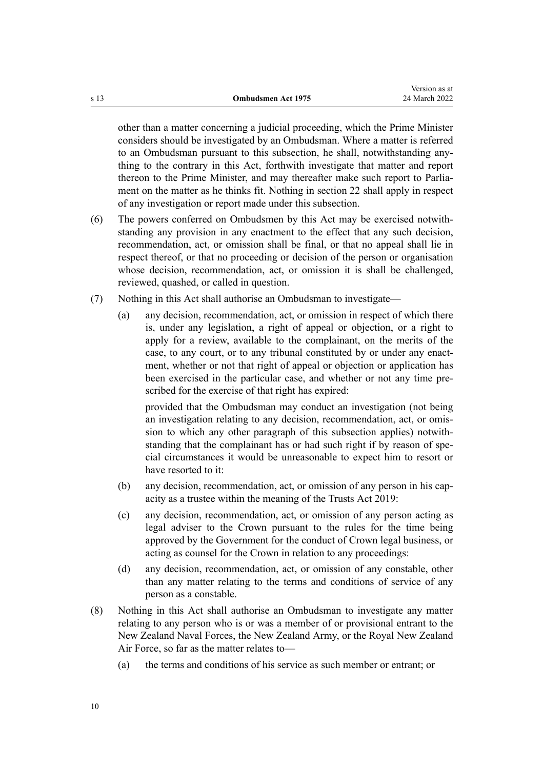other than a matter concerning a judicial proceeding, which the Prime Minister considers should be investigated by an Ombudsman. Where a matter is referred to an Ombudsman pursuant to this subsection, he shall, notwithstanding any‐ thing to the contrary in this Act, forthwith investigate that matter and report thereon to the Prime Minister, and may thereafter make such report to Parliament on the matter as he thinks fit. Nothing in [section 22](#page-21-0) shall apply in respect of any investigation or report made under this subsection.

- (6) The powers conferred on Ombudsmen by this Act may be exercised notwith‐ standing any provision in any enactment to the effect that any such decision, recommendation, act, or omission shall be final, or that no appeal shall lie in respect thereof, or that no proceeding or decision of the person or organisation whose decision, recommendation, act, or omission it is shall be challenged, reviewed, quashed, or called in question.
- (7) Nothing in this Act shall authorise an Ombudsman to investigate—
	- (a) any decision, recommendation, act, or omission in respect of which there is, under any legislation, a right of appeal or objection, or a right to apply for a review, available to the complainant, on the merits of the case, to any court, or to any tribunal constituted by or under any enactment, whether or not that right of appeal or objection or application has been exercised in the particular case, and whether or not any time prescribed for the exercise of that right has expired:

provided that the Ombudsman may conduct an investigation (not being an investigation relating to any decision, recommendation, act, or omis‐ sion to which any other paragraph of this subsection applies) notwith‐ standing that the complainant has or had such right if by reason of special circumstances it would be unreasonable to expect him to resort or have resorted to it:

- (b) any decision, recommendation, act, or omission of any person in his capacity as a trustee within the meaning of the [Trusts Act 2019](http://legislation.govt.nz/pdflink.aspx?id=DLM7382802):
- (c) any decision, recommendation, act, or omission of any person acting as legal adviser to the Crown pursuant to the rules for the time being approved by the Government for the conduct of Crown legal business, or acting as counsel for the Crown in relation to any proceedings:
- (d) any decision, recommendation, act, or omission of any constable, other than any matter relating to the terms and conditions of service of any person as a constable.
- (8) Nothing in this Act shall authorise an Ombudsman to investigate any matter relating to any person who is or was a member of or provisional entrant to the New Zealand Naval Forces, the New Zealand Army, or the Royal New Zealand Air Force, so far as the matter relates to—
	- (a) the terms and conditions of his service as such member or entrant; or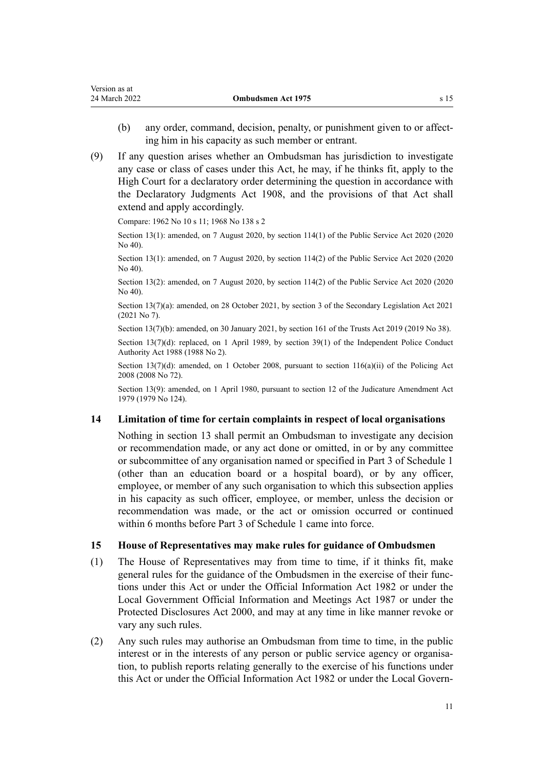- <span id="page-10-0"></span>(b) any order, command, decision, penalty, or punishment given to or affect‐ ing him in his capacity as such member or entrant.
- (9) If any question arises whether an Ombudsman has jurisdiction to investigate any case or class of cases under this Act, he may, if he thinks fit, apply to the High Court for a declaratory order determining the question in accordance with the [Declaratory Judgments Act 1908](http://legislation.govt.nz/pdflink.aspx?id=DLM176192), and the provisions of that Act shall extend and apply accordingly.

Compare: 1962 No 10 s 11; 1968 No 138 s 2

Section 13(1): amended, on 7 August 2020, by [section 114\(1\)](http://legislation.govt.nz/pdflink.aspx?id=LMS359112) of the Public Service Act 2020 (2020 No 40).

Section 13(1): amended, on 7 August 2020, by [section 114\(2\)](http://legislation.govt.nz/pdflink.aspx?id=LMS359112) of the Public Service Act 2020 (2020 No 40).

Section 13(2): amended, on 7 August 2020, by [section 114\(2\)](http://legislation.govt.nz/pdflink.aspx?id=LMS359112) of the Public Service Act 2020 (2020) No 40).

Section 13(7)(a): amended, on 28 October 2021, by [section 3](http://legislation.govt.nz/pdflink.aspx?id=LMS268932) of the Secondary Legislation Act 2021 (2021 No 7).

Section 13(7)(b): amended, on 30 January 2021, by [section 161](http://legislation.govt.nz/pdflink.aspx?id=DLM7383110) of the Trusts Act 2019 (2019 No 38).

Section 13(7)(d): replaced, on 1 April 1989, by [section 39\(1\)](http://legislation.govt.nz/pdflink.aspx?id=DLM126524) of the Independent Police Conduct Authority Act 1988 (1988 No 2).

Section 13(7)(d): amended, on 1 October 2008, pursuant to [section 116\(a\)\(ii\)](http://legislation.govt.nz/pdflink.aspx?id=DLM1102349) of the Policing Act 2008 (2008 No 72).

Section 13(9): amended, on 1 April 1980, pursuant to [section 12](http://legislation.govt.nz/pdflink.aspx?id=DLM35049) of the Judicature Amendment Act 1979 (1979 No 124).

### **14 Limitation of time for certain complaints in respect of local organisations**

Nothing in [section 13](#page-8-0) shall permit an Ombudsman to investigate any decision or recommendation made, or any act done or omitted, in or by any committee or subcommittee of any organisation named or specified in [Part 3](#page-57-0) of Schedule 1 (other than an education board or a hospital board), or by any officer, employee, or member of any such organisation to which this subsection applies in his capacity as such officer, employee, or member, unless the decision or recommendation was made, or the act or omission occurred or continued within 6 months before [Part 3](#page-57-0) of Schedule 1 came into force.

### **15 House of Representatives may make rules for guidance of Ombudsmen**

- (1) The House of Representatives may from time to time, if it thinks fit, make general rules for the guidance of the Ombudsmen in the exercise of their functions under this Act or under the [Official Information Act 1982](http://legislation.govt.nz/pdflink.aspx?id=DLM64784) or under the [Local Government Official Information and Meetings Act 1987](http://legislation.govt.nz/pdflink.aspx?id=DLM122241) or under the [Protected Disclosures Act 2000](http://legislation.govt.nz/pdflink.aspx?id=DLM53465), and may at any time in like manner revoke or vary any such rules.
- (2) Any such rules may authorise an Ombudsman from time to time, in the public interest or in the interests of any person or public service agency or organisation, to publish reports relating generally to the exercise of his functions under this Act or under the [Official Information Act 1982](http://legislation.govt.nz/pdflink.aspx?id=DLM64784) or under the Local Govern-

11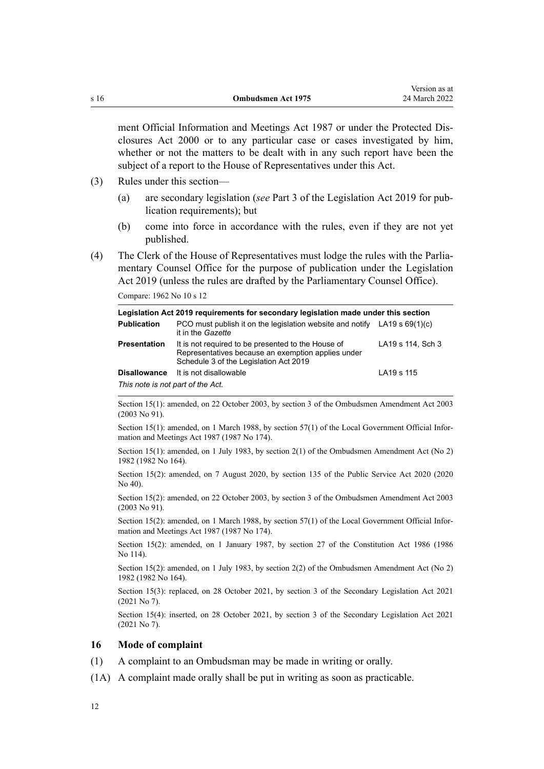<span id="page-11-0"></span>[ment Official Information and Meetings Act 1987](http://legislation.govt.nz/pdflink.aspx?id=DLM122241) or under the [Protected Dis‐](http://legislation.govt.nz/pdflink.aspx?id=DLM53465) [closures Act 2000](http://legislation.govt.nz/pdflink.aspx?id=DLM53465) or to any particular case or cases investigated by him, whether or not the matters to be dealt with in any such report have been the subject of a report to the House of Representatives under this Act.

- (3) Rules under this section—
	- (a) are secondary legislation (*see* [Part 3](http://legislation.govt.nz/pdflink.aspx?id=DLM7298343) of the Legislation Act 2019 for pub‐ lication requirements); but
	- (b) come into force in accordance with the rules, even if they are not yet published.
- (4) The Clerk of the House of Representatives must lodge the rules with the Parlia‐ mentary Counsel Office for the purpose of publication under the [Legislation](http://legislation.govt.nz/pdflink.aspx?id=DLM7298104) [Act 2019](http://legislation.govt.nz/pdflink.aspx?id=DLM7298104) (unless the rules are drafted by the Parliamentary Counsel Office).

Compare: 1962 No 10 s 12

| Legislation Act 2019 requirements for secondary legislation made under this section |                                                                                                                                                    |                   |  |
|-------------------------------------------------------------------------------------|----------------------------------------------------------------------------------------------------------------------------------------------------|-------------------|--|
| <b>Publication</b>                                                                  | PCO must publish it on the legislation website and notify LA19 s $69(1)(c)$<br>it in the Gazette                                                   |                   |  |
| <b>Presentation</b>                                                                 | It is not required to be presented to the House of<br>Representatives because an exemption applies under<br>Schedule 3 of the Legislation Act 2019 | LA19 s 114, Sch 3 |  |
| <b>Disallowance</b>                                                                 | It is not disallowable                                                                                                                             | LA19 s 115        |  |
| This note is not part of the Act.                                                   |                                                                                                                                                    |                   |  |

Section 15(1): amended, on 22 October 2003, by [section 3](http://legislation.govt.nz/pdflink.aspx?id=DLM218158) of the Ombudsmen Amendment Act 2003 (2003 No 91).

Section 15(1): amended, on 1 March 1988, by [section 57\(1\)](http://legislation.govt.nz/pdflink.aspx?id=DLM123614) of the Local Government Official Information and Meetings Act 1987 (1987 No 174).

Section 15(1): amended, on 1 July 1983, by section 2(1) of the Ombudsmen Amendment Act (No 2) 1982 (1982 No 164).

Section 15(2): amended, on 7 August 2020, by [section 135](http://legislation.govt.nz/pdflink.aspx?id=LMS176959) of the Public Service Act 2020 (2020 No 40).

Section 15(2): amended, on 22 October 2003, by [section 3](http://legislation.govt.nz/pdflink.aspx?id=DLM218158) of the Ombudsmen Amendment Act 2003 (2003 No 91).

Section 15(2): amended, on 1 March 1988, by [section 57\(1\)](http://legislation.govt.nz/pdflink.aspx?id=DLM123614) of the Local Government Official Information and Meetings Act 1987 (1987 No 174).

Section 15(2): amended, on 1 January 1987, by [section 27](http://legislation.govt.nz/pdflink.aspx?id=DLM94261) of the Constitution Act 1986 (1986 No 114).

Section 15(2): amended, on 1 July 1983, by section 2(2) of the Ombudsmen Amendment Act (No 2) 1982 (1982 No 164).

Section 15(3): replaced, on 28 October 2021, by [section 3](http://legislation.govt.nz/pdflink.aspx?id=LMS268932) of the Secondary Legislation Act 2021 (2021 No 7).

Section 15(4): inserted, on 28 October 2021, by [section 3](http://legislation.govt.nz/pdflink.aspx?id=LMS268932) of the Secondary Legislation Act 2021 (2021 No 7).

#### **16 Mode of complaint**

(1) A complaint to an Ombudsman may be made in writing or orally.

(1A) A complaint made orally shall be put in writing as soon as practicable.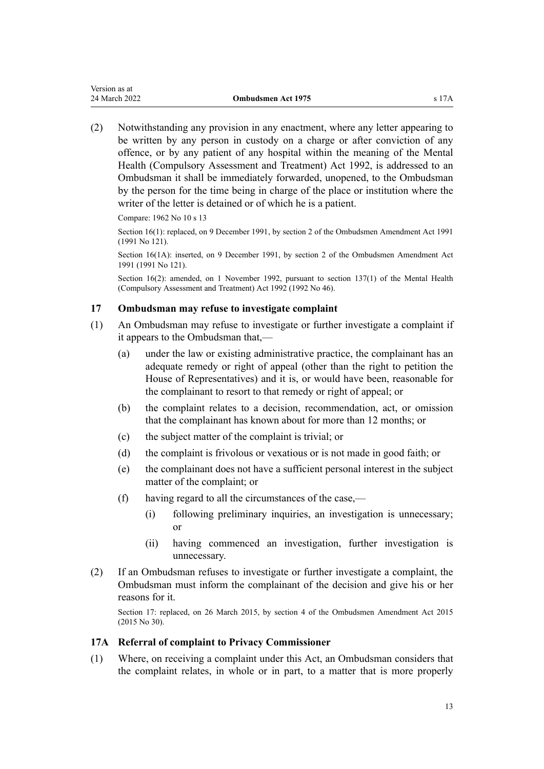<span id="page-12-0"></span>(2) Notwithstanding any provision in any enactment, where any letter appearing to be written by any person in custody on a charge or after conviction of any offence, or by any patient of any hospital within the meaning of the [Mental](http://legislation.govt.nz/pdflink.aspx?id=DLM262175) [Health \(Compulsory Assessment and Treatment\) Act 1992,](http://legislation.govt.nz/pdflink.aspx?id=DLM262175) is addressed to an Ombudsman it shall be immediately forwarded, unopened, to the Ombudsman by the person for the time being in charge of the place or institution where the writer of the letter is detained or of which he is a patient.

Compare: 1962 No 10 s 13

Section 16(1): replaced, on 9 December 1991, by section 2 of the Ombudsmen Amendment Act 1991 (1991 No 121).

Section 16(1A): inserted, on 9 December 1991, by section 2 of the Ombudsmen Amendment Act 1991 (1991 No 121).

Section 16(2): amended, on 1 November 1992, pursuant to [section 137\(1\)](http://legislation.govt.nz/pdflink.aspx?id=DLM264250) of the Mental Health (Compulsory Assessment and Treatment) Act 1992 (1992 No 46).

### **17 Ombudsman may refuse to investigate complaint**

- (1) An Ombudsman may refuse to investigate or further investigate a complaint if it appears to the Ombudsman that,—
	- (a) under the law or existing administrative practice, the complainant has an adequate remedy or right of appeal (other than the right to petition the House of Representatives) and it is, or would have been, reasonable for the complainant to resort to that remedy or right of appeal; or
	- (b) the complaint relates to a decision, recommendation, act, or omission that the complainant has known about for more than 12 months; or
	- (c) the subject matter of the complaint is trivial; or
	- (d) the complaint is frivolous or vexatious or is not made in good faith; or
	- (e) the complainant does not have a sufficient personal interest in the subject matter of the complaint; or
	- (f) having regard to all the circumstances of the case,—
		- (i) following preliminary inquiries, an investigation is unnecessary; or
		- (ii) having commenced an investigation, further investigation is unnecessary.
- (2) If an Ombudsman refuses to investigate or further investigate a complaint, the Ombudsman must inform the complainant of the decision and give his or her reasons for it.

Section 17: replaced, on 26 March 2015, by [section 4](http://legislation.govt.nz/pdflink.aspx?id=DLM6404408) of the Ombudsmen Amendment Act 2015 (2015 No 30).

### **17A Referral of complaint to Privacy Commissioner**

(1) Where, on receiving a complaint under this Act, an Ombudsman considers that the complaint relates, in whole or in part, to a matter that is more properly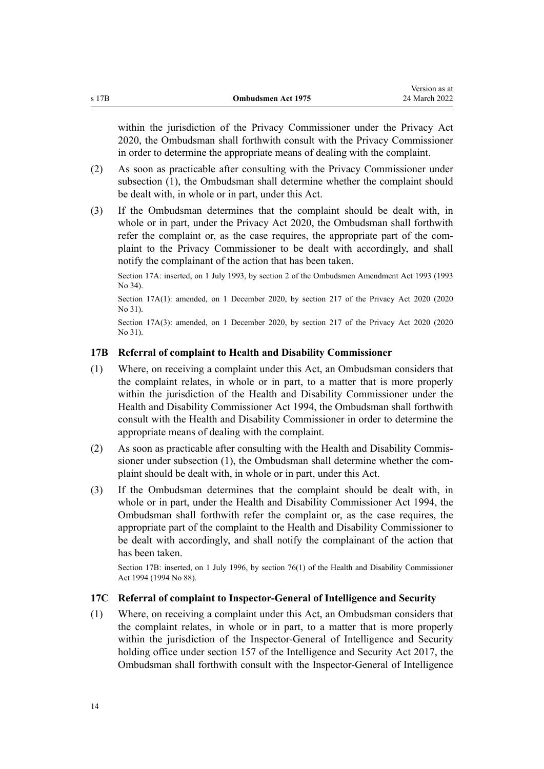<span id="page-13-0"></span>within the jurisdiction of the Privacy Commissioner under the [Privacy Act](http://legislation.govt.nz/pdflink.aspx?id=LMS23193) [2020](http://legislation.govt.nz/pdflink.aspx?id=LMS23193), the Ombudsman shall forthwith consult with the Privacy Commissioner in order to determine the appropriate means of dealing with the complaint.

- (2) As soon as practicable after consulting with the Privacy Commissioner under subsection (1), the Ombudsman shall determine whether the complaint should be dealt with, in whole or in part, under this Act.
- (3) If the Ombudsman determines that the complaint should be dealt with, in whole or in part, under the [Privacy Act 2020](http://legislation.govt.nz/pdflink.aspx?id=LMS23193), the Ombudsman shall forthwith refer the complaint or, as the case requires, the appropriate part of the complaint to the Privacy Commissioner to be dealt with accordingly, and shall notify the complainant of the action that has been taken.

Section 17A: inserted, on 1 July 1993, by section 2 of the Ombudsmen Amendment Act 1993 (1993 No 34).

Section 17A(1): amended, on 1 December 2020, by [section 217](http://legislation.govt.nz/pdflink.aspx?id=LMS23706) of the Privacy Act 2020 (2020 No 31).

Section 17A(3): amended, on 1 December 2020, by [section 217](http://legislation.govt.nz/pdflink.aspx?id=LMS23706) of the Privacy Act 2020 (2020 No 31).

#### **17B Referral of complaint to Health and Disability Commissioner**

- (1) Where, on receiving a complaint under this Act, an Ombudsman considers that the complaint relates, in whole or in part, to a matter that is more properly within the jurisdiction of the Health and Disability Commissioner under the [Health and Disability Commissioner Act 1994,](http://legislation.govt.nz/pdflink.aspx?id=DLM333583) the Ombudsman shall forthwith consult with the Health and Disability Commissioner in order to determine the appropriate means of dealing with the complaint.
- (2) As soon as practicable after consulting with the Health and Disability Commis‐ sioner under subsection (1), the Ombudsman shall determine whether the complaint should be dealt with, in whole or in part, under this Act.
- (3) If the Ombudsman determines that the complaint should be dealt with, in whole or in part, under the [Health and Disability Commissioner Act 1994,](http://legislation.govt.nz/pdflink.aspx?id=DLM333583) the Ombudsman shall forthwith refer the complaint or, as the case requires, the appropriate part of the complaint to the Health and Disability Commissioner to be dealt with accordingly, and shall notify the complainant of the action that has been taken.

Section 17B: inserted, on 1 July 1996, by [section 76\(1\)](http://legislation.govt.nz/pdflink.aspx?id=DLM334174) of the Health and Disability Commissioner Act 1994 (1994 No 88).

# **17C Referral of complaint to Inspector-General of Intelligence and Security**

(1) Where, on receiving a complaint under this Act, an Ombudsman considers that the complaint relates, in whole or in part, to a matter that is more properly within the jurisdiction of the Inspector-General of Intelligence and Security holding office under [section 157](http://legislation.govt.nz/pdflink.aspx?id=DLM6921170) of the Intelligence and Security Act 2017, the Ombudsman shall forthwith consult with the Inspector-General of Intelligence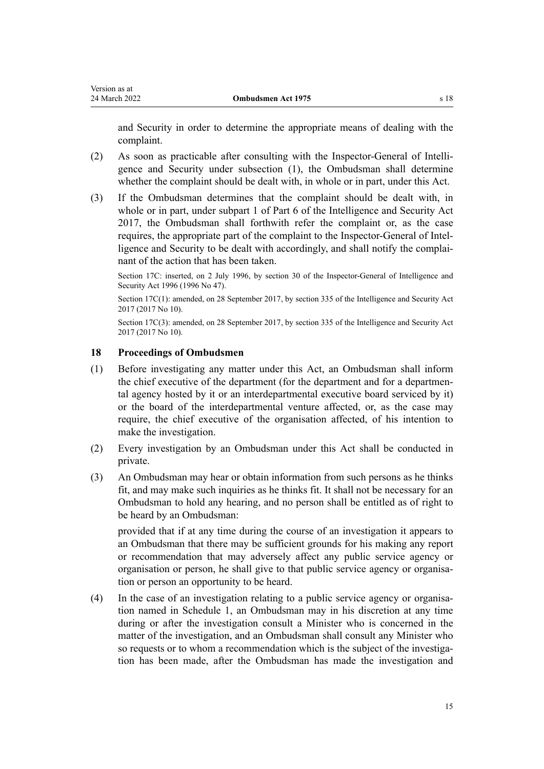<span id="page-14-0"></span>and Security in order to determine the appropriate means of dealing with the complaint.

- (2) As soon as practicable after consulting with the Inspector-General of Intelli‐ gence and Security under subsection (1), the Ombudsman shall determine whether the complaint should be dealt with, in whole or in part, under this Act.
- (3) If the Ombudsman determines that the complaint should be dealt with, in whole or in part, under [subpart 1](http://legislation.govt.nz/pdflink.aspx?id=DLM6921168) of Part 6 of the Intelligence and Security Act 2017, the Ombudsman shall forthwith refer the complaint or, as the case requires, the appropriate part of the complaint to the Inspector-General of Intel‐ ligence and Security to be dealt with accordingly, and shall notify the complai‐ nant of the action that has been taken.

Section 17C: inserted, on 2 July 1996, by [section 30](http://legislation.govt.nz/pdflink.aspx?id=DLM392551) of the Inspector-General of Intelligence and Security Act 1996 (1996 No 47).

Section 17C(1): amended, on 28 September 2017, by [section 335](http://legislation.govt.nz/pdflink.aspx?id=DLM6921475) of the Intelligence and Security Act 2017 (2017 No 10).

Section 17C(3): amended, on 28 September 2017, by [section 335](http://legislation.govt.nz/pdflink.aspx?id=DLM6921475) of the Intelligence and Security Act 2017 (2017 No 10).

#### **18 Proceedings of Ombudsmen**

- (1) Before investigating any matter under this Act, an Ombudsman shall inform the chief executive of the department (for the department and for a departmen‐ tal agency hosted by it or an interdepartmental executive board serviced by it) or the board of the interdepartmental venture affected, or, as the case may require, the chief executive of the organisation affected, of his intention to make the investigation.
- (2) Every investigation by an Ombudsman under this Act shall be conducted in private.
- (3) An Ombudsman may hear or obtain information from such persons as he thinks fit, and may make such inquiries as he thinks fit. It shall not be necessary for an Ombudsman to hold any hearing, and no person shall be entitled as of right to be heard by an Ombudsman:

provided that if at any time during the course of an investigation it appears to an Ombudsman that there may be sufficient grounds for his making any report or recommendation that may adversely affect any public service agency or organisation or person, he shall give to that public service agency or organisation or person an opportunity to be heard.

(4) In the case of an investigation relating to a public service agency or organisa‐ tion named in [Schedule 1,](#page-32-0) an Ombudsman may in his discretion at any time during or after the investigation consult a Minister who is concerned in the matter of the investigation, and an Ombudsman shall consult any Minister who so requests or to whom a recommendation which is the subject of the investigation has been made, after the Ombudsman has made the investigation and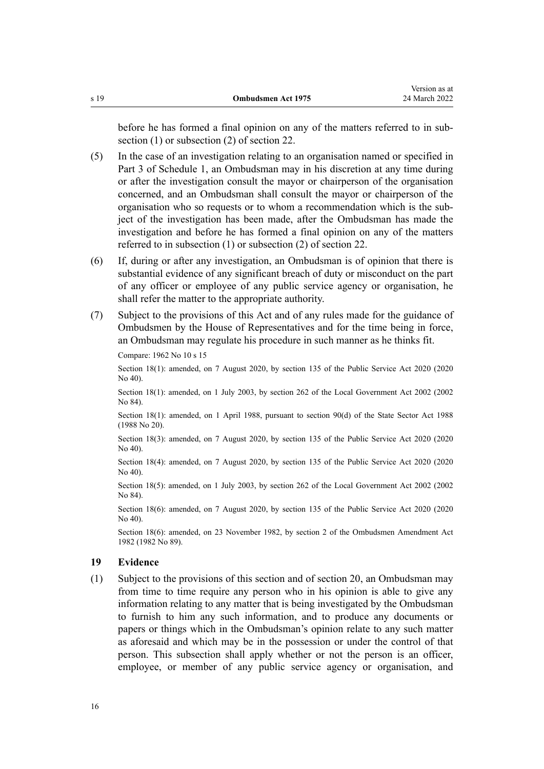<span id="page-15-0"></span>before he has formed a final opinion on any of the matters referred to in subsection (1) or subsection (2) of [section 22.](#page-21-0)

- (5) In the case of an investigation relating to an organisation named or specified in [Part 3](#page-57-0) of Schedule 1, an Ombudsman may in his discretion at any time during or after the investigation consult the mayor or chairperson of the organisation concerned, and an Ombudsman shall consult the mayor or chairperson of the organisation who so requests or to whom a recommendation which is the sub‐ ject of the investigation has been made, after the Ombudsman has made the investigation and before he has formed a final opinion on any of the matters referred to in subsection (1) or subsection (2) of [section 22](#page-21-0).
- (6) If, during or after any investigation, an Ombudsman is of opinion that there is substantial evidence of any significant breach of duty or misconduct on the part of any officer or employee of any public service agency or organisation, he shall refer the matter to the appropriate authority.
- (7) Subject to the provisions of this Act and of any rules made for the guidance of Ombudsmen by the House of Representatives and for the time being in force, an Ombudsman may regulate his procedure in such manner as he thinks fit.

Compare: 1962 No 10 s 15

Section 18(1): amended, on 7 August 2020, by [section 135](http://legislation.govt.nz/pdflink.aspx?id=LMS176959) of the Public Service Act 2020 (2020) No 40).

Section 18(1): amended, on 1 July 2003, by [section 262](http://legislation.govt.nz/pdflink.aspx?id=DLM174088) of the Local Government Act 2002 (2002 No 84).

Section 18(1): amended, on 1 April 1988, pursuant to [section 90\(d\)](http://legislation.govt.nz/pdflink.aspx?id=DLM130377) of the State Sector Act 1988 (1988 No 20).

Section 18(3): amended, on 7 August 2020, by [section 135](http://legislation.govt.nz/pdflink.aspx?id=LMS176959) of the Public Service Act 2020 (2020 No 40).

Section 18(4): amended, on 7 August 2020, by [section 135](http://legislation.govt.nz/pdflink.aspx?id=LMS176959) of the Public Service Act 2020 (2020 No 40).

Section 18(5): amended, on 1 July 2003, by [section 262](http://legislation.govt.nz/pdflink.aspx?id=DLM174088) of the Local Government Act 2002 (2002 No 84).

Section 18(6): amended, on 7 August 2020, by [section 135](http://legislation.govt.nz/pdflink.aspx?id=LMS176959) of the Public Service Act 2020 (2020 No 40).

Section 18(6): amended, on 23 November 1982, by section 2 of the Ombudsmen Amendment Act 1982 (1982 No 89).

#### **19 Evidence**

(1) Subject to the provisions of this section and of [section 20,](#page-18-0) an Ombudsman may from time to time require any person who in his opinion is able to give any information relating to any matter that is being investigated by the Ombudsman to furnish to him any such information, and to produce any documents or papers or things which in the Ombudsman's opinion relate to any such matter as aforesaid and which may be in the possession or under the control of that person. This subsection shall apply whether or not the person is an officer, employee, or member of any public service agency or organisation, and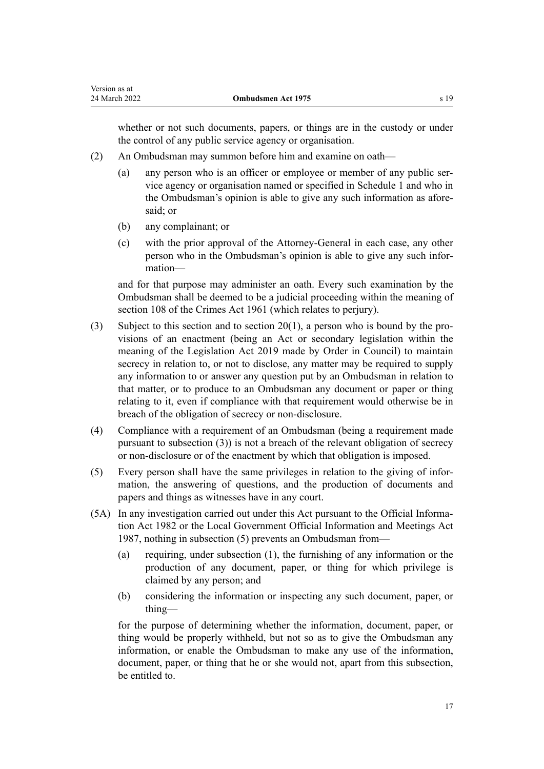whether or not such documents, papers, or things are in the custody or under the control of any public service agency or organisation.

- (2) An Ombudsman may summon before him and examine on oath—
	- (a) any person who is an officer or employee or member of any public ser‐ vice agency or organisation named or specified in [Schedule 1](#page-32-0) and who in the Ombudsman's opinion is able to give any such information as afore‐ said; or
	- (b) any complainant; or
	- (c) with the prior approval of the Attorney-General in each case, any other person who in the Ombudsman's opinion is able to give any such infor‐ mation—

and for that purpose may administer an oath. Every such examination by the Ombudsman shall be deemed to be a judicial proceeding within the meaning of [section 108](http://legislation.govt.nz/pdflink.aspx?id=DLM328793) of the Crimes Act 1961 (which relates to perjury).

- (3) Subject to this section and to [section 20\(1\),](#page-18-0) a person who is bound by the provisions of an enactment (being an Act or secondary legislation within the meaning of the [Legislation Act 2019](http://legislation.govt.nz/pdflink.aspx?id=DLM7298104) made by Order in Council) to maintain secrecy in relation to, or not to disclose, any matter may be required to supply any information to or answer any question put by an Ombudsman in relation to that matter, or to produce to an Ombudsman any document or paper or thing relating to it, even if compliance with that requirement would otherwise be in breach of the obligation of secrecy or non-disclosure.
- (4) Compliance with a requirement of an Ombudsman (being a requirement made pursuant to subsection (3)) is not a breach of the relevant obligation of secrecy or non-disclosure or of the enactment by which that obligation is imposed.
- (5) Every person shall have the same privileges in relation to the giving of infor‐ mation, the answering of questions, and the production of documents and papers and things as witnesses have in any court.
- (5A) In any investigation carried out under this Act pursuant to the [Official Informa‐](http://legislation.govt.nz/pdflink.aspx?id=DLM64784) [tion Act 1982](http://legislation.govt.nz/pdflink.aspx?id=DLM64784) or the [Local Government Official Information and Meetings Act](http://legislation.govt.nz/pdflink.aspx?id=DLM122241) [1987](http://legislation.govt.nz/pdflink.aspx?id=DLM122241), nothing in subsection (5) prevents an Ombudsman from—
	- (a) requiring, under subsection (1), the furnishing of any information or the production of any document, paper, or thing for which privilege is claimed by any person; and
	- (b) considering the information or inspecting any such document, paper, or thing—

for the purpose of determining whether the information, document, paper, or thing would be properly withheld, but not so as to give the Ombudsman any information, or enable the Ombudsman to make any use of the information, document, paper, or thing that he or she would not, apart from this subsection, be entitled to.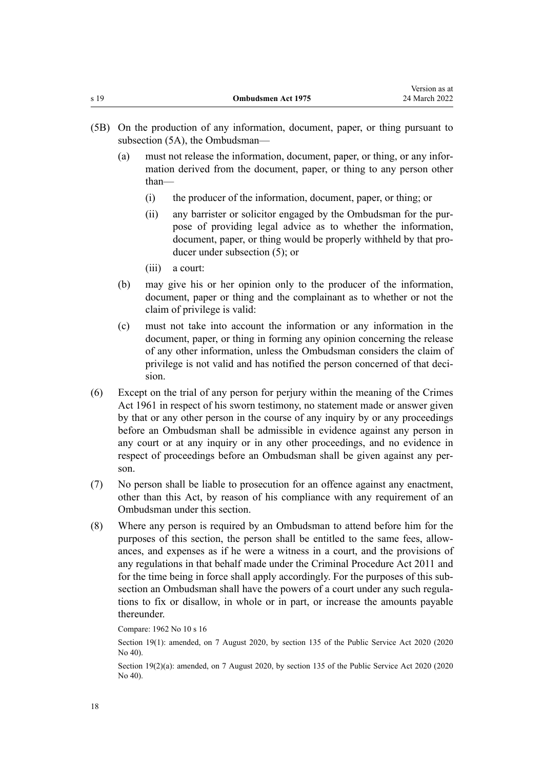- (5B) On the production of any information, document, paper, or thing pursuant to subsection (5A), the Ombudsman—
	- (a) must not release the information, document, paper, or thing, or any infor‐ mation derived from the document, paper, or thing to any person other than—
		- (i) the producer of the information, document, paper, or thing; or
		- (ii) any barrister or solicitor engaged by the Ombudsman for the pur‐ pose of providing legal advice as to whether the information, document, paper, or thing would be properly withheld by that pro‐ ducer under subsection (5); or
		- (iii) a court:
	- (b) may give his or her opinion only to the producer of the information, document, paper or thing and the complainant as to whether or not the claim of privilege is valid:
	- (c) must not take into account the information or any information in the document, paper, or thing in forming any opinion concerning the release of any other information, unless the Ombudsman considers the claim of privilege is not valid and has notified the person concerned of that deci‐ sion.
- (6) Except on the trial of any person for perjury within the meaning of the [Crimes](http://legislation.govt.nz/pdflink.aspx?id=DLM327381) [Act 1961](http://legislation.govt.nz/pdflink.aspx?id=DLM327381) in respect of his sworn testimony, no statement made or answer given by that or any other person in the course of any inquiry by or any proceedings before an Ombudsman shall be admissible in evidence against any person in any court or at any inquiry or in any other proceedings, and no evidence in respect of proceedings before an Ombudsman shall be given against any person.
- (7) No person shall be liable to prosecution for an offence against any enactment, other than this Act, by reason of his compliance with any requirement of an Ombudsman under this section.
- (8) Where any person is required by an Ombudsman to attend before him for the purposes of this section, the person shall be entitled to the same fees, allow‐ ances, and expenses as if he were a witness in a court, and the provisions of any regulations in that behalf made under the [Criminal Procedure Act 2011](http://legislation.govt.nz/pdflink.aspx?id=DLM3359902) and for the time being in force shall apply accordingly. For the purposes of this subsection an Ombudsman shall have the powers of a court under any such regulations to fix or disallow, in whole or in part, or increase the amounts payable thereunder.

Compare: 1962 No 10 s 16

Section 19(1): amended, on 7 August 2020, by [section 135](http://legislation.govt.nz/pdflink.aspx?id=LMS176959) of the Public Service Act 2020 (2020 No 40).

Section 19(2)(a): amended, on 7 August 2020, by [section 135](http://legislation.govt.nz/pdflink.aspx?id=LMS176959) of the Public Service Act 2020 (2020) No 40).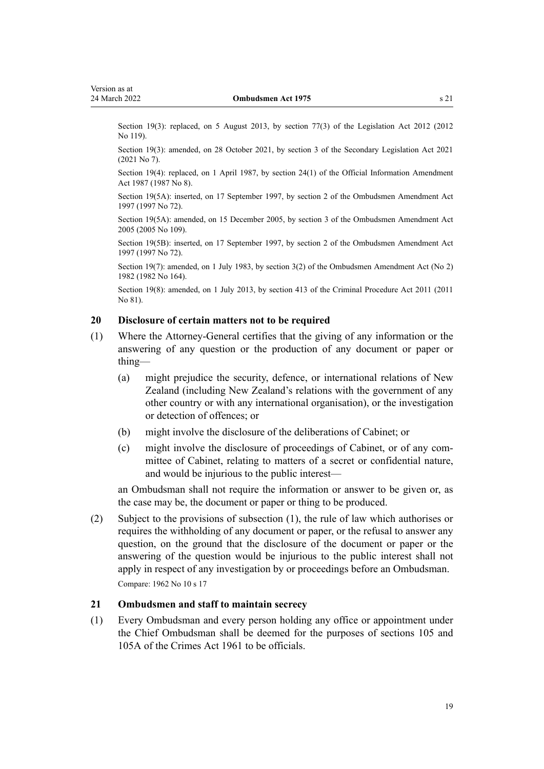<span id="page-18-0"></span>Section 19(3): replaced, on 5 August 2013, by [section 77\(3\)](http://legislation.govt.nz/pdflink.aspx?id=DLM2998633) of the Legislation Act 2012 (2012) No 119).

Section 19(3): amended, on 28 October 2021, by [section 3](http://legislation.govt.nz/pdflink.aspx?id=LMS268932) of the Secondary Legislation Act 2021 (2021 No 7).

Section 19(4): replaced, on 1 April 1987, by [section 24\(1\)](http://legislation.govt.nz/pdflink.aspx?id=DLM101352) of the Official Information Amendment Act 1987 (1987 No 8).

Section 19(5A): inserted, on 17 September 1997, by [section 2](http://legislation.govt.nz/pdflink.aspx?id=DLM412325) of the Ombudsmen Amendment Act 1997 (1997 No 72).

Section 19(5A): amended, on 15 December 2005, by [section 3](http://legislation.govt.nz/pdflink.aspx?id=DLM362245) of the Ombudsmen Amendment Act 2005 (2005 No 109).

Section 19(5B): inserted, on 17 September 1997, by [section 2](http://legislation.govt.nz/pdflink.aspx?id=DLM412325) of the Ombudsmen Amendment Act 1997 (1997 No 72).

Section 19(7): amended, on 1 July 1983, by section 3(2) of the Ombudsmen Amendment Act (No 2) 1982 (1982 No 164).

Section 19(8): amended, on 1 July 2013, by [section 413](http://legislation.govt.nz/pdflink.aspx?id=DLM3360714) of the Criminal Procedure Act 2011 (2011 No 81).

#### **20 Disclosure of certain matters not to be required**

- (1) Where the Attorney-General certifies that the giving of any information or the answering of any question or the production of any document or paper or thing—
	- (a) might prejudice the security, defence, or international relations of New Zealand (including New Zealand's relations with the government of any other country or with any international organisation), or the investigation or detection of offences; or
	- (b) might involve the disclosure of the deliberations of Cabinet; or
	- (c) might involve the disclosure of proceedings of Cabinet, or of any committee of Cabinet, relating to matters of a secret or confidential nature, and would be injurious to the public interest—

an Ombudsman shall not require the information or answer to be given or, as the case may be, the document or paper or thing to be produced.

(2) Subject to the provisions of subsection (1), the rule of law which authorises or requires the withholding of any document or paper, or the refusal to answer any question, on the ground that the disclosure of the document or paper or the answering of the question would be injurious to the public interest shall not apply in respect of any investigation by or proceedings before an Ombudsman. Compare: 1962 No 10 s 17

### **21 Ombudsmen and staff to maintain secrecy**

(1) Every Ombudsman and every person holding any office or appointment under the Chief Ombudsman shall be deemed for the purposes of [sections 105](http://legislation.govt.nz/pdflink.aspx?id=DLM328753) and [105A](http://legislation.govt.nz/pdflink.aspx?id=DLM328755) of the Crimes Act 1961 to be officials.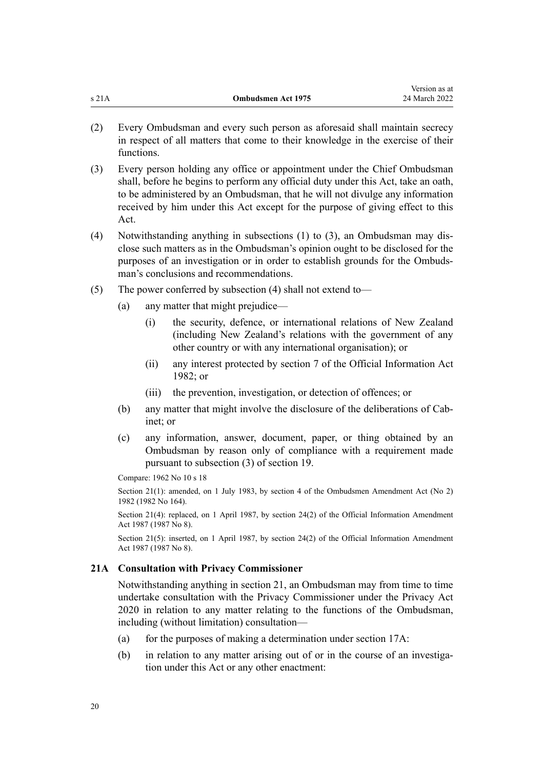Version as at

- <span id="page-19-0"></span>(2) Every Ombudsman and every such person as aforesaid shall maintain secrecy in respect of all matters that come to their knowledge in the exercise of their functions.
- (3) Every person holding any office or appointment under the Chief Ombudsman shall, before he begins to perform any official duty under this Act, take an oath, to be administered by an Ombudsman, that he will not divulge any information received by him under this Act except for the purpose of giving effect to this Act.
- (4) Notwithstanding anything in subsections (1) to (3), an Ombudsman may dis‐ close such matters as in the Ombudsman's opinion ought to be disclosed for the purposes of an investigation or in order to establish grounds for the Ombuds‐ man's conclusions and recommendations.
- (5) The power conferred by subsection (4) shall not extend to—
	- (a) any matter that might prejudice—
		- (i) the security, defence, or international relations of New Zealand (including New Zealand's relations with the government of any other country or with any international organisation); or
		- (ii) any interest protected by [section 7](http://legislation.govt.nz/pdflink.aspx?id=DLM65368) of the Official Information Act 1982; or
		- (iii) the prevention, investigation, or detection of offences; or
	- (b) any matter that might involve the disclosure of the deliberations of Cabinet; or
	- (c) any information, answer, document, paper, or thing obtained by an Ombudsman by reason only of compliance with a requirement made pursuant to subsection (3) of [section 19.](#page-15-0)

Compare: 1962 No 10 s 18

Section 21(1): amended, on 1 July 1983, by section 4 of the Ombudsmen Amendment Act (No 2) 1982 (1982 No 164).

Section 21(4): replaced, on 1 April 1987, by [section 24\(2\)](http://legislation.govt.nz/pdflink.aspx?id=DLM101352) of the Official Information Amendment Act 1987 (1987 No 8).

Section 21(5): inserted, on 1 April 1987, by [section 24\(2\)](http://legislation.govt.nz/pdflink.aspx?id=DLM101352) of the Official Information Amendment Act 1987 (1987 No 8).

### **21A Consultation with Privacy Commissioner**

Notwithstanding anything in [section 21,](#page-18-0) an Ombudsman may from time to time undertake consultation with the Privacy Commissioner under the [Privacy Act](http://legislation.govt.nz/pdflink.aspx?id=LMS23193) [2020](http://legislation.govt.nz/pdflink.aspx?id=LMS23193) in relation to any matter relating to the functions of the Ombudsman, including (without limitation) consultation—

- (a) for the purposes of making a determination under [section 17A](#page-12-0):
- $(b)$  in relation to any matter arising out of or in the course of an investigation under this Act or any other enactment: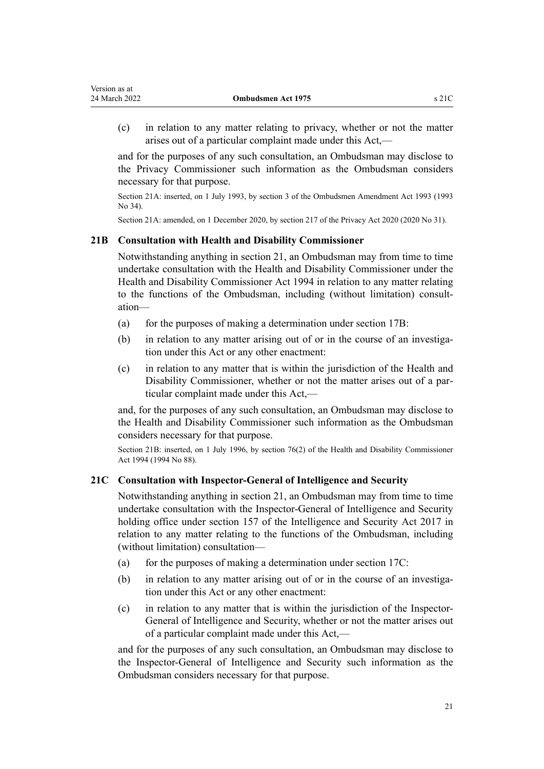<span id="page-20-0"></span>(c) in relation to any matter relating to privacy, whether or not the matter arises out of a particular complaint made under this Act,—

and for the purposes of any such consultation, an Ombudsman may disclose to the Privacy Commissioner such information as the Ombudsman considers necessary for that purpose.

Section 21A: inserted, on 1 July 1993, by section 3 of the Ombudsmen Amendment Act 1993 (1993 No 34).

Section 21A: amended, on 1 December 2020, by [section 217](http://legislation.govt.nz/pdflink.aspx?id=LMS23706) of the Privacy Act 2020 (2020 No 31).

### **21B Consultation with Health and Disability Commissioner**

Notwithstanding anything in [section 21,](#page-18-0) an Ombudsman may from time to time undertake consultation with the Health and Disability Commissioner under the [Health and Disability Commissioner Act 1994](http://legislation.govt.nz/pdflink.aspx?id=DLM333583) in relation to any matter relating to the functions of the Ombudsman, including (without limitation) consult‐ ation—

- (a) for the purposes of making a determination under [section 17B](#page-13-0):
- (b) in relation to any matter arising out of or in the course of an investigation under this Act or any other enactment:
- (c) in relation to any matter that is within the jurisdiction of the Health and Disability Commissioner, whether or not the matter arises out of a par‐ ticular complaint made under this Act,—

and, for the purposes of any such consultation, an Ombudsman may disclose to the Health and Disability Commissioner such information as the Ombudsman considers necessary for that purpose.

Section 21B: inserted, on 1 July 1996, by [section 76\(2\)](http://legislation.govt.nz/pdflink.aspx?id=DLM334174) of the Health and Disability Commissioner Act 1994 (1994 No 88).

## **21C Consultation with Inspector-General of Intelligence and Security**

Notwithstanding anything in [section 21,](#page-18-0) an Ombudsman may from time to time undertake consultation with the Inspector-General of Intelligence and Security holding office under [section 157](http://legislation.govt.nz/pdflink.aspx?id=DLM6921170) of the Intelligence and Security Act 2017 in relation to any matter relating to the functions of the Ombudsman, including (without limitation) consultation—

- (a) for the purposes of making a determination under section  $17C$ :
- (b) in relation to any matter arising out of or in the course of an investigation under this Act or any other enactment:
- (c) in relation to any matter that is within the jurisdiction of the Inspector-General of Intelligence and Security, whether or not the matter arises out of a particular complaint made under this Act,—

and for the purposes of any such consultation, an Ombudsman may disclose to the Inspector-General of Intelligence and Security such information as the Ombudsman considers necessary for that purpose.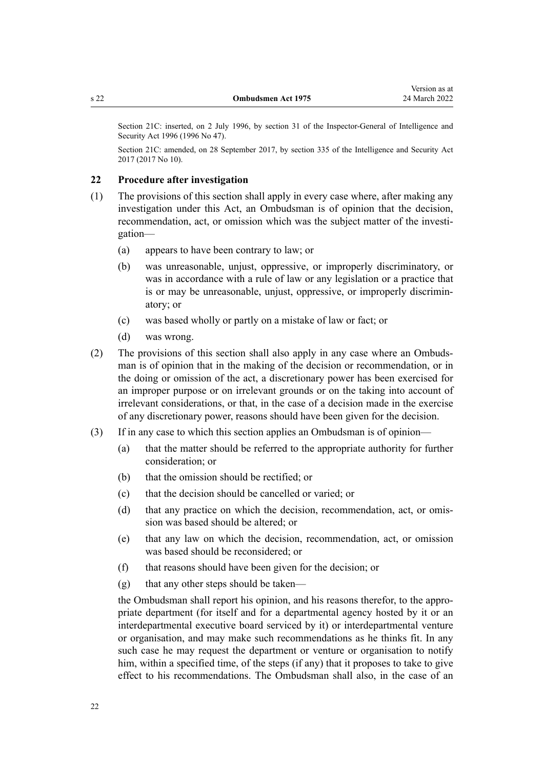<span id="page-21-0"></span>Section 21C: inserted, on 2 July 1996, by [section 31](http://legislation.govt.nz/pdflink.aspx?id=DLM392553) of the Inspector-General of Intelligence and Security Act 1996 (1996 No 47).

Section 21C: amended, on 28 September 2017, by [section 335](http://legislation.govt.nz/pdflink.aspx?id=DLM6921475) of the Intelligence and Security Act 2017 (2017 No 10).

#### **22 Procedure after investigation**

- (1) The provisions of this section shall apply in every case where, after making any investigation under this Act, an Ombudsman is of opinion that the decision, recommendation, act, or omission which was the subject matter of the investigation—
	- (a) appears to have been contrary to law; or
	- (b) was unreasonable, unjust, oppressive, or improperly discriminatory, or was in accordance with a rule of law or any legislation or a practice that is or may be unreasonable, unjust, oppressive, or improperly discriminatory; or
	- (c) was based wholly or partly on a mistake of law or fact; or
	- (d) was wrong.
- (2) The provisions of this section shall also apply in any case where an Ombuds‐ man is of opinion that in the making of the decision or recommendation, or in the doing or omission of the act, a discretionary power has been exercised for an improper purpose or on irrelevant grounds or on the taking into account of irrelevant considerations, or that, in the case of a decision made in the exercise of any discretionary power, reasons should have been given for the decision.
- (3) If in any case to which this section applies an Ombudsman is of opinion—
	- (a) that the matter should be referred to the appropriate authority for further consideration; or
	- (b) that the omission should be rectified; or
	- (c) that the decision should be cancelled or varied; or
	- (d) that any practice on which the decision, recommendation, act, or omis‐ sion was based should be altered; or
	- (e) that any law on which the decision, recommendation, act, or omission was based should be reconsidered; or
	- (f) that reasons should have been given for the decision; or
	- (g) that any other steps should be taken—

the Ombudsman shall report his opinion, and his reasons therefor, to the appro‐ priate department (for itself and for a departmental agency hosted by it or an interdepartmental executive board serviced by it) or interdepartmental venture or organisation, and may make such recommendations as he thinks fit. In any such case he may request the department or venture or organisation to notify him, within a specified time, of the steps (if any) that it proposes to take to give effect to his recommendations. The Ombudsman shall also, in the case of an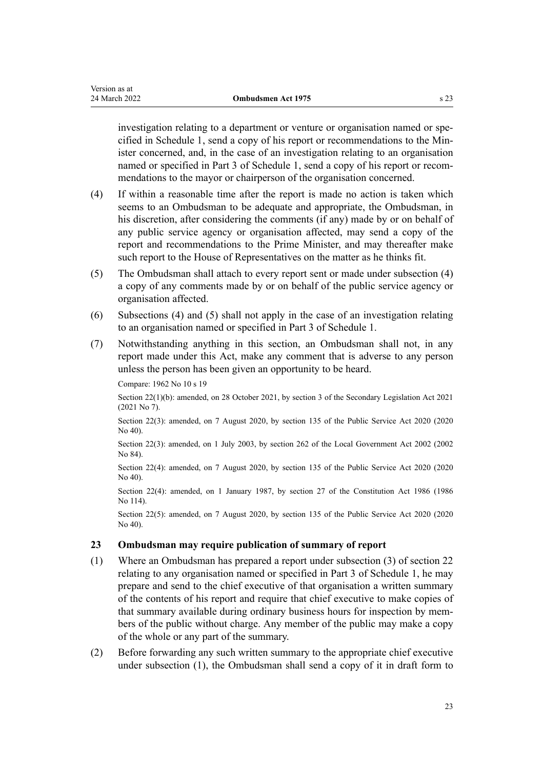<span id="page-22-0"></span>investigation relating to a department or venture or organisation named or specified in [Schedule 1,](#page-32-0) send a copy of his report or recommendations to the Min‐ ister concerned, and, in the case of an investigation relating to an organisation named or specified in [Part 3](#page-57-0) of Schedule 1, send a copy of his report or recommendations to the mayor or chairperson of the organisation concerned.

- (4) If within a reasonable time after the report is made no action is taken which seems to an Ombudsman to be adequate and appropriate, the Ombudsman, in his discretion, after considering the comments (if any) made by or on behalf of any public service agency or organisation affected, may send a copy of the report and recommendations to the Prime Minister, and may thereafter make such report to the House of Representatives on the matter as he thinks fit.
- (5) The Ombudsman shall attach to every report sent or made under subsection (4) a copy of any comments made by or on behalf of the public service agency or organisation affected.
- (6) Subsections (4) and (5) shall not apply in the case of an investigation relating to an organisation named or specified in [Part 3](#page-57-0) of Schedule 1.
- (7) Notwithstanding anything in this section, an Ombudsman shall not, in any report made under this Act, make any comment that is adverse to any person unless the person has been given an opportunity to be heard.

Compare: 1962 No 10 s 19

Section 22(1)(b): amended, on 28 October 2021, by [section 3](http://legislation.govt.nz/pdflink.aspx?id=LMS268932) of the Secondary Legislation Act 2021 (2021 No 7).

Section 22(3): amended, on 7 August 2020, by [section 135](http://legislation.govt.nz/pdflink.aspx?id=LMS176959) of the Public Service Act 2020 (2020 No 40).

Section 22(3): amended, on 1 July 2003, by [section 262](http://legislation.govt.nz/pdflink.aspx?id=DLM174088) of the Local Government Act 2002 (2002 No 84).

Section 22(4): amended, on 7 August 2020, by [section 135](http://legislation.govt.nz/pdflink.aspx?id=LMS176959) of the Public Service Act 2020 (2020 No 40).

Section 22(4): amended, on 1 January 1987, by [section 27](http://legislation.govt.nz/pdflink.aspx?id=DLM94261) of the Constitution Act 1986 (1986 No 114).

Section 22(5): amended, on 7 August 2020, by [section 135](http://legislation.govt.nz/pdflink.aspx?id=LMS176959) of the Public Service Act 2020 (2020) No 40).

## **23 Ombudsman may require publication of summary of report**

- (1) Where an Ombudsman has prepared a report under subsection (3) of [section 22](#page-21-0) relating to any organisation named or specified in [Part 3](#page-57-0) of Schedule 1, he may prepare and send to the chief executive of that organisation a written summary of the contents of his report and require that chief executive to make copies of that summary available during ordinary business hours for inspection by mem‐ bers of the public without charge. Any member of the public may make a copy of the whole or any part of the summary.
- (2) Before forwarding any such written summary to the appropriate chief executive under subsection (1), the Ombudsman shall send a copy of it in draft form to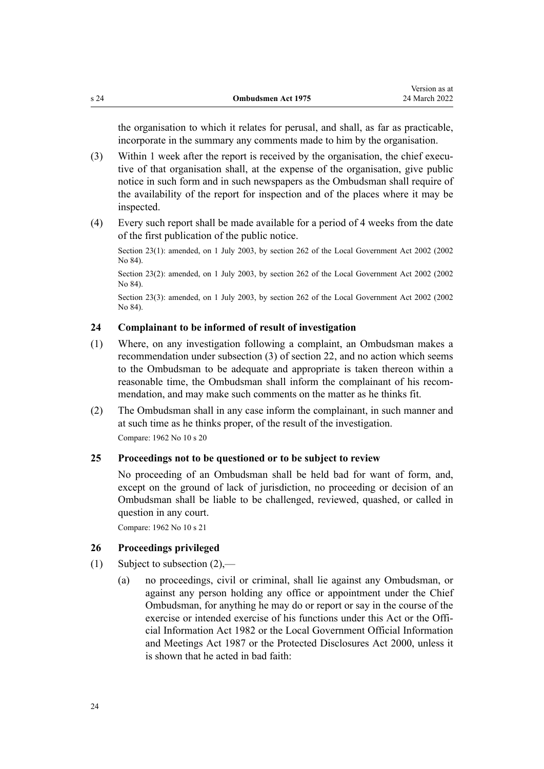<span id="page-23-0"></span>the organisation to which it relates for perusal, and shall, as far as practicable, incorporate in the summary any comments made to him by the organisation.

- $(3)$  Within 1 week after the report is received by the organisation, the chief executive of that organisation shall, at the expense of the organisation, give public notice in such form and in such newspapers as the Ombudsman shall require of the availability of the report for inspection and of the places where it may be inspected.
- (4) Every such report shall be made available for a period of 4 weeks from the date of the first publication of the public notice.

Section 23(1): amended, on 1 July 2003, by [section 262](http://legislation.govt.nz/pdflink.aspx?id=DLM174088) of the Local Government Act 2002 (2002 No 84).

Section 23(2): amended, on 1 July 2003, by [section 262](http://legislation.govt.nz/pdflink.aspx?id=DLM174088) of the Local Government Act 2002 (2002 No 84).

Section 23(3): amended, on 1 July 2003, by [section 262](http://legislation.govt.nz/pdflink.aspx?id=DLM174088) of the Local Government Act 2002 (2002 No 84).

### **24 Complainant to be informed of result of investigation**

- (1) Where, on any investigation following a complaint, an Ombudsman makes a recommendation under subsection (3) of [section 22](#page-21-0), and no action which seems to the Ombudsman to be adequate and appropriate is taken thereon within a reasonable time, the Ombudsman shall inform the complainant of his recommendation, and may make such comments on the matter as he thinks fit.
- (2) The Ombudsman shall in any case inform the complainant, in such manner and at such time as he thinks proper, of the result of the investigation. Compare: 1962 No 10 s 20

#### **25 Proceedings not to be questioned or to be subject to review**

No proceeding of an Ombudsman shall be held bad for want of form, and, except on the ground of lack of jurisdiction, no proceeding or decision of an Ombudsman shall be liable to be challenged, reviewed, quashed, or called in question in any court.

Compare: 1962 No 10 s 21

### **26 Proceedings privileged**

- (1) Subject to subsection (2),—
	- (a) no proceedings, civil or criminal, shall lie against any Ombudsman, or against any person holding any office or appointment under the Chief Ombudsman, for anything he may do or report or say in the course of the exercise or intended exercise of his functions under this Act or the Offi[cial Information Act 1982](http://legislation.govt.nz/pdflink.aspx?id=DLM64784) or the [Local Government Official Information](http://legislation.govt.nz/pdflink.aspx?id=DLM122241) [and Meetings Act 1987](http://legislation.govt.nz/pdflink.aspx?id=DLM122241) or the [Protected Disclosures Act 2000,](http://legislation.govt.nz/pdflink.aspx?id=DLM53465) unless it is shown that he acted in bad faith: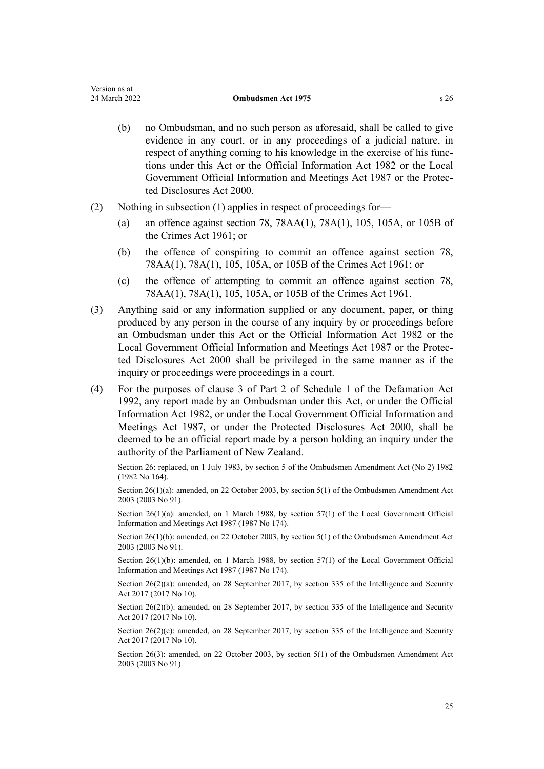Version as at

- (b) no Ombudsman, and no such person as aforesaid, shall be called to give evidence in any court, or in any proceedings of a judicial nature, in respect of anything coming to his knowledge in the exercise of his functions under this Act or the [Official Information Act 1982](http://legislation.govt.nz/pdflink.aspx?id=DLM64784) or the [Local](http://legislation.govt.nz/pdflink.aspx?id=DLM122241) [Government Official Information and Meetings Act 1987](http://legislation.govt.nz/pdflink.aspx?id=DLM122241) or the [Protec‐](http://legislation.govt.nz/pdflink.aspx?id=DLM53465) [ted Disclosures Act 2000](http://legislation.govt.nz/pdflink.aspx?id=DLM53465).
- (2) Nothing in subsection (1) applies in respect of proceedings for—
	- (a) an offence against [section 78](http://legislation.govt.nz/pdflink.aspx?id=DLM328526), [78AA\(1\)](http://legislation.govt.nz/pdflink.aspx?id=DLM7453603), [78A\(1\),](http://legislation.govt.nz/pdflink.aspx?id=DLM328528) [105](http://legislation.govt.nz/pdflink.aspx?id=DLM328753), [105A](http://legislation.govt.nz/pdflink.aspx?id=DLM328755), or [105B](http://legislation.govt.nz/pdflink.aspx?id=DLM328758) of the Crimes Act 1961; or
	- (b) the offence of conspiring to commit an offence against [section 78](http://legislation.govt.nz/pdflink.aspx?id=DLM328526), [78AA\(1\),](http://legislation.govt.nz/pdflink.aspx?id=DLM7453603) [78A\(1\),](http://legislation.govt.nz/pdflink.aspx?id=DLM328528) [105,](http://legislation.govt.nz/pdflink.aspx?id=DLM328753) [105A](http://legislation.govt.nz/pdflink.aspx?id=DLM328755), or [105B](http://legislation.govt.nz/pdflink.aspx?id=DLM328758) of the Crimes Act 1961; or
	- (c) the offence of attempting to commit an offence against [section 78](http://legislation.govt.nz/pdflink.aspx?id=DLM328526), [78AA\(1\),](http://legislation.govt.nz/pdflink.aspx?id=DLM7453603) [78A\(1\),](http://legislation.govt.nz/pdflink.aspx?id=DLM328528) [105,](http://legislation.govt.nz/pdflink.aspx?id=DLM328753) [105A](http://legislation.govt.nz/pdflink.aspx?id=DLM328755), or [105B](http://legislation.govt.nz/pdflink.aspx?id=DLM328758) of the Crimes Act 1961.
- (3) Anything said or any information supplied or any document, paper, or thing produced by any person in the course of any inquiry by or proceedings before an Ombudsman under this Act or the [Official Information Act 1982](http://legislation.govt.nz/pdflink.aspx?id=DLM64784) or the [Local Government Official Information and Meetings Act 1987](http://legislation.govt.nz/pdflink.aspx?id=DLM122241) or the [Protec‐](http://legislation.govt.nz/pdflink.aspx?id=DLM53465) [ted Disclosures Act 2000](http://legislation.govt.nz/pdflink.aspx?id=DLM53465) shall be privileged in the same manner as if the inquiry or proceedings were proceedings in a court.
- (4) For the purposes of [clause 3](http://legislation.govt.nz/pdflink.aspx?id=DLM281290) of Part 2 of Schedule 1 of the Defamation Act 1992, any report made by an Ombudsman under this Act, or under the [Official](http://legislation.govt.nz/pdflink.aspx?id=DLM64784) [Information Act 1982,](http://legislation.govt.nz/pdflink.aspx?id=DLM64784) or under the [Local Government Official Information and](http://legislation.govt.nz/pdflink.aspx?id=DLM122241) [Meetings Act 1987](http://legislation.govt.nz/pdflink.aspx?id=DLM122241), or under the [Protected Disclosures Act 2000,](http://legislation.govt.nz/pdflink.aspx?id=DLM53465) shall be deemed to be an official report made by a person holding an inquiry under the authority of the Parliament of New Zealand.

Section 26: replaced, on 1 July 1983, by section 5 of the Ombudsmen Amendment Act (No 2) 1982 (1982 No 164).

Section 26(1)(a): amended, on 22 October 2003, by [section 5\(1\)](http://legislation.govt.nz/pdflink.aspx?id=DLM218160) of the Ombudsmen Amendment Act 2003 (2003 No 91).

Section 26(1)(a): amended, on 1 March 1988, by [section 57\(1\)](http://legislation.govt.nz/pdflink.aspx?id=DLM123614) of the Local Government Official Information and Meetings Act 1987 (1987 No 174).

Section 26(1)(b): amended, on 22 October 2003, by [section 5\(1\)](http://legislation.govt.nz/pdflink.aspx?id=DLM218160) of the Ombudsmen Amendment Act 2003 (2003 No 91).

Section 26(1)(b): amended, on 1 March 1988, by [section 57\(1\)](http://legislation.govt.nz/pdflink.aspx?id=DLM123614) of the Local Government Official Information and Meetings Act 1987 (1987 No 174).

Section 26(2)(a): amended, on 28 September 2017, by [section 335](http://legislation.govt.nz/pdflink.aspx?id=DLM6921475) of the Intelligence and Security Act 2017 (2017 No 10).

Section 26(2)(b): amended, on 28 September 2017, by [section 335](http://legislation.govt.nz/pdflink.aspx?id=DLM6921475) of the Intelligence and Security Act 2017 (2017 No 10).

Section 26(2)(c): amended, on 28 September 2017, by [section 335](http://legislation.govt.nz/pdflink.aspx?id=DLM6921475) of the Intelligence and Security Act 2017 (2017 No 10).

Section 26(3): amended, on 22 October 2003, by [section 5\(1\)](http://legislation.govt.nz/pdflink.aspx?id=DLM218160) of the Ombudsmen Amendment Act 2003 (2003 No 91).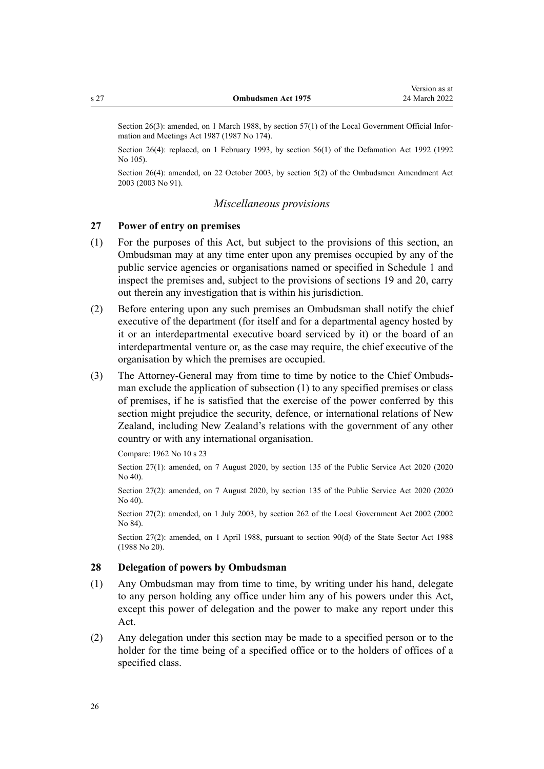<span id="page-25-0"></span>Section 26(3): amended, on 1 March 1988, by [section 57\(1\)](http://legislation.govt.nz/pdflink.aspx?id=DLM123614) of the Local Government Official Information and Meetings Act 1987 (1987 No 174).

Section 26(4): replaced, on 1 February 1993, by [section 56\(1\)](http://legislation.govt.nz/pdflink.aspx?id=DLM281277) of the Defamation Act 1992 (1992 No 105).

Section 26(4): amended, on 22 October 2003, by [section 5\(2\)](http://legislation.govt.nz/pdflink.aspx?id=DLM218160) of the Ombudsmen Amendment Act 2003 (2003 No 91).

#### *Miscellaneous provisions*

#### **27 Power of entry on premises**

- (1) For the purposes of this Act, but subject to the provisions of this section, an Ombudsman may at any time enter upon any premises occupied by any of the public service agencies or organisations named or specified in [Schedule 1](#page-32-0) and inspect the premises and, subject to the provisions of [sections 19](#page-15-0) and [20](#page-18-0), carry out therein any investigation that is within his jurisdiction.
- (2) Before entering upon any such premises an Ombudsman shall notify the chief executive of the department (for itself and for a departmental agency hosted by it or an interdepartmental executive board serviced by it) or the board of an interdepartmental venture or, as the case may require, the chief executive of the organisation by which the premises are occupied.
- (3) The Attorney-General may from time to time by notice to the Chief Ombuds‐ man exclude the application of subsection (1) to any specified premises or class of premises, if he is satisfied that the exercise of the power conferred by this section might prejudice the security, defence, or international relations of New Zealand, including New Zealand's relations with the government of any other country or with any international organisation.

Compare: 1962 No 10 s 23

Section 27(1): amended, on 7 August 2020, by [section 135](http://legislation.govt.nz/pdflink.aspx?id=LMS176959) of the Public Service Act 2020 (2020) No 40).

Section 27(2): amended, on 7 August 2020, by [section 135](http://legislation.govt.nz/pdflink.aspx?id=LMS176959) of the Public Service Act 2020 (2020) No 40).

Section 27(2): amended, on 1 July 2003, by [section 262](http://legislation.govt.nz/pdflink.aspx?id=DLM174088) of the Local Government Act 2002 (2002 No 84).

Section 27(2): amended, on 1 April 1988, pursuant to [section 90\(d\)](http://legislation.govt.nz/pdflink.aspx?id=DLM130377) of the State Sector Act 1988 (1988 No 20).

### **28 Delegation of powers by Ombudsman**

- (1) Any Ombudsman may from time to time, by writing under his hand, delegate to any person holding any office under him any of his powers under this Act, except this power of delegation and the power to make any report under this Act.
- (2) Any delegation under this section may be made to a specified person or to the holder for the time being of a specified office or to the holders of offices of a specified class.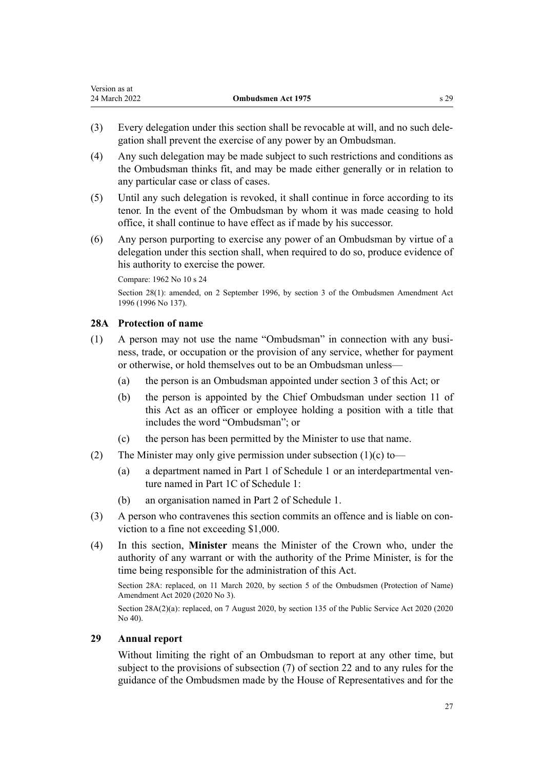- <span id="page-26-0"></span>(3) Every delegation under this section shall be revocable at will, and no such dele‐ gation shall prevent the exercise of any power by an Ombudsman.
- (4) Any such delegation may be made subject to such restrictions and conditions as the Ombudsman thinks fit, and may be made either generally or in relation to any particular case or class of cases.
- (5) Until any such delegation is revoked, it shall continue in force according to its tenor. In the event of the Ombudsman by whom it was made ceasing to hold office, it shall continue to have effect as if made by his successor.
- (6) Any person purporting to exercise any power of an Ombudsman by virtue of a delegation under this section shall, when required to do so, produce evidence of his authority to exercise the power.

Compare: 1962 No 10 s 24

Section 28(1): amended, on 2 September 1996, by section 3 of the Ombudsmen Amendment Act 1996 (1996 No 137).

### **28A Protection of name**

- (1) A person may not use the name "Ombudsman" in connection with any business, trade, or occupation or the provision of any service, whether for payment or otherwise, or hold themselves out to be an Ombudsman unless—
	- (a) the person is an Ombudsman appointed under [section 3](#page-4-0) of this Act; or
	- (b) the person is appointed by the Chief Ombudsman under [section 11](#page-7-0) of this Act as an officer or employee holding a position with a title that includes the word "Ombudsman"; or
	- (c) the person has been permitted by the Minister to use that name.
- (2) The Minister may only give permission under subsection (1)(c) to—
	- (a) a department named in [Part 1](#page-32-0) of Schedule 1 or an interdepartmental venture named in [Part 1C](#page-38-0) of Schedule 1:
	- (b) an organisation named in [Part 2](#page-38-0) of Schedule 1.
- (3) A person who contravenes this section commits an offence and is liable on conviction to a fine not exceeding \$1,000.
- (4) In this section, **Minister** means the Minister of the Crown who, under the authority of any warrant or with the authority of the Prime Minister, is for the time being responsible for the administration of this Act.

Section 28A: replaced, on 11 March 2020, by [section 5](http://legislation.govt.nz/pdflink.aspx?id=LMS190598) of the Ombudsmen (Protection of Name) Amendment Act 2020 (2020 No 3).

Section 28A(2)(a): replaced, on 7 August 2020, by [section 135](http://legislation.govt.nz/pdflink.aspx?id=LMS176959) of the Public Service Act 2020 (2020 No 40).

# **29 Annual report**

Without limiting the right of an Ombudsman to report at any other time, but subject to the provisions of subsection (7) of [section 22](#page-21-0) and to any rules for the guidance of the Ombudsmen made by the House of Representatives and for the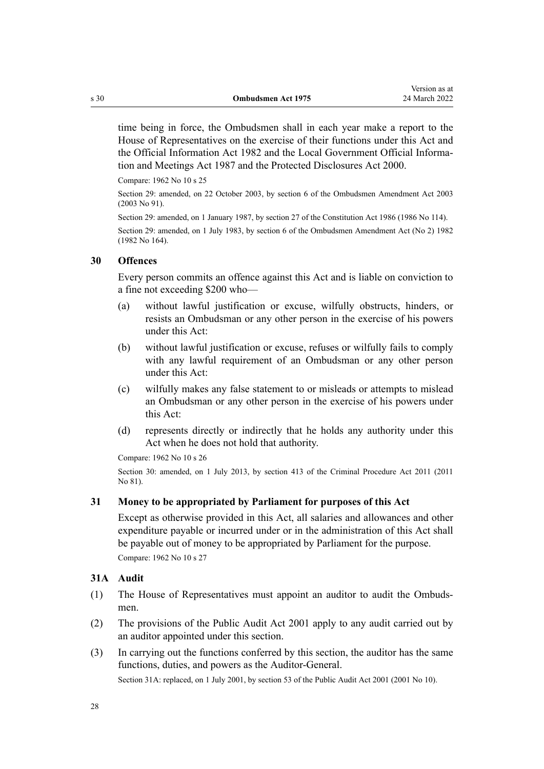<span id="page-27-0"></span>time being in force, the Ombudsmen shall in each year make a report to the House of Representatives on the exercise of their functions under this Act and the [Official Information Act 1982](http://legislation.govt.nz/pdflink.aspx?id=DLM64784) and the Local Government Official Informa[tion and Meetings Act 1987](http://legislation.govt.nz/pdflink.aspx?id=DLM122241) and the [Protected Disclosures Act 2000](http://legislation.govt.nz/pdflink.aspx?id=DLM53465).

Compare: 1962 No 10 s 25

Section 29: amended, on 22 October 2003, by [section 6](http://legislation.govt.nz/pdflink.aspx?id=DLM218161) of the Ombudsmen Amendment Act 2003 (2003 No 91).

Section 29: amended, on 1 January 1987, by [section 27](http://legislation.govt.nz/pdflink.aspx?id=DLM94261) of the Constitution Act 1986 (1986 No 114).

Section 29: amended, on 1 July 1983, by section 6 of the Ombudsmen Amendment Act (No 2) 1982 (1982 No 164).

### **30 Offences**

Every person commits an offence against this Act and is liable on conviction to a fine not exceeding \$200 who—

- (a) without lawful justification or excuse, wilfully obstructs, hinders, or resists an Ombudsman or any other person in the exercise of his powers under this Act:
- (b) without lawful justification or excuse, refuses or wilfully fails to comply with any lawful requirement of an Ombudsman or any other person under this Act:
- (c) wilfully makes any false statement to or misleads or attempts to mislead an Ombudsman or any other person in the exercise of his powers under this Act:
- (d) represents directly or indirectly that he holds any authority under this Act when he does not hold that authority.

```
Compare: 1962 No 10 s 26
```
Section 30: amended, on 1 July 2013, by [section 413](http://legislation.govt.nz/pdflink.aspx?id=DLM3360714) of the Criminal Procedure Act 2011 (2011 No 81).

#### **31 Money to be appropriated by Parliament for purposes of this Act**

Except as otherwise provided in this Act, all salaries and allowances and other expenditure payable or incurred under or in the administration of this Act shall be payable out of money to be appropriated by Parliament for the purpose. Compare: 1962 No 10 s 27

### **31A Audit**

- (1) The House of Representatives must appoint an auditor to audit the Ombuds‐ men.
- (2) The provisions of the [Public Audit Act 2001](http://legislation.govt.nz/pdflink.aspx?id=DLM88540) apply to any audit carried out by an auditor appointed under this section.
- (3) In carrying out the functions conferred by this section, the auditor has the same functions, duties, and powers as the Auditor-General.

Section 31A: replaced, on 1 July 2001, by [section 53](http://legislation.govt.nz/pdflink.aspx?id=DLM88957) of the Public Audit Act 2001 (2001 No 10).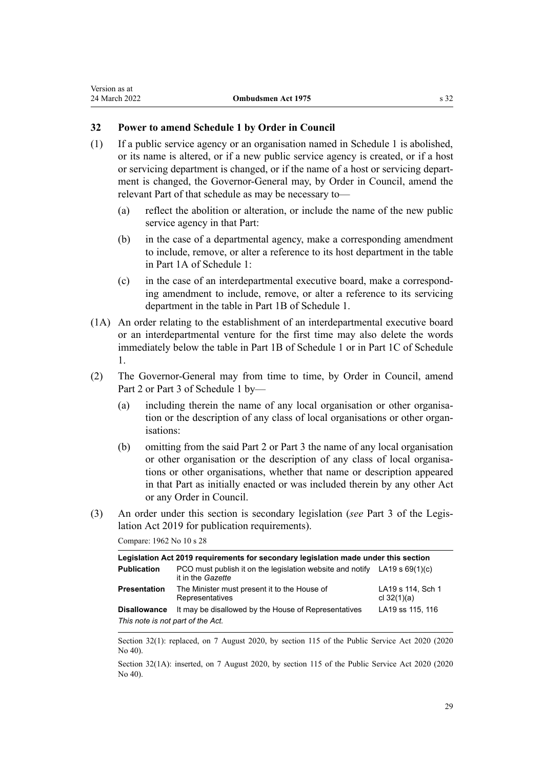### <span id="page-28-0"></span>**32 Power to amend Schedule 1 by Order in Council**

- (1) If a public service agency or an organisation named in [Schedule 1](#page-32-0) is abolished, or its name is altered, or if a new public service agency is created, or if a host or servicing department is changed, or if the name of a host or servicing depart‐ ment is changed, the Governor-General may, by Order in Council, amend the relevant Part of that schedule as may be necessary to—
	- (a) reflect the abolition or alteration, or include the name of the new public service agency in that Part:
	- (b) in the case of a departmental agency, make a corresponding amendment to include, remove, or alter a reference to its host department in the table in [Part 1A](#page-37-0) of Schedule 1:
	- (c) in the case of an interdepartmental executive board, make a correspond‐ ing amendment to include, remove, or alter a reference to its servicing department in the table in [Part 1B](#page-38-0) of Schedule 1.
- (1A) An order relating to the establishment of an interdepartmental executive board or an interdepartmental venture for the first time may also delete the words immediately below the table in [Part 1B](#page-38-0) of Schedule 1 or in [Part 1C](#page-38-0) of Schedule 1.
- (2) The Governor-General may from time to time, by Order in Council, amend [Part 2](#page-38-0) or [Part 3](#page-57-0) of Schedule 1 by—
	- (a) including therein the name of any local organisation or other organisation or the description of any class of local organisations or other organ‐ isations:
	- (b) omitting from the said [Part 2](#page-38-0) or [Part 3](#page-57-0) the name of any local organisation or other organisation or the description of any class of local organisations or other organisations, whether that name or description appeared in that Part as initially enacted or was included therein by any other Act or any Order in Council.
- (3) An order under this section is secondary legislation (*see* [Part 3](http://legislation.govt.nz/pdflink.aspx?id=DLM7298343) of the Legis‐ lation Act 2019 for publication requirements).

| Compare: 1962 No 10 s 28 |  |  |
|--------------------------|--|--|
|--------------------------|--|--|

| Legislation Act 2019 requirements for secondary legislation made under this section |                                                                                                         |                                    |  |
|-------------------------------------------------------------------------------------|---------------------------------------------------------------------------------------------------------|------------------------------------|--|
| <b>Publication</b>                                                                  | PCO must publish it on the legislation website and notify LA19 s $69(1)(c)$<br>it in the <i>Gazette</i> |                                    |  |
| <b>Presentation</b>                                                                 | The Minister must present it to the House of<br>Representatives                                         | LA19 s 114, Sch 1<br>cl $32(1)(a)$ |  |
| <b>Disallowance</b>                                                                 | It may be disallowed by the House of Representatives                                                    | LA19 ss 115, 116                   |  |
| This note is not part of the Act.                                                   |                                                                                                         |                                    |  |

Section 32(1): replaced, on 7 August 2020, by [section 115](http://legislation.govt.nz/pdflink.aspx?id=LMS359113) of the Public Service Act 2020 (2020 No 40).

Section 32(1A): inserted, on 7 August 2020, by [section 115](http://legislation.govt.nz/pdflink.aspx?id=LMS359113) of the Public Service Act 2020 (2020 No 40).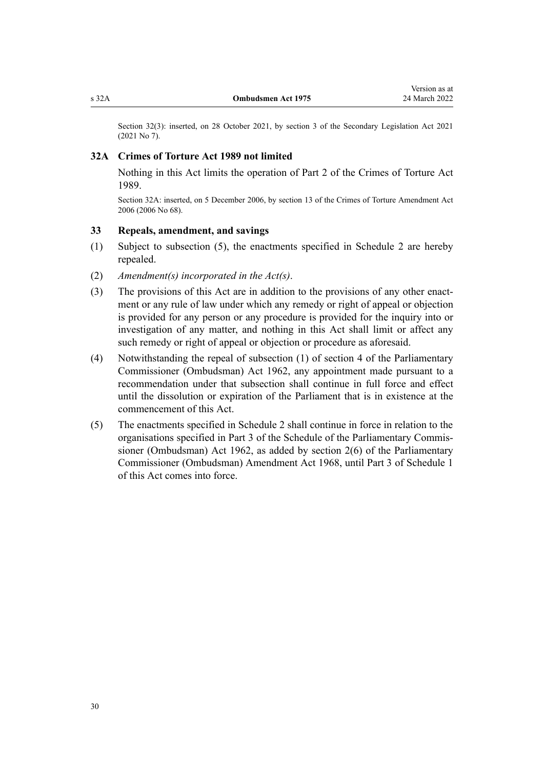<span id="page-29-0"></span>Section 32(3): inserted, on 28 October 2021, by [section 3](http://legislation.govt.nz/pdflink.aspx?id=LMS268932) of the Secondary Legislation Act 2021 (2021 No 7).

#### **32A Crimes of Torture Act 1989 not limited**

Nothing in this Act limits the operation of [Part 2](http://legislation.govt.nz/pdflink.aspx?id=DLM192866) of the Crimes of Torture Act 1989.

Section 32A: inserted, on 5 December 2006, by [section 13](http://legislation.govt.nz/pdflink.aspx?id=DLM393156) of the Crimes of Torture Amendment Act 2006 (2006 No 68).

### **33 Repeals, amendment, and savings**

- (1) Subject to subsection (5), the enactments specified in [Schedule 2](#page-62-0) are hereby repealed.
- (2) *Amendment(s) incorporated in the Act(s)*.
- (3) The provisions of this Act are in addition to the provisions of any other enactment or any rule of law under which any remedy or right of appeal or objection is provided for any person or any procedure is provided for the inquiry into or investigation of any matter, and nothing in this Act shall limit or affect any such remedy or right of appeal or objection or procedure as aforesaid.
- (4) Notwithstanding the repeal of subsection (1) of section 4 of the Parliamentary Commissioner (Ombudsman) Act 1962, any appointment made pursuant to a recommendation under that subsection shall continue in full force and effect until the dissolution or expiration of the Parliament that is in existence at the commencement of this Act.
- (5) The enactments specified in [Schedule 2](#page-62-0) shall continue in force in relation to the organisations specified in Part 3 of the Schedule of the Parliamentary Commis‐ sioner (Ombudsman) Act 1962, as added by section 2(6) of the Parliamentary Commissioner (Ombudsman) Amendment Act 1968, until [Part 3](#page-57-0) of Schedule 1 of this Act comes into force.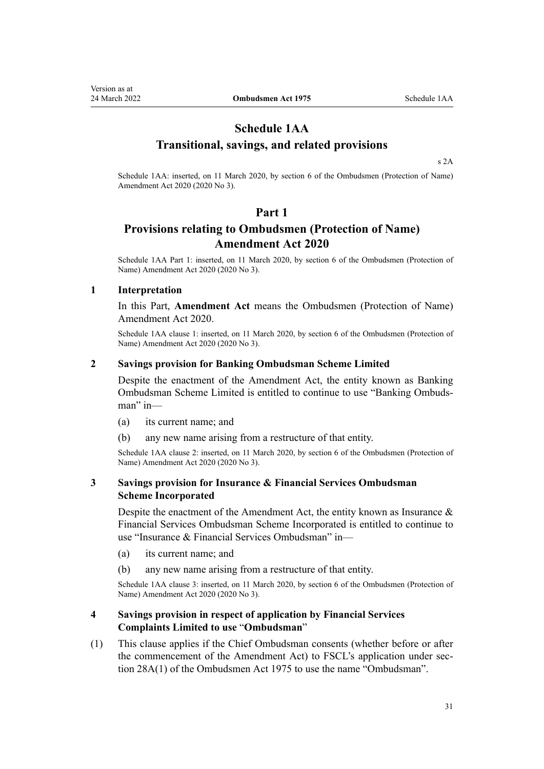# <span id="page-30-0"></span>**Schedule 1AA Transitional, savings, and related provisions**

 $s$  2A

Schedule 1AA: inserted, on 11 March 2020, by [section 6](http://legislation.govt.nz/pdflink.aspx?id=LMS190599) of the Ombudsmen (Protection of Name) Amendment Act 2020 (2020 No 3).

## **Part 1**

# **Provisions relating to Ombudsmen (Protection of Name) Amendment Act 2020**

Schedule 1AA Part 1: inserted, on 11 March 2020, by [section 6](http://legislation.govt.nz/pdflink.aspx?id=LMS190599) of the Ombudsmen (Protection of Name) Amendment Act 2020 (2020 No 3).

#### **1 Interpretation**

In this Part, **Amendment Act** means the [Ombudsmen \(Protection of Name\)](http://legislation.govt.nz/pdflink.aspx?id=LMS190584) [Amendment Act 2020](http://legislation.govt.nz/pdflink.aspx?id=LMS190584).

Schedule 1AA clause 1: inserted, on 11 March 2020, by [section 6](http://legislation.govt.nz/pdflink.aspx?id=LMS190599) of the Ombudsmen (Protection of Name) Amendment Act 2020 (2020 No 3).

### **2 Savings provision for Banking Ombudsman Scheme Limited**

Despite the enactment of the Amendment Act, the entity known as Banking Ombudsman Scheme Limited is entitled to continue to use "Banking Ombuds‐ man" in—

- (a) its current name; and
- (b) any new name arising from a restructure of that entity.

Schedule 1AA clause 2: inserted, on 11 March 2020, by [section 6](http://legislation.govt.nz/pdflink.aspx?id=LMS190599) of the Ombudsmen (Protection of Name) Amendment Act 2020 (2020 No 3).

### **3 Savings provision for Insurance & Financial Services Ombudsman Scheme Incorporated**

Despite the enactment of the Amendment Act, the entity known as Insurance & Financial Services Ombudsman Scheme Incorporated is entitled to continue to use "Insurance & Financial Services Ombudsman" in—

- (a) its current name; and
- (b) any new name arising from a restructure of that entity.

Schedule 1AA clause 3: inserted, on 11 March 2020, by [section 6](http://legislation.govt.nz/pdflink.aspx?id=LMS190599) of the Ombudsmen (Protection of Name) Amendment Act 2020 (2020 No 3).

### **4 Savings provision in respect of application by Financial Services Complaints Limited to use** "**Ombudsman**"

(1) This clause applies if the Chief Ombudsman consents (whether before or after the commencement of the Amendment Act) to FSCL's application under section 28A(1) of the Ombudsmen Act 1975 to use the name "Ombudsman".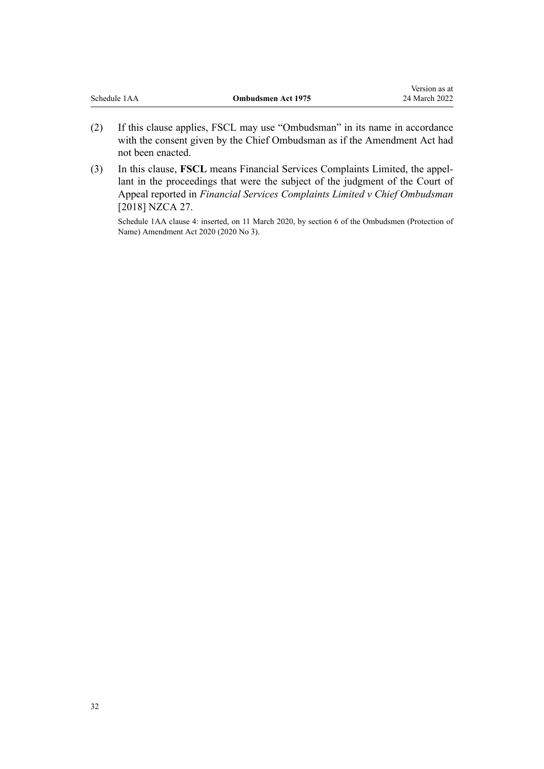| Schedule 1AA |                                                                                                                                                                              | <b>Ombudsmen Act 1975</b> | 24 March 2022 |
|--------------|------------------------------------------------------------------------------------------------------------------------------------------------------------------------------|---------------------------|---------------|
| (2)          | If this clause applies, FSCL may use "Ombudsman" in its name in accordance<br>with the consent given by the Chief Ombudsman as if the Amendment Act had<br>not been enacted. |                           |               |

Version as at

(3) In this clause, **FSCL** means Financial Services Complaints Limited, the appel‐ lant in the proceedings that were the subject of the judgment of the Court of Appeal reported in *Financial Services Complaints Limited v Chief Ombudsman* [2018] NZCA 27.

Schedule 1AA clause 4: inserted, on 11 March 2020, by [section 6](http://legislation.govt.nz/pdflink.aspx?id=LMS190599) of the Ombudsmen (Protection of Name) Amendment Act 2020 (2020 No 3).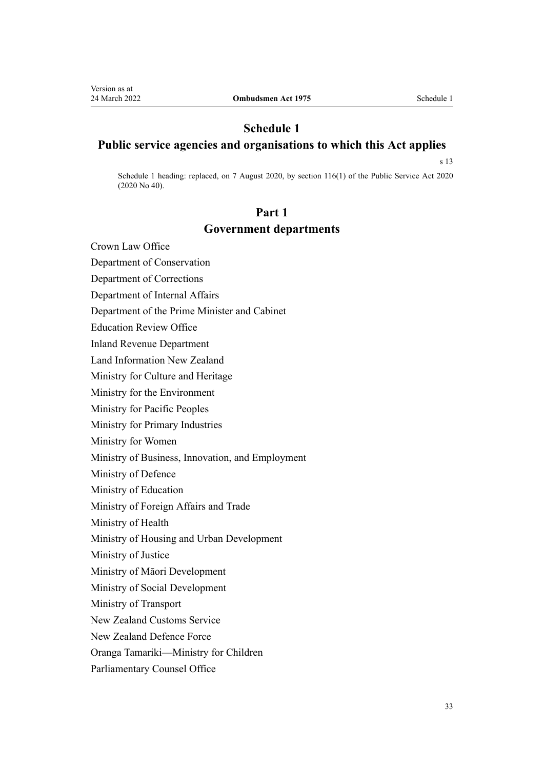# **Schedule 1**

# <span id="page-32-0"></span>**Public service agencies and organisations to which this Act applies**

[s 13](#page-8-0)

Schedule 1 heading: replaced, on 7 August 2020, by [section 116\(1\)](http://legislation.govt.nz/pdflink.aspx?id=LMS359120) of the Public Service Act 2020 (2020 No 40).

# **Part 1**

## **Government departments**

Crown Law Office

Department of Conservation

Department of Corrections

Department of Internal Affairs

Department of the Prime Minister and Cabinet

Education Review Office

Inland Revenue Department

Land Information New Zealand

Ministry for Culture and Heritage

Ministry for the Environment

Ministry for Pacific Peoples

Ministry for Primary Industries

Ministry for Women

Ministry of Business, Innovation, and Employment

Ministry of Defence

Ministry of Education

Ministry of Foreign Affairs and Trade

Ministry of Health

Ministry of Housing and Urban Development

Ministry of Justice

Ministry of Māori Development

Ministry of Social Development

Ministry of Transport

New Zealand Customs Service

New Zealand Defence Force

Oranga Tamariki—Ministry for Children

Parliamentary Counsel Office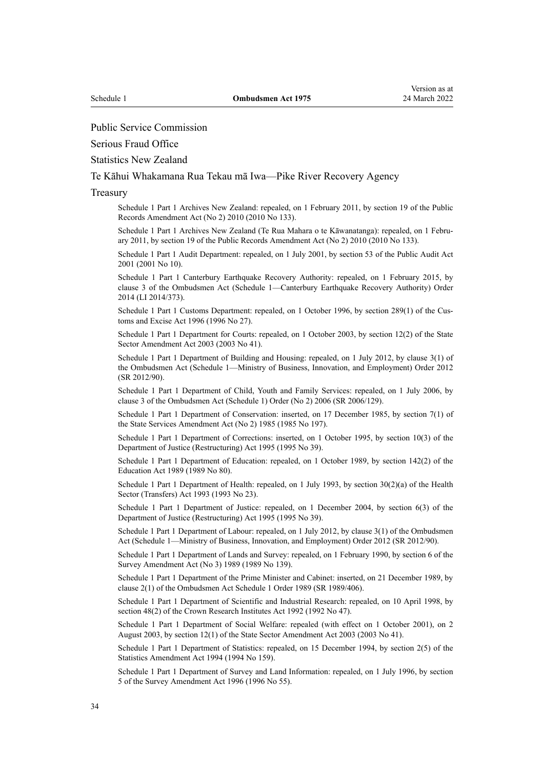#### Public Service Commission

Serious Fraud Office

Statistics New Zealand

#### Te Kāhui Whakamana Rua Tekau mā Iwa—Pike River Recovery Agency

#### Treasury

Schedule 1 Part 1 Archives New Zealand: repealed, on 1 February 2011, by [section 19](http://legislation.govt.nz/pdflink.aspx?id=DLM3431136) of the Public Records Amendment Act (No 2) 2010 (2010 No 133).

Schedule 1 Part 1 Archives New Zealand (Te Rua Mahara o te Kāwanatanga): repealed, on 1 Febru‐ ary 2011, by [section 19](http://legislation.govt.nz/pdflink.aspx?id=DLM3431136) of the Public Records Amendment Act (No 2) 2010 (2010 No 133).

Schedule 1 Part 1 Audit Department: repealed, on 1 July 2001, by [section 53](http://legislation.govt.nz/pdflink.aspx?id=DLM88957) of the Public Audit Act 2001 (2001 No 10).

Schedule 1 Part 1 Canterbury Earthquake Recovery Authority: repealed, on 1 February 2015, by [clause 3](http://legislation.govt.nz/pdflink.aspx?id=DLM6326513) of the Ombudsmen Act (Schedule 1—Canterbury Earthquake Recovery Authority) Order 2014 (LI 2014/373).

Schedule 1 Part 1 Customs Department: repealed, on 1 October 1996, by [section 289\(1\)](http://legislation.govt.nz/pdflink.aspx?id=DLM380185) of the Customs and Excise Act 1996 (1996 No 27).

Schedule 1 Part 1 Department for Courts: repealed, on 1 October 2003, by [section 12\(2\)](http://legislation.govt.nz/pdflink.aspx?id=DLM201376) of the State Sector Amendment Act 2003 (2003 No 41).

Schedule 1 Part 1 Department of Building and Housing: repealed, on 1 July 2012, by [clause 3\(1\)](http://legislation.govt.nz/pdflink.aspx?id=DLM4441506) of the Ombudsmen Act (Schedule 1—Ministry of Business, Innovation, and Employment) Order 2012 (SR 2012/90).

Schedule 1 Part 1 Department of Child, Youth and Family Services: repealed, on 1 July 2006, by [clause 3](http://legislation.govt.nz/pdflink.aspx?id=DLM382473) of the Ombudsmen Act (Schedule 1) Order (No 2) 2006 (SR 2006/129).

Schedule 1 Part 1 Department of Conservation: inserted, on 17 December 1985, by section 7(1) of the State Services Amendment Act (No 2) 1985 (1985 No 197).

Schedule 1 Part 1 Department of Corrections: inserted, on 1 October 1995, by [section 10\(3\)](http://legislation.govt.nz/pdflink.aspx?id=DLM367235) of the Department of Justice (Restructuring) Act 1995 (1995 No 39).

Schedule 1 Part 1 Department of Education: repealed, on 1 October 1989, by [section 142\(2\)](http://legislation.govt.nz/pdflink.aspx?id=DLM182043) of the Education Act 1989 (1989 No 80).

Schedule 1 Part 1 Department of Health: repealed, on 1 July 1993, by [section 30\(2\)\(a\)](http://legislation.govt.nz/pdflink.aspx?id=DLM295176) of the Health Sector (Transfers) Act 1993 (1993 No 23).

Schedule 1 Part 1 Department of Justice: repealed, on 1 December 2004, by [section 6\(3\)](http://legislation.govt.nz/pdflink.aspx?id=DLM367231) of the Department of Justice (Restructuring) Act 1995 (1995 No 39).

Schedule 1 Part 1 Department of Labour: repealed, on 1 July 2012, by [clause 3\(1\)](http://legislation.govt.nz/pdflink.aspx?id=DLM4441506) of the Ombudsmen Act (Schedule 1—Ministry of Business, Innovation, and Employment) Order 2012 (SR 2012/90).

Schedule 1 Part 1 Department of Lands and Survey: repealed, on 1 February 1990, by section 6 of the Survey Amendment Act (No 3) 1989 (1989 No 139).

Schedule 1 Part 1 Department of the Prime Minister and Cabinet: inserted, on 21 December 1989, by [clause 2\(1\)](http://legislation.govt.nz/pdflink.aspx?id=DLM134797) of the Ombudsmen Act Schedule 1 Order 1989 (SR 1989/406).

Schedule 1 Part 1 Department of Scientific and Industrial Research: repealed, on 10 April 1998, by [section 48\(2\)](http://legislation.govt.nz/pdflink.aspx?id=DLM265669) of the Crown Research Institutes Act 1992 (1992 No 47).

Schedule 1 Part 1 Department of Social Welfare: repealed (with effect on 1 October 2001), on 2 August 2003, by [section 12\(1\)](http://legislation.govt.nz/pdflink.aspx?id=DLM201376) of the State Sector Amendment Act 2003 (2003 No 41).

Schedule 1 Part 1 Department of Statistics: repealed, on 15 December 1994, by [section 2\(5\)](http://legislation.govt.nz/pdflink.aspx?id=DLM347442) of the Statistics Amendment Act 1994 (1994 No 159).

Schedule 1 Part 1 Department of Survey and Land Information: repealed, on 1 July 1996, by section 5 of the Survey Amendment Act 1996 (1996 No 55).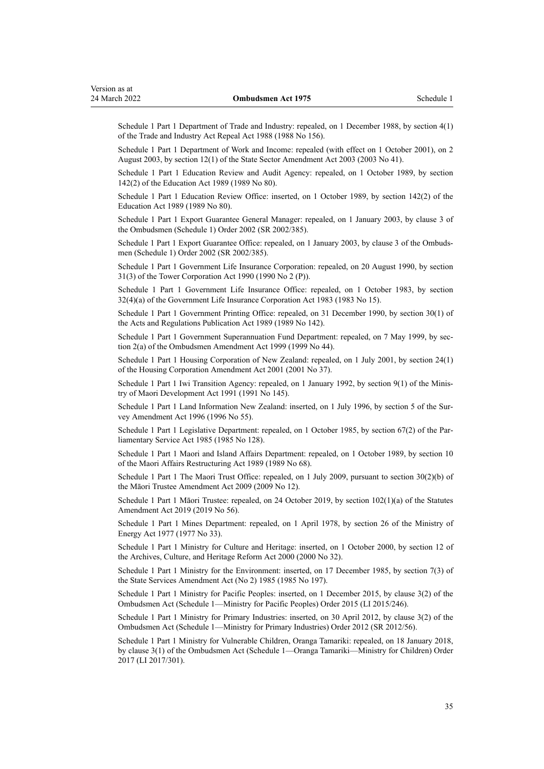Schedule 1 Part 1 Department of Trade and Industry: repealed, on 1 December 1988, by [section 4\(1\)](http://legislation.govt.nz/pdflink.aspx?id=DLM137557) of the Trade and Industry Act Repeal Act 1988 (1988 No 156).

Schedule 1 Part 1 Department of Work and Income: repealed (with effect on 1 October 2001), on 2 August 2003, by [section 12\(1\)](http://legislation.govt.nz/pdflink.aspx?id=DLM201376) of the State Sector Amendment Act 2003 (2003 No 41).

Schedule 1 Part 1 Education Review and Audit Agency: repealed, on 1 October 1989, by [section](http://legislation.govt.nz/pdflink.aspx?id=DLM182043) [142\(2\)](http://legislation.govt.nz/pdflink.aspx?id=DLM182043) of the Education Act 1989 (1989 No 80).

Schedule 1 Part 1 Education Review Office: inserted, on 1 October 1989, by [section 142\(2\)](http://legislation.govt.nz/pdflink.aspx?id=DLM182043) of the Education Act 1989 (1989 No 80).

Schedule 1 Part 1 Export Guarantee General Manager: repealed, on 1 January 2003, by [clause 3](http://legislation.govt.nz/pdflink.aspx?id=DLM171047) of the Ombudsmen (Schedule 1) Order 2002 (SR 2002/385).

Schedule 1 Part 1 Export Guarantee Office: repealed, on 1 January 2003, by [clause 3](http://legislation.govt.nz/pdflink.aspx?id=DLM171047) of the Ombuds‐ men (Schedule 1) Order 2002 (SR 2002/385).

Schedule 1 Part 1 Government Life Insurance Corporation: repealed, on 20 August 1990, by [section](http://legislation.govt.nz/pdflink.aspx?id=DLM114551) [31\(3\)](http://legislation.govt.nz/pdflink.aspx?id=DLM114551) of the Tower Corporation Act 1990 (1990 No 2 (P)).

Schedule 1 Part 1 Government Life Insurance Office: repealed, on 1 October 1983, by section 32(4)(a) of the Government Life Insurance Corporation Act 1983 (1983 No 15).

Schedule 1 Part 1 Government Printing Office: repealed, on 31 December 1990, by [section 30\(1\)](http://legislation.govt.nz/pdflink.aspx?id=DLM195514) of the Acts and Regulations Publication Act 1989 (1989 No 142).

Schedule 1 Part 1 Government Superannuation Fund Department: repealed, on 7 May 1999, by sec[tion 2\(a\)](http://legislation.govt.nz/pdflink.aspx?id=DLM24764) of the Ombudsmen Amendment Act 1999 (1999 No 44).

Schedule 1 Part 1 Housing Corporation of New Zealand: repealed, on 1 July 2001, by [section 24\(1\)](http://legislation.govt.nz/pdflink.aspx?id=DLM96736) of the Housing Corporation Amendment Act 2001 (2001 No 37).

Schedule 1 Part 1 Iwi Transition Agency: repealed, on 1 January 1992, by section 9(1) of the Ministry of Maori Development Act 1991 (1991 No 145).

Schedule 1 Part 1 Land Information New Zealand: inserted, on 1 July 1996, by section 5 of the Survey Amendment Act 1996 (1996 No 55).

Schedule 1 Part 1 Legislative Department: repealed, on 1 October 1985, by section 67(2) of the Parliamentary Service Act 1985 (1985 No 128).

Schedule 1 Part 1 Maori and Island Affairs Department: repealed, on 1 October 1989, by [section 10](http://legislation.govt.nz/pdflink.aspx?id=DLM170435) of the Maori Affairs Restructuring Act 1989 (1989 No 68).

Schedule 1 Part 1 The Maori Trust Office: repealed, on 1 July 2009, pursuant to [section 30\(2\)\(b\)](http://legislation.govt.nz/pdflink.aspx?id=DLM1583888) of the Māori Trustee Amendment Act 2009 (2009 No 12).

Schedule 1 Part 1 Māori Trustee: repealed, on 24 October 2019, by [section 102\(1\)\(a\)](http://legislation.govt.nz/pdflink.aspx?id=LMS59036) of the Statutes Amendment Act 2019 (2019 No 56).

Schedule 1 Part 1 Mines Department: repealed, on 1 April 1978, by section 26 of the Ministry of Energy Act 1977 (1977 No 33).

Schedule 1 Part 1 Ministry for Culture and Heritage: inserted, on 1 October 2000, by [section 12](http://legislation.govt.nz/pdflink.aspx?id=DLM67196) of the Archives, Culture, and Heritage Reform Act 2000 (2000 No 32).

Schedule 1 Part 1 Ministry for the Environment: inserted, on 17 December 1985, by section 7(3) of the State Services Amendment Act (No 2) 1985 (1985 No 197).

Schedule 1 Part 1 Ministry for Pacific Peoples: inserted, on 1 December 2015, by [clause 3\(2\)](http://legislation.govt.nz/pdflink.aspx?id=DLM6627335) of the Ombudsmen Act (Schedule 1—Ministry for Pacific Peoples) Order 2015 (LI 2015/246).

Schedule 1 Part 1 Ministry for Primary Industries: inserted, on 30 April 2012, by [clause 3\(2\)](http://legislation.govt.nz/pdflink.aspx?id=DLM4361558) of the Ombudsmen Act (Schedule 1—Ministry for Primary Industries) Order 2012 (SR 2012/56).

Schedule 1 Part 1 Ministry for Vulnerable Children, Oranga Tamariki: repealed, on 18 January 2018, by [clause 3\(1\)](http://legislation.govt.nz/pdflink.aspx?id=DLM7518316) of the Ombudsmen Act (Schedule 1—Oranga Tamariki—Ministry for Children) Order 2017 (LI 2017/301).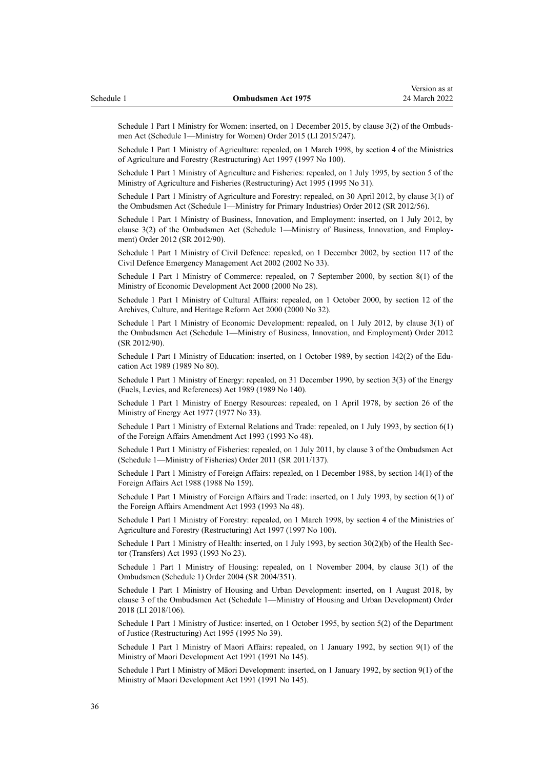Schedule 1 Part 1 Ministry for Women: inserted, on 1 December 2015, by [clause 3\(2\)](http://legislation.govt.nz/pdflink.aspx?id=DLM6627352) of the Ombuds‐ men Act (Schedule 1—Ministry for Women) Order 2015 (LI 2015/247).

Schedule 1 Part 1 Ministry of Agriculture: repealed, on 1 March 1998, by [section 4](http://legislation.govt.nz/pdflink.aspx?id=DLM418617) of the Ministries of Agriculture and Forestry (Restructuring) Act 1997 (1997 No 100).

Schedule 1 Part 1 Ministry of Agriculture and Fisheries: repealed, on 1 July 1995, by [section 5](http://legislation.govt.nz/pdflink.aspx?id=DLM366836) of the Ministry of Agriculture and Fisheries (Restructuring) Act 1995 (1995 No 31).

Schedule 1 Part 1 Ministry of Agriculture and Forestry: repealed, on 30 April 2012, by [clause 3\(1\)](http://legislation.govt.nz/pdflink.aspx?id=DLM4361558) of the Ombudsmen Act (Schedule 1—Ministry for Primary Industries) Order 2012 (SR 2012/56).

Schedule 1 Part 1 Ministry of Business, Innovation, and Employment: inserted, on 1 July 2012, by [clause 3\(2\)](http://legislation.govt.nz/pdflink.aspx?id=DLM4441506) of the Ombudsmen Act (Schedule 1—Ministry of Business, Innovation, and Employ‐ ment) Order 2012 (SR 2012/90).

Schedule 1 Part 1 Ministry of Civil Defence: repealed, on 1 December 2002, by [section 117](http://legislation.govt.nz/pdflink.aspx?id=DLM151437) of the Civil Defence Emergency Management Act 2002 (2002 No 33).

Schedule 1 Part 1 Ministry of Commerce: repealed, on 7 September 2000, by [section 8\(1\)](http://legislation.govt.nz/pdflink.aspx?id=DLM67109) of the Ministry of Economic Development Act 2000 (2000 No 28).

Schedule 1 Part 1 Ministry of Cultural Affairs: repealed, on 1 October 2000, by [section 12](http://legislation.govt.nz/pdflink.aspx?id=DLM67196) of the Archives, Culture, and Heritage Reform Act 2000 (2000 No 32).

Schedule 1 Part 1 Ministry of Economic Development: repealed, on 1 July 2012, by [clause 3\(1\)](http://legislation.govt.nz/pdflink.aspx?id=DLM4441506) of the Ombudsmen Act (Schedule 1—Ministry of Business, Innovation, and Employment) Order 2012 (SR 2012/90).

Schedule 1 Part 1 Ministry of Education: inserted, on 1 October 1989, by [section 142\(2\)](http://legislation.govt.nz/pdflink.aspx?id=DLM182043) of the Education Act 1989 (1989 No 80).

Schedule 1 Part 1 Ministry of Energy: repealed, on 31 December 1990, by [section 3\(3\)](http://legislation.govt.nz/pdflink.aspx?id=DLM194765) of the Energy (Fuels, Levies, and References) Act 1989 (1989 No 140).

Schedule 1 Part 1 Ministry of Energy Resources: repealed, on 1 April 1978, by section 26 of the Ministry of Energy Act 1977 (1977 No 33).

Schedule 1 Part 1 Ministry of External Relations and Trade: repealed, on 1 July 1993, by section 6(1) of the Foreign Affairs Amendment Act 1993 (1993 No 48).

Schedule 1 Part 1 Ministry of Fisheries: repealed, on 1 July 2011, by [clause 3](http://legislation.govt.nz/pdflink.aspx?id=DLM3698306) of the Ombudsmen Act (Schedule 1—Ministry of Fisheries) Order 2011 (SR 2011/137).

Schedule 1 Part 1 Ministry of Foreign Affairs: repealed, on 1 December 1988, by [section 14\(1\)](http://legislation.govt.nz/pdflink.aspx?id=DLM138741) of the Foreign Affairs Act 1988 (1988 No 159).

Schedule 1 Part 1 Ministry of Foreign Affairs and Trade: inserted, on 1 July 1993, by [section 6\(1\)](http://legislation.govt.nz/pdflink.aspx?id=DLM302525) of the Foreign Affairs Amendment Act 1993 (1993 No 48).

Schedule 1 Part 1 Ministry of Forestry: repealed, on 1 March 1998, by [section 4](http://legislation.govt.nz/pdflink.aspx?id=DLM418617) of the Ministries of Agriculture and Forestry (Restructuring) Act 1997 (1997 No 100).

Schedule 1 Part 1 Ministry of Health: inserted, on 1 July 1993, by [section 30\(2\)\(b\)](http://legislation.govt.nz/pdflink.aspx?id=DLM295176) of the Health Sector (Transfers) Act 1993 (1993 No 23).

Schedule 1 Part 1 Ministry of Housing: repealed, on 1 November 2004, by [clause 3\(1\)](http://legislation.govt.nz/pdflink.aspx?id=DLM292296) of the Ombudsmen (Schedule 1) Order 2004 (SR 2004/351).

Schedule 1 Part 1 Ministry of Housing and Urban Development: inserted, on 1 August 2018, by [clause 3](http://legislation.govt.nz/pdflink.aspx?id=LMS51669) of the Ombudsmen Act (Schedule 1—Ministry of Housing and Urban Development) Order 2018 (LI 2018/106).

Schedule 1 Part 1 Ministry of Justice: inserted, on 1 October 1995, by [section 5\(2\)](http://legislation.govt.nz/pdflink.aspx?id=DLM367230) of the Department of Justice (Restructuring) Act 1995 (1995 No 39).

Schedule 1 Part 1 Ministry of Maori Affairs: repealed, on 1 January 1992, by [section 9\(1\)](http://legislation.govt.nz/pdflink.aspx?id=DLM257786) of the Ministry of Maori Development Act 1991 (1991 No 145).

Schedule 1 Part 1 Ministry of Māori Development: inserted, on 1 January 1992, by [section 9\(1\)](http://legislation.govt.nz/pdflink.aspx?id=DLM257786) of the Ministry of Maori Development Act 1991 (1991 No 145).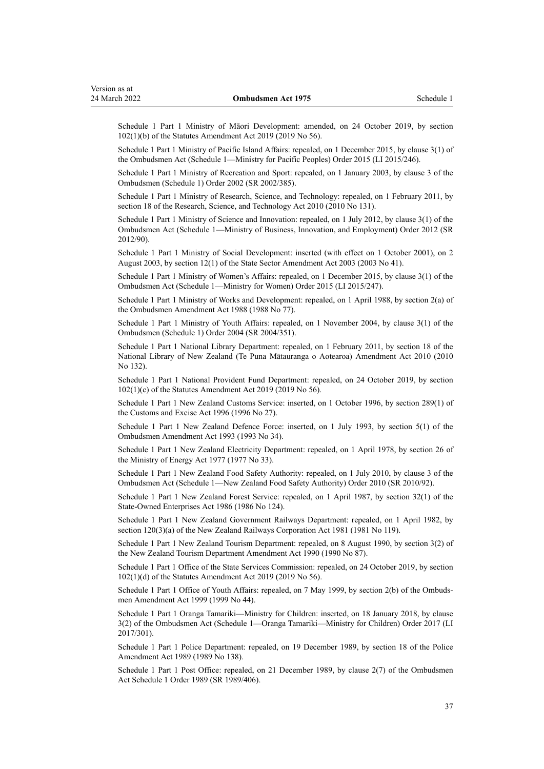Schedule 1 Part 1 Ministry of Māori Development: amended, on 24 October 2019, by [section](http://legislation.govt.nz/pdflink.aspx?id=LMS59036) [102\(1\)\(b\)](http://legislation.govt.nz/pdflink.aspx?id=LMS59036) of the Statutes Amendment Act 2019 (2019 No 56).

Schedule 1 Part 1 Ministry of Pacific Island Affairs: repealed, on 1 December 2015, by [clause 3\(1\)](http://legislation.govt.nz/pdflink.aspx?id=DLM6627335) of the Ombudsmen Act (Schedule 1—Ministry for Pacific Peoples) Order 2015 (LI 2015/246).

Schedule 1 Part 1 Ministry of Recreation and Sport: repealed, on 1 January 2003, by [clause 3](http://legislation.govt.nz/pdflink.aspx?id=DLM171047) of the Ombudsmen (Schedule 1) Order 2002 (SR 2002/385).

Schedule 1 Part 1 Ministry of Research, Science, and Technology: repealed, on 1 February 2011, by [section 18](http://legislation.govt.nz/pdflink.aspx?id=DLM3431046) of the Research, Science, and Technology Act 2010 (2010 No 131).

Schedule 1 Part 1 Ministry of Science and Innovation: repealed, on 1 July 2012, by [clause 3\(1\)](http://legislation.govt.nz/pdflink.aspx?id=DLM4441506) of the Ombudsmen Act (Schedule 1—Ministry of Business, Innovation, and Employment) Order 2012 (SR 2012/90).

Schedule 1 Part 1 Ministry of Social Development: inserted (with effect on 1 October 2001), on 2 August 2003, by [section 12\(1\)](http://legislation.govt.nz/pdflink.aspx?id=DLM201376) of the State Sector Amendment Act 2003 (2003 No 41).

Schedule 1 Part 1 Ministry of Women's Affairs: repealed, on 1 December 2015, by [clause 3\(1\)](http://legislation.govt.nz/pdflink.aspx?id=DLM6627352) of the Ombudsmen Act (Schedule 1—Ministry for Women) Order 2015 (LI 2015/247).

Schedule 1 Part 1 Ministry of Works and Development: repealed, on 1 April 1988, by section 2(a) of the Ombudsmen Amendment Act 1988 (1988 No 77).

Schedule 1 Part 1 Ministry of Youth Affairs: repealed, on 1 November 2004, by [clause 3\(1\)](http://legislation.govt.nz/pdflink.aspx?id=DLM292296) of the Ombudsmen (Schedule 1) Order 2004 (SR 2004/351).

Schedule 1 Part 1 National Library Department: repealed, on 1 February 2011, by [section 18](http://legislation.govt.nz/pdflink.aspx?id=DLM3430033) of the National Library of New Zealand (Te Puna Mātauranga o Aotearoa) Amendment Act 2010 (2010 No 132).

Schedule 1 Part 1 National Provident Fund Department: repealed, on 24 October 2019, by [section](http://legislation.govt.nz/pdflink.aspx?id=LMS59036) [102\(1\)\(c\)](http://legislation.govt.nz/pdflink.aspx?id=LMS59036) of the Statutes Amendment Act 2019 (2019 No 56).

Schedule 1 Part 1 New Zealand Customs Service: inserted, on 1 October 1996, by [section 289\(1\)](http://legislation.govt.nz/pdflink.aspx?id=DLM380185) of the Customs and Excise Act 1996 (1996 No 27).

Schedule 1 Part 1 New Zealand Defence Force: inserted, on 1 July 1993, by section 5(1) of the Ombudsmen Amendment Act 1993 (1993 No 34).

Schedule 1 Part 1 New Zealand Electricity Department: repealed, on 1 April 1978, by section 26 of the Ministry of Energy Act 1977 (1977 No 33).

Schedule 1 Part 1 New Zealand Food Safety Authority: repealed, on 1 July 2010, by [clause 3](http://legislation.govt.nz/pdflink.aspx?id=DLM2894891) of the Ombudsmen Act (Schedule 1—New Zealand Food Safety Authority) Order 2010 (SR 2010/92).

Schedule 1 Part 1 New Zealand Forest Service: repealed, on 1 April 1987, by section 32(1) of the State-Owned Enterprises Act 1986 (1986 No 124).

Schedule 1 Part 1 New Zealand Government Railways Department: repealed, on 1 April 1982, by section 120(3)(a) of the New Zealand Railways Corporation Act 1981 (1981 No 119).

Schedule 1 Part 1 New Zealand Tourism Department: repealed, on 8 August 1990, by section 3(2) of the New Zealand Tourism Department Amendment Act 1990 (1990 No 87).

Schedule 1 Part 1 Office of the State Services Commission: repealed, on 24 October 2019, by [section](http://legislation.govt.nz/pdflink.aspx?id=LMS59036) [102\(1\)\(d\)](http://legislation.govt.nz/pdflink.aspx?id=LMS59036) of the Statutes Amendment Act 2019 (2019 No 56).

Schedule 1 Part 1 Office of Youth Affairs: repealed, on 7 May 1999, by [section 2\(b\)](http://legislation.govt.nz/pdflink.aspx?id=DLM24764) of the Ombuds‐ men Amendment Act 1999 (1999 No 44).

Schedule 1 Part 1 Oranga Tamariki—Ministry for Children: inserted, on 18 January 2018, by [clause](http://legislation.govt.nz/pdflink.aspx?id=DLM7518316) [3\(2\)](http://legislation.govt.nz/pdflink.aspx?id=DLM7518316) of the Ombudsmen Act (Schedule 1—Oranga Tamariki—Ministry for Children) Order 2017 (LI 2017/301).

Schedule 1 Part 1 Police Department: repealed, on 19 December 1989, by section 18 of the Police Amendment Act 1989 (1989 No 138).

Schedule 1 Part 1 Post Office: repealed, on 21 December 1989, by [clause 2\(7\)](http://legislation.govt.nz/pdflink.aspx?id=DLM134797) of the Ombudsmen Act Schedule 1 Order 1989 (SR 1989/406).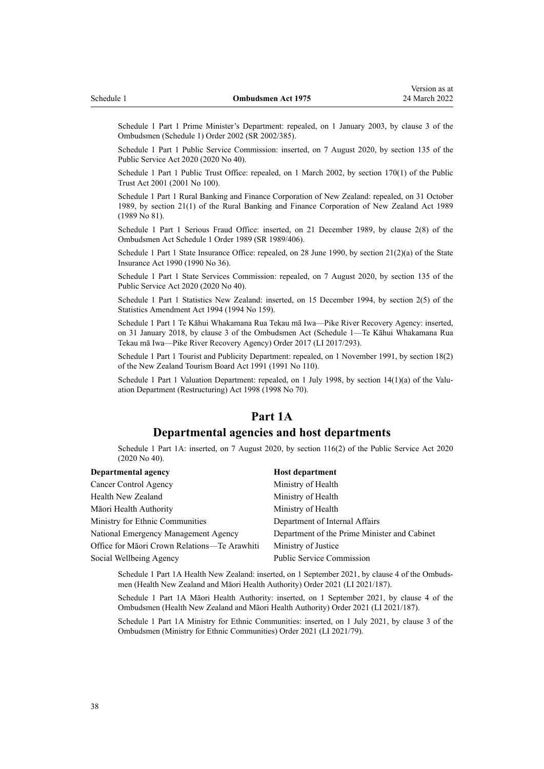Schedule 1 Part 1 Prime Minister's Department: repealed, on 1 January 2003, by [clause 3](http://legislation.govt.nz/pdflink.aspx?id=DLM171047) of the Ombudsmen (Schedule 1) Order 2002 (SR 2002/385).

Schedule 1 Part 1 Public Service Commission: inserted, on 7 August 2020, by [section 135](http://legislation.govt.nz/pdflink.aspx?id=LMS176959) of the Public Service Act 2020 (2020 No 40).

Schedule 1 Part 1 Public Trust Office: repealed, on 1 March 2002, by [section 170\(1\)](http://legislation.govt.nz/pdflink.aspx?id=DLM124529) of the Public Trust Act 2001 (2001 No 100).

Schedule 1 Part 1 Rural Banking and Finance Corporation of New Zealand: repealed, on 31 October 1989, by [section 21\(1\)](http://legislation.govt.nz/pdflink.aspx?id=DLM191709) of the Rural Banking and Finance Corporation of New Zealand Act 1989 (1989 No 81).

Schedule 1 Part 1 Serious Fraud Office: inserted, on 21 December 1989, by [clause 2\(8\)](http://legislation.govt.nz/pdflink.aspx?id=DLM134797) of the Ombudsmen Act Schedule 1 Order 1989 (SR 1989/406).

Schedule 1 Part 1 State Insurance Office: repealed, on 28 June 1990, by [section 21\(2\)\(a\)](http://legislation.govt.nz/pdflink.aspx?id=DLM210424) of the State Insurance Act 1990 (1990 No 36).

Schedule 1 Part 1 State Services Commission: repealed, on 7 August 2020, by [section 135](http://legislation.govt.nz/pdflink.aspx?id=LMS176959) of the Public Service Act 2020 (2020 No 40).

Schedule 1 Part 1 Statistics New Zealand: inserted, on 15 December 1994, by [section 2\(5\)](http://legislation.govt.nz/pdflink.aspx?id=DLM347442) of the Statistics Amendment Act 1994 (1994 No 159).

Schedule 1 Part 1 Te Kāhui Whakamana Rua Tekau mā Iwa—Pike River Recovery Agency: inserted, on 31 January 2018, by [clause 3](http://legislation.govt.nz/pdflink.aspx?id=DLM7495512) of the Ombudsmen Act (Schedule 1—Te Kāhui Whakamana Rua Tekau mā Iwa—Pike River Recovery Agency) Order 2017 (LI 2017/293).

Schedule 1 Part 1 Tourist and Publicity Department: repealed, on 1 November 1991, by [section 18\(2\)](http://legislation.govt.nz/pdflink.aspx?id=DLM249395) of the New Zealand Tourism Board Act 1991 (1991 No 110).

Schedule 1 Part 1 Valuation Department: repealed, on 1 July 1998, by section  $14(1)(a)$  of the Valuation Department (Restructuring) Act 1998 (1998 No 70).

#### **Part 1A**

#### **Departmental agencies and host departments**

Schedule 1 Part 1A: inserted, on 7 August 2020, by [section 116\(2\)](http://legislation.govt.nz/pdflink.aspx?id=LMS359120) of the Public Service Act 2020 (2020 No 40).

| <b>Host department</b>                       |
|----------------------------------------------|
| Ministry of Health                           |
| Ministry of Health                           |
| Ministry of Health                           |
| Department of Internal Affairs               |
| Department of the Prime Minister and Cabinet |
| Ministry of Justice                          |
| <b>Public Service Commission</b>             |
|                                              |

Schedule 1 Part 1A Health New Zealand: inserted, on 1 September 2021, by [clause 4](http://legislation.govt.nz/pdflink.aspx?id=LMS514787) of the Ombudsmen (Health New Zealand and Māori Health Authority) Order 2021 (LI 2021/187).

Schedule 1 Part 1A Māori Health Authority: inserted, on 1 September 2021, by [clause 4](http://legislation.govt.nz/pdflink.aspx?id=LMS514787) of the Ombudsmen (Health New Zealand and Māori Health Authority) Order 2021 (LI 2021/187).

Schedule 1 Part 1A Ministry for Ethnic Communities: inserted, on 1 July 2021, by [clause 3](http://legislation.govt.nz/pdflink.aspx?id=LMS474737) of the Ombudsmen (Ministry for Ethnic Communities) Order 2021 (LI 2021/79).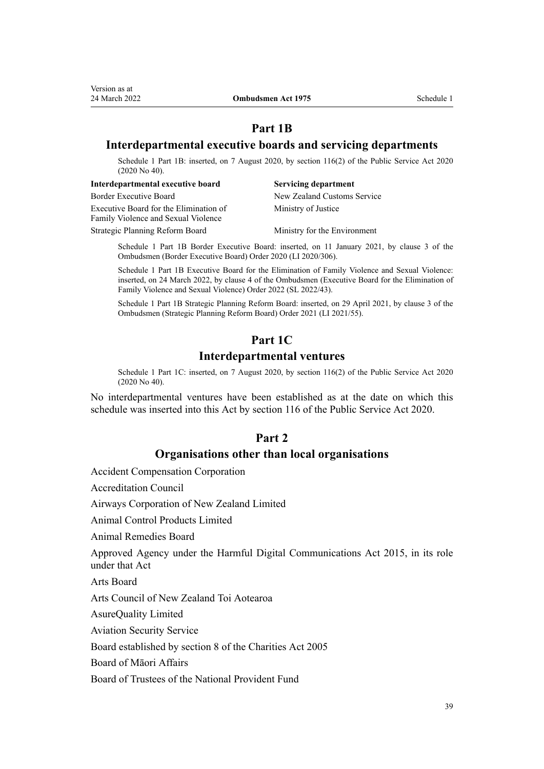# **Part 1B**

#### **Interdepartmental executive boards and servicing departments**

Schedule 1 Part 1B: inserted, on 7 August 2020, by [section 116\(2\)](http://legislation.govt.nz/pdflink.aspx?id=LMS359120) of the Public Service Act 2020 (2020 No 40).

#### **Interdepartmental executive board Servicing department**

Executive Board for the Elimination of Family Violence and Sexual Violence

Strategic Planning Reform Board Ministry for the Environment

Border Executive Board New Zealand Customs Service Ministry of Justice

Schedule 1 Part 1B Border Executive Board: inserted, on 11 January 2021, by [clause 3](http://legislation.govt.nz/pdflink.aspx?id=LMS436126) of the Ombudsmen (Border Executive Board) Order 2020 (LI 2020/306).

Schedule 1 Part 1B Executive Board for the Elimination of Family Violence and Sexual Violence: inserted, on 24 March 2022, by [clause 4](http://legislation.govt.nz/pdflink.aspx?id=LMS641483) of the Ombudsmen (Executive Board for the Elimination of Family Violence and Sexual Violence) Order 2022 (SL 2022/43).

Schedule 1 Part 1B Strategic Planning Reform Board: inserted, on 29 April 2021, by [clause 3](http://legislation.govt.nz/pdflink.aspx?id=LMS464609) of the Ombudsmen (Strategic Planning Reform Board) Order 2021 (LI 2021/55).

# **Part 1C**

#### **Interdepartmental ventures**

Schedule 1 Part 1C: inserted, on 7 August 2020, by [section 116\(2\)](http://legislation.govt.nz/pdflink.aspx?id=LMS359120) of the Public Service Act 2020 (2020 No 40).

No interdepartmental ventures have been established as at the date on which this schedule was inserted into this Act by [section 116](http://legislation.govt.nz/pdflink.aspx?id=LMS359120) of the Public Service Act 2020.

#### **Part 2**

#### **Organisations other than local organisations**

Accident Compensation Corporation

Accreditation Council

Airways Corporation of New Zealand Limited

Animal Control Products Limited

Animal Remedies Board

Approved Agency under the [Harmful Digital Communications Act 2015](http://legislation.govt.nz/pdflink.aspx?id=DLM5711800), in its role under that Act

Arts Board

Arts Council of New Zealand Toi Aotearoa

AsureQuality Limited

Aviation Security Service

Board established by [section 8](http://legislation.govt.nz/pdflink.aspx?id=DLM345011) of the Charities Act 2005

Board of Māori Affairs

Board of Trustees of the National Provident Fund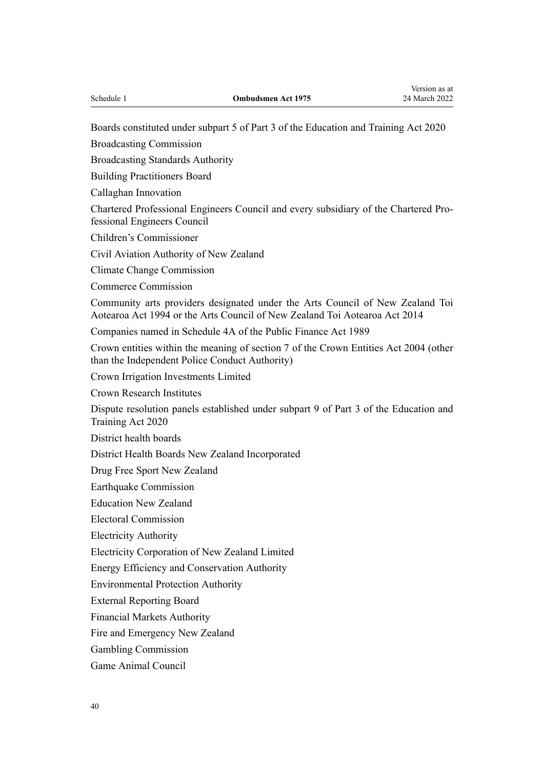Boards constituted under [subpart 5](http://legislation.govt.nz/pdflink.aspx?id=LMS171675) of Part 3 of the Education and Training Act 2020

Broadcasting Commission

Broadcasting Standards Authority

Building Practitioners Board

Callaghan Innovation

Chartered Professional Engineers Council and every subsidiary of the Chartered Pro‐ fessional Engineers Council

Children's Commissioner

Civil Aviation Authority of New Zealand

Climate Change Commission

Commerce Commission

Community arts providers designated under the Arts Council of New Zealand Toi Aotearoa Act 1994 or the [Arts Council of New Zealand Toi Aotearoa Act 2014](http://legislation.govt.nz/pdflink.aspx?id=DLM3007300)

Companies named in [Schedule 4A](http://legislation.govt.nz/pdflink.aspx?id=DLM5466801) of the Public Finance Act 1989

Crown entities within the meaning of [section 7](http://legislation.govt.nz/pdflink.aspx?id=DLM329641) of the Crown Entities Act 2004 (other than the Independent Police Conduct Authority)

Crown Irrigation Investments Limited

Crown Research Institutes

Dispute resolution panels established under [subpart 9](http://legislation.govt.nz/pdflink.aspx?id=LMS171838) of Part 3 of the Education and Training Act 2020

District health boards

District Health Boards New Zealand Incorporated

Drug Free Sport New Zealand

Earthquake Commission

Education New Zealand

Electoral Commission

Electricity Authority

Electricity Corporation of New Zealand Limited

Energy Efficiency and Conservation Authority

Environmental Protection Authority

External Reporting Board

Financial Markets Authority

Fire and Emergency New Zealand

Gambling Commission

Game Animal Council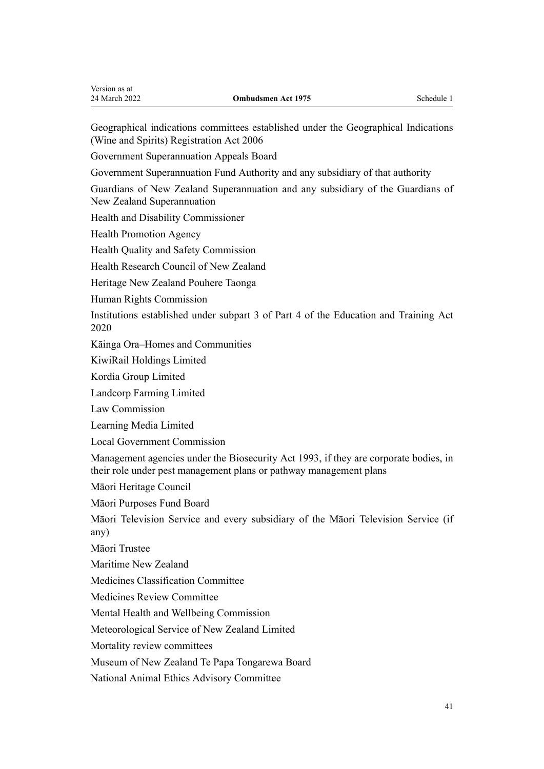Geographical indications committees established under the [Geographical Indications](http://legislation.govt.nz/pdflink.aspx?id=DLM390755) [\(Wine and Spirits\) Registration Act 2006](http://legislation.govt.nz/pdflink.aspx?id=DLM390755)

Government Superannuation Appeals Board

Government Superannuation Fund Authority and any subsidiary of that authority

Guardians of New Zealand Superannuation and any subsidiary of the Guardians of New Zealand Superannuation

Health and Disability Commissioner

Health Promotion Agency

Health Quality and Safety Commission

Health Research Council of New Zealand

Heritage New Zealand Pouhere Taonga

Human Rights Commission

Institutions established under [subpart 3](http://legislation.govt.nz/pdflink.aspx?id=LMS202419) of Part 4 of the Education and Training Act 2020

Kāinga Ora–Homes and Communities

KiwiRail Holdings Limited

Kordia Group Limited

Landcorp Farming Limited

Law Commission

Learning Media Limited

Local Government Commission

Management agencies under the [Biosecurity Act 1993](http://legislation.govt.nz/pdflink.aspx?id=DLM314622), if they are corporate bodies, in their role under pest management plans or pathway management plans

Māori Heritage Council

Māori Purposes Fund Board

Māori Television Service and every subsidiary of the Māori Television Service (if any)

Māori Trustee

Maritime New Zealand

Medicines Classification Committee

Medicines Review Committee

Mental Health and Wellbeing Commission

Meteorological Service of New Zealand Limited

Mortality review committees

Museum of New Zealand Te Papa Tongarewa Board

National Animal Ethics Advisory Committee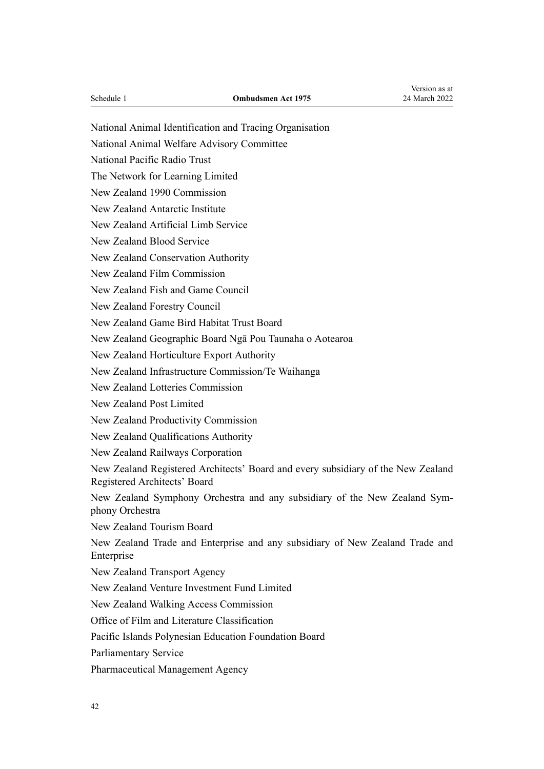National Animal Identification and Tracing Organisation

National Animal Welfare Advisory Committee

National Pacific Radio Trust

The Network for Learning Limited

New Zealand 1990 Commission

New Zealand Antarctic Institute

New Zealand Artificial Limb Service

New Zealand Blood Service

New Zealand Conservation Authority

New Zealand Film Commission

New Zealand Fish and Game Council

New Zealand Forestry Council

New Zealand Game Bird Habitat Trust Board

New Zealand Geographic Board Ngā Pou Taunaha o Aotearoa

New Zealand Horticulture Export Authority

New Zealand Infrastructure Commission/Te Waihanga

New Zealand Lotteries Commission

New Zealand Post Limited

New Zealand Productivity Commission

New Zealand Qualifications Authority

New Zealand Railways Corporation

New Zealand Registered Architects' Board and every subsidiary of the New Zealand Registered Architects' Board

New Zealand Symphony Orchestra and any subsidiary of the New Zealand Sym‐ phony Orchestra

New Zealand Tourism Board

New Zealand Trade and Enterprise and any subsidiary of New Zealand Trade and Enterprise

New Zealand Transport Agency

New Zealand Venture Investment Fund Limited

New Zealand Walking Access Commission

Office of Film and Literature Classification

Pacific Islands Polynesian Education Foundation Board

Parliamentary Service

Pharmaceutical Management Agency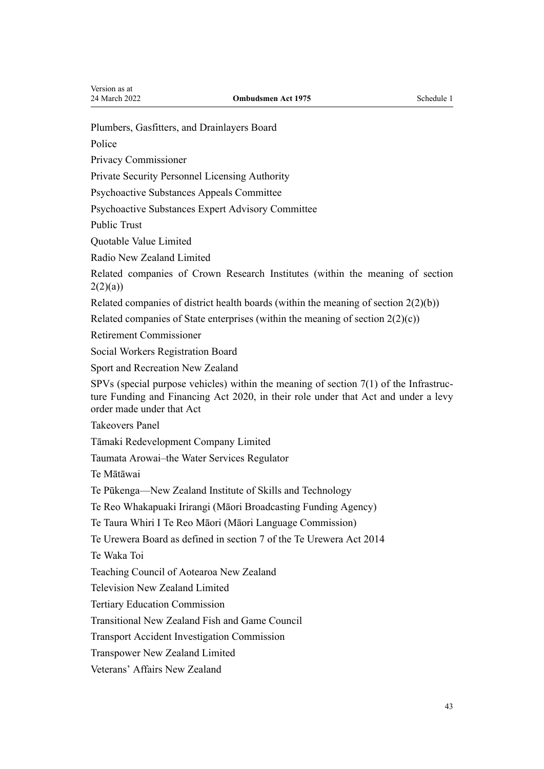Plumbers, Gasfitters, and Drainlayers Board

Police

Privacy Commissioner

Private Security Personnel Licensing Authority

Psychoactive Substances Appeals Committee

Psychoactive Substances Expert Advisory Committee

Public Trust

Quotable Value Limited

Radio New Zealand Limited

Related companies of Crown Research Institutes (within the meaning of [section](#page-2-0)  $2(2)(a)$ 

Related companies of district health boards (within the meaning of section  $2(2)(b)$ )

Related companies of State enterprises (within the meaning of section  $2(2)(c)$ )

Retirement Commissioner

Social Workers Registration Board

Sport and Recreation New Zealand

SPVs (special purpose vehicles) within the meaning of [section 7\(1\)](http://legislation.govt.nz/pdflink.aspx?id=LMS235113) of the Infrastructure Funding and Financing Act 2020, in their role under that Act and under a levy order made under that Act

Takeovers Panel

Tāmaki Redevelopment Company Limited

Taumata Arowai–the Water Services Regulator

Te Mātāwai

Te Pūkenga—New Zealand Institute of Skills and Technology

Te Reo Whakapuaki Irirangi (Māori Broadcasting Funding Agency)

Te Taura Whiri I Te Reo Māori (Māori Language Commission)

Te Urewera Board as defined in [section 7](http://legislation.govt.nz/pdflink.aspx?id=DLM6183614) of the Te Urewera Act 2014

Te Waka Toi

Teaching Council of Aotearoa New Zealand

Television New Zealand Limited

Tertiary Education Commission

Transitional New Zealand Fish and Game Council

Transport Accident Investigation Commission

Transpower New Zealand Limited

Veterans' Affairs New Zealand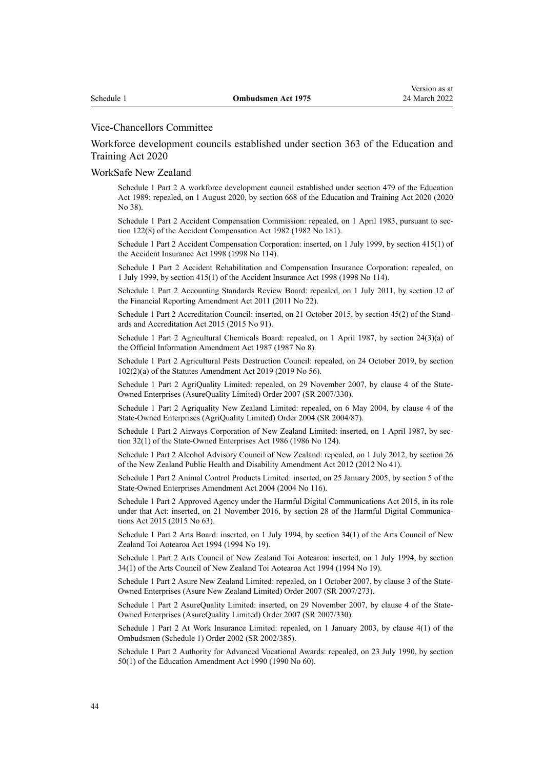#### Vice-Chancellors Committee

Workforce development councils established under [section 363](http://legislation.govt.nz/pdflink.aspx?id=LMS253764) of the Education and Training Act 2020

#### WorkSafe New Zealand

Schedule 1 Part 2 A workforce development council established under section 479 of the Education Act 1989: repealed, on 1 August 2020, by [section 668](http://legislation.govt.nz/pdflink.aspx?id=LMS367713) of the Education and Training Act 2020 (2020 No 38).

Schedule 1 Part 2 Accident Compensation Commission: repealed, on 1 April 1983, pursuant to section 122(8) of the Accident Compensation Act 1982 (1982 No 181).

Schedule 1 Part 2 Accident Compensation Corporation: inserted, on 1 July 1999, by section 415(1) of the Accident Insurance Act 1998 (1998 No 114).

Schedule 1 Part 2 Accident Rehabilitation and Compensation Insurance Corporation: repealed, on 1 July 1999, by section 415(1) of the Accident Insurance Act 1998 (1998 No 114).

Schedule 1 Part 2 Accounting Standards Review Board: repealed, on 1 July 2011, by [section 12](http://legislation.govt.nz/pdflink.aspx?id=DLM3701759) of the Financial Reporting Amendment Act 2011 (2011 No 22).

Schedule 1 Part 2 Accreditation Council: inserted, on 21 October 2015, by [section 45\(2\)](http://legislation.govt.nz/pdflink.aspx?id=DLM5947001) of the Stand‐ ards and Accreditation Act 2015 (2015 No 91).

Schedule 1 Part 2 Agricultural Chemicals Board: repealed, on 1 April 1987, by [section 24\(3\)\(a\)](http://legislation.govt.nz/pdflink.aspx?id=DLM101352) of the Official Information Amendment Act 1987 (1987 No 8).

Schedule 1 Part 2 Agricultural Pests Destruction Council: repealed, on 24 October 2019, by [section](http://legislation.govt.nz/pdflink.aspx?id=LMS59036) [102\(2\)\(a\)](http://legislation.govt.nz/pdflink.aspx?id=LMS59036) of the Statutes Amendment Act 2019 (2019 No 56).

Schedule 1 Part 2 AgriQuality Limited: repealed, on 29 November 2007, by [clause 4](http://legislation.govt.nz/pdflink.aspx?id=DLM981292) of the State-Owned Enterprises (AsureQuality Limited) Order 2007 (SR 2007/330).

Schedule 1 Part 2 Agriquality New Zealand Limited: repealed, on 6 May 2004, by [clause 4](http://legislation.govt.nz/pdflink.aspx?id=DLM252871) of the State-Owned Enterprises (AgriQuality Limited) Order 2004 (SR 2004/87).

Schedule 1 Part 2 Airways Corporation of New Zealand Limited: inserted, on 1 April 1987, by sec[tion 32\(1\)](http://legislation.govt.nz/pdflink.aspx?id=DLM98437) of the State-Owned Enterprises Act 1986 (1986 No 124).

Schedule 1 Part 2 Alcohol Advisory Council of New Zealand: repealed, on 1 July 2012, by [section 26](http://legislation.govt.nz/pdflink.aspx?id=DLM4484110) of the New Zealand Public Health and Disability Amendment Act 2012 (2012 No 41).

Schedule 1 Part 2 Animal Control Products Limited: inserted, on 25 January 2005, by [section 5](http://legislation.govt.nz/pdflink.aspx?id=DLM333210) of the State-Owned Enterprises Amendment Act 2004 (2004 No 116).

Schedule 1 Part 2 Approved Agency under the Harmful Digital Communications Act 2015, in its role under that Act: inserted, on 21 November 2016, by [section 28](http://legislation.govt.nz/pdflink.aspx?id=DLM6124419) of the Harmful Digital Communications Act 2015 (2015 No 63).

Schedule 1 Part 2 Arts Board: inserted, on 1 July 1994, by [section 34\(1\)](http://legislation.govt.nz/pdflink.aspx?id=DLM330648) of the Arts Council of New Zealand Toi Aotearoa Act 1994 (1994 No 19).

Schedule 1 Part 2 Arts Council of New Zealand Toi Aotearoa: inserted, on 1 July 1994, by [section](http://legislation.govt.nz/pdflink.aspx?id=DLM330648) [34\(1\)](http://legislation.govt.nz/pdflink.aspx?id=DLM330648) of the Arts Council of New Zealand Toi Aotearoa Act 1994 (1994 No 19).

Schedule 1 Part 2 Asure New Zealand Limited: repealed, on 1 October 2007, by [clause 3](http://legislation.govt.nz/pdflink.aspx?id=DLM972982) of the State-Owned Enterprises (Asure New Zealand Limited) Order 2007 (SR 2007/273).

Schedule 1 Part 2 AsureQuality Limited: inserted, on 29 November 2007, by [clause 4](http://legislation.govt.nz/pdflink.aspx?id=DLM981292) of the State-Owned Enterprises (AsureQuality Limited) Order 2007 (SR 2007/330).

Schedule 1 Part 2 At Work Insurance Limited: repealed, on 1 January 2003, by [clause 4\(1\)](http://legislation.govt.nz/pdflink.aspx?id=DLM171048) of the Ombudsmen (Schedule 1) Order 2002 (SR 2002/385).

Schedule 1 Part 2 Authority for Advanced Vocational Awards: repealed, on 23 July 1990, by [section](http://legislation.govt.nz/pdflink.aspx?id=DLM212679) [50\(1\)](http://legislation.govt.nz/pdflink.aspx?id=DLM212679) of the Education Amendment Act 1990 (1990 No 60).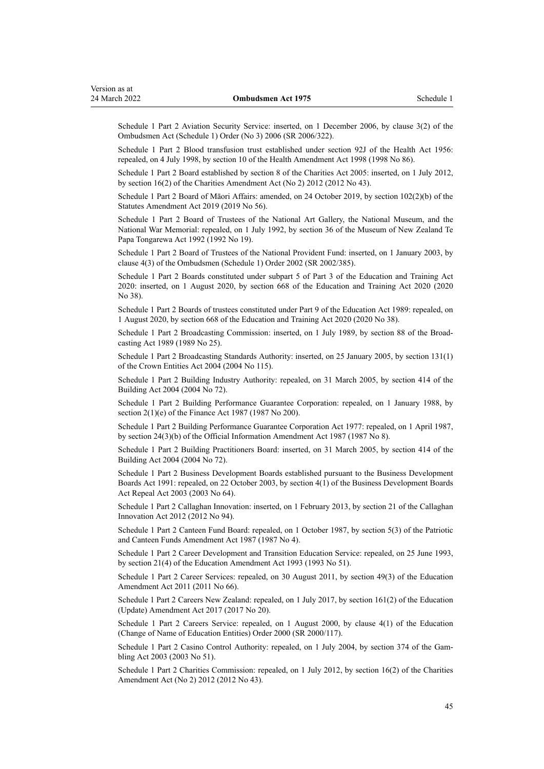Schedule 1 Part 2 Aviation Security Service: inserted, on 1 December 2006, by [clause 3\(2\)](http://legislation.govt.nz/pdflink.aspx?id=DLM413373) of the Ombudsmen Act (Schedule 1) Order (No 3) 2006 (SR 2006/322).

Schedule 1 Part 2 Blood transfusion trust established under section 92J of the Health Act 1956: repealed, on 4 July 1998, by [section 10](http://legislation.govt.nz/pdflink.aspx?id=DLM428199) of the Health Amendment Act 1998 (1998 No 86).

Schedule 1 Part 2 Board established by section 8 of the Charities Act 2005: inserted, on 1 July 2012, by [section 16\(2\)](http://legislation.govt.nz/pdflink.aspx?id=DLM4484647) of the Charities Amendment Act (No 2) 2012 (2012 No 43).

Schedule 1 Part 2 Board of Māori Affairs: amended, on 24 October 2019, by [section 102\(2\)\(b\)](http://legislation.govt.nz/pdflink.aspx?id=LMS59036) of the Statutes Amendment Act 2019 (2019 No 56).

Schedule 1 Part 2 Board of Trustees of the National Art Gallery, the National Museum, and the National War Memorial: repealed, on 1 July 1992, by [section 36](http://legislation.govt.nz/pdflink.aspx?id=DLM260283) of the Museum of New Zealand Te Papa Tongarewa Act 1992 (1992 No 19).

Schedule 1 Part 2 Board of Trustees of the National Provident Fund: inserted, on 1 January 2003, by [clause 4\(3\)](http://legislation.govt.nz/pdflink.aspx?id=DLM171048) of the Ombudsmen (Schedule 1) Order 2002 (SR 2002/385).

Schedule 1 Part 2 Boards constituted under subpart 5 of Part 3 of the Education and Training Act 2020: inserted, on 1 August 2020, by [section 668](http://legislation.govt.nz/pdflink.aspx?id=LMS367713) of the Education and Training Act 2020 (2020 No 38).

Schedule 1 Part 2 Boards of trustees constituted under Part 9 of the Education Act 1989: repealed, on 1 August 2020, by [section 668](http://legislation.govt.nz/pdflink.aspx?id=LMS367713) of the Education and Training Act 2020 (2020 No 38).

Schedule 1 Part 2 Broadcasting Commission: inserted, on 1 July 1989, by [section 88](http://legislation.govt.nz/pdflink.aspx?id=DLM158930) of the Broadcasting Act 1989 (1989 No 25).

Schedule 1 Part 2 Broadcasting Standards Authority: inserted, on 25 January 2005, by [section 131\(1\)](http://legislation.govt.nz/pdflink.aspx?id=DLM330399) of the Crown Entities Act 2004 (2004 No 115).

Schedule 1 Part 2 Building Industry Authority: repealed, on 31 March 2005, by [section 414](http://legislation.govt.nz/pdflink.aspx?id=DLM309090) of the Building Act 2004 (2004 No 72).

Schedule 1 Part 2 Building Performance Guarantee Corporation: repealed, on 1 January 1988, by [section 2\(1\)\(e\)](http://legislation.govt.nz/pdflink.aspx?id=DLM125656) of the Finance Act 1987 (1987 No 200).

Schedule 1 Part 2 Building Performance Guarantee Corporation Act 1977: repealed, on 1 April 1987, by [section 24\(3\)\(b\)](http://legislation.govt.nz/pdflink.aspx?id=DLM101352) of the Official Information Amendment Act 1987 (1987 No 8).

Schedule 1 Part 2 Building Practitioners Board: inserted, on 31 March 2005, by [section 414](http://legislation.govt.nz/pdflink.aspx?id=DLM309090) of the Building Act 2004 (2004 No 72).

Schedule 1 Part 2 Business Development Boards established pursuant to the Business Development Boards Act 1991: repealed, on 22 October 2003, by [section 4\(1\)](http://legislation.govt.nz/pdflink.aspx?id=DLM216542) of the Business Development Boards Act Repeal Act 2003 (2003 No 64).

Schedule 1 Part 2 Callaghan Innovation: inserted, on 1 February 2013, by [section 21](http://legislation.govt.nz/pdflink.aspx?id=DLM4732765) of the Callaghan Innovation Act 2012 (2012 No 94).

Schedule 1 Part 2 Canteen Fund Board: repealed, on 1 October 1987, by [section 5\(3\)](http://legislation.govt.nz/pdflink.aspx?id=DLM100574) of the Patriotic and Canteen Funds Amendment Act 1987 (1987 No 4).

Schedule 1 Part 2 Career Development and Transition Education Service: repealed, on 25 June 1993, by [section 21\(4\)](http://legislation.govt.nz/pdflink.aspx?id=DLM302615) of the Education Amendment Act 1993 (1993 No 51).

Schedule 1 Part 2 Career Services: repealed, on 30 August 2011, by [section 49\(3\)](http://legislation.govt.nz/pdflink.aspx?id=DLM3612399) of the Education Amendment Act 2011 (2011 No 66).

Schedule 1 Part 2 Careers New Zealand: repealed, on 1 July 2017, by [section 161\(2\)](http://legislation.govt.nz/pdflink.aspx?id=DLM6929049) of the Education (Update) Amendment Act 2017 (2017 No 20).

Schedule 1 Part 2 Careers Service: repealed, on 1 August 2000, by [clause 4\(1\)](http://legislation.govt.nz/pdflink.aspx?id=DLM6021) of the Education (Change of Name of Education Entities) Order 2000 (SR 2000/117).

Schedule 1 Part 2 Casino Control Authority: repealed, on 1 July 2004, by [section 374](http://legislation.govt.nz/pdflink.aspx?id=DLM210735) of the Gambling Act 2003 (2003 No 51).

Schedule 1 Part 2 Charities Commission: repealed, on 1 July 2012, by [section 16\(2\)](http://legislation.govt.nz/pdflink.aspx?id=DLM4484647) of the Charities Amendment Act (No 2) 2012 (2012 No 43).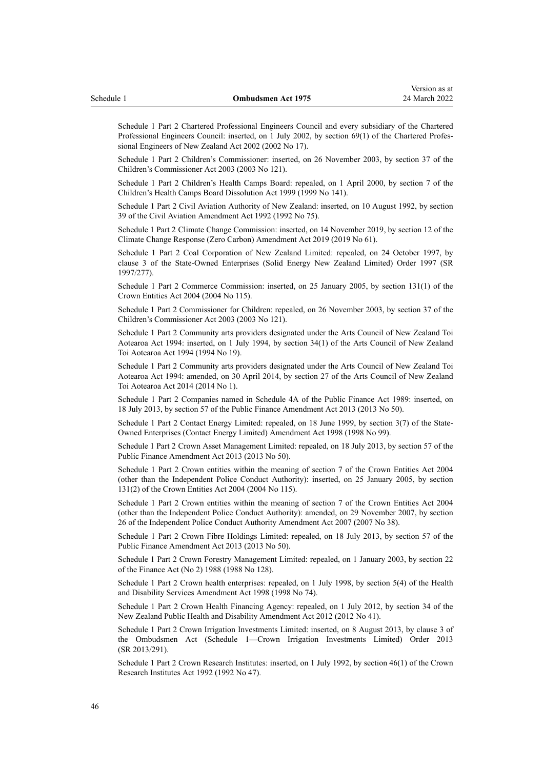Schedule 1 Part 2 Chartered Professional Engineers Council and every subsidiary of the Chartered Professional Engineers Council: inserted, on 1 July 2002, by [section 69\(1\)](http://legislation.govt.nz/pdflink.aspx?id=DLM145116) of the Chartered Profes‐ sional Engineers of New Zealand Act 2002 (2002 No 17).

Schedule 1 Part 2 Children's Commissioner: inserted, on 26 November 2003, by [section 37](http://legislation.govt.nz/pdflink.aspx?id=DLM230914) of the Children's Commissioner Act 2003 (2003 No 121).

Schedule 1 Part 2 Children's Health Camps Board: repealed, on 1 April 2000, by [section 7](http://legislation.govt.nz/pdflink.aspx?id=DLM49649) of the Children's Health Camps Board Dissolution Act 1999 (1999 No 141).

Schedule 1 Part 2 Civil Aviation Authority of New Zealand: inserted, on 10 August 1992, by [section](http://legislation.govt.nz/pdflink.aspx?id=DLM269410) [39](http://legislation.govt.nz/pdflink.aspx?id=DLM269410) of the Civil Aviation Amendment Act 1992 (1992 No 75).

Schedule 1 Part 2 Climate Change Commission: inserted, on 14 November 2019, by [section 12](http://legislation.govt.nz/pdflink.aspx?id=LMS183854) of the Climate Change Response (Zero Carbon) Amendment Act 2019 (2019 No 61).

Schedule 1 Part 2 Coal Corporation of New Zealand Limited: repealed, on 24 October 1997, by [clause 3](http://legislation.govt.nz/pdflink.aspx?id=DLM239992) of the State-Owned Enterprises (Solid Energy New Zealand Limited) Order 1997 (SR 1997/277).

Schedule 1 Part 2 Commerce Commission: inserted, on 25 January 2005, by [section 131\(1\)](http://legislation.govt.nz/pdflink.aspx?id=DLM330399) of the Crown Entities Act 2004 (2004 No 115).

Schedule 1 Part 2 Commissioner for Children: repealed, on 26 November 2003, by [section 37](http://legislation.govt.nz/pdflink.aspx?id=DLM230914) of the Children's Commissioner Act 2003 (2003 No 121).

Schedule 1 Part 2 Community arts providers designated under the Arts Council of New Zealand Toi Aotearoa Act 1994: inserted, on 1 July 1994, by [section 34\(1\)](http://legislation.govt.nz/pdflink.aspx?id=DLM330648) of the Arts Council of New Zealand Toi Aotearoa Act 1994 (1994 No 19).

Schedule 1 Part 2 Community arts providers designated under the Arts Council of New Zealand Toi Aotearoa Act 1994: amended, on 30 April 2014, by [section 27](http://legislation.govt.nz/pdflink.aspx?id=DLM3007375) of the Arts Council of New Zealand Toi Aotearoa Act 2014 (2014 No 1).

Schedule 1 Part 2 Companies named in Schedule 4A of the Public Finance Act 1989: inserted, on 18 July 2013, by [section 57](http://legislation.govt.nz/pdflink.aspx?id=DLM5326333) of the Public Finance Amendment Act 2013 (2013 No 50).

Schedule 1 Part 2 Contact Energy Limited: repealed, on 18 June 1999, by [section 3\(7\)](http://legislation.govt.nz/pdflink.aspx?id=DLM431912) of the State-Owned Enterprises (Contact Energy Limited) Amendment Act 1998 (1998 No 99).

Schedule 1 Part 2 Crown Asset Management Limited: repealed, on 18 July 2013, by [section 57](http://legislation.govt.nz/pdflink.aspx?id=DLM5326333) of the Public Finance Amendment Act 2013 (2013 No 50).

Schedule 1 Part 2 Crown entities within the meaning of section 7 of the Crown Entities Act 2004 (other than the Independent Police Conduct Authority): inserted, on 25 January 2005, by [section](http://legislation.govt.nz/pdflink.aspx?id=DLM330399) [131\(2\)](http://legislation.govt.nz/pdflink.aspx?id=DLM330399) of the Crown Entities Act 2004 (2004 No 115).

Schedule 1 Part 2 Crown entities within the meaning of section 7 of the Crown Entities Act 2004 (other than the Independent Police Conduct Authority): amended, on 29 November 2007, by [section](http://legislation.govt.nz/pdflink.aspx?id=DLM967974) [26](http://legislation.govt.nz/pdflink.aspx?id=DLM967974) of the Independent Police Conduct Authority Amendment Act 2007 (2007 No 38).

Schedule 1 Part 2 Crown Fibre Holdings Limited: repealed, on 18 July 2013, by [section 57](http://legislation.govt.nz/pdflink.aspx?id=DLM5326333) of the Public Finance Amendment Act 2013 (2013 No 50).

Schedule 1 Part 2 Crown Forestry Management Limited: repealed, on 1 January 2003, by [section 22](http://legislation.govt.nz/pdflink.aspx?id=DLM136179) of the Finance Act (No 2) 1988 (1988 No 128).

Schedule 1 Part 2 Crown health enterprises: repealed, on 1 July 1998, by section 5(4) of the Health and Disability Services Amendment Act 1998 (1998 No 74).

Schedule 1 Part 2 Crown Health Financing Agency: repealed, on 1 July 2012, by [section 34](http://legislation.govt.nz/pdflink.aspx?id=DLM4484121) of the New Zealand Public Health and Disability Amendment Act 2012 (2012 No 41).

Schedule 1 Part 2 Crown Irrigation Investments Limited: inserted, on 8 August 2013, by [clause 3](http://legislation.govt.nz/pdflink.aspx?id=DLM5314406) of the Ombudsmen Act (Schedule 1—Crown Irrigation Investments Limited) Order 2013 (SR 2013/291).

Schedule 1 Part 2 Crown Research Institutes: inserted, on 1 July 1992, by [section 46\(1\)](http://legislation.govt.nz/pdflink.aspx?id=DLM265666) of the Crown Research Institutes Act 1992 (1992 No 47).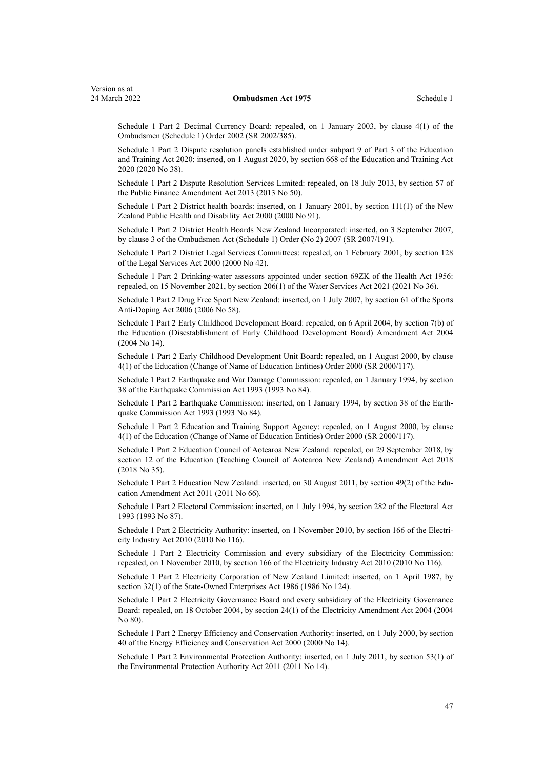Schedule 1 Part 2 Decimal Currency Board: repealed, on 1 January 2003, by [clause 4\(1\)](http://legislation.govt.nz/pdflink.aspx?id=DLM171048) of the Ombudsmen (Schedule 1) Order 2002 (SR 2002/385).

Schedule 1 Part 2 Dispute resolution panels established under subpart 9 of Part 3 of the Education and Training Act 2020: inserted, on 1 August 2020, by [section 668](http://legislation.govt.nz/pdflink.aspx?id=LMS367713) of the Education and Training Act 2020 (2020 No 38).

Schedule 1 Part 2 Dispute Resolution Services Limited: repealed, on 18 July 2013, by [section 57](http://legislation.govt.nz/pdflink.aspx?id=DLM5326333) of the Public Finance Amendment Act 2013 (2013 No 50).

Schedule 1 Part 2 District health boards: inserted, on 1 January 2001, by [section 111\(1\)](http://legislation.govt.nz/pdflink.aspx?id=DLM81644) of the New Zealand Public Health and Disability Act 2000 (2000 No 91).

Schedule 1 Part 2 District Health Boards New Zealand Incorporated: inserted, on 3 September 2007, by [clause 3](http://legislation.govt.nz/pdflink.aspx?id=DLM442446) of the Ombudsmen Act (Schedule 1) Order (No 2) 2007 (SR 2007/191).

Schedule 1 Part 2 District Legal Services Committees: repealed, on 1 February 2001, by [section 128](http://legislation.govt.nz/pdflink.aspx?id=DLM73105) of the Legal Services Act 2000 (2000 No 42).

Schedule 1 Part 2 Drinking-water assessors appointed under section 69ZK of the Health Act 1956: repealed, on 15 November 2021, by [section 206\(1\)](http://legislation.govt.nz/pdflink.aspx?id=LMS374952) of the Water Services Act 2021 (2021 No 36).

Schedule 1 Part 2 Drug Free Sport New Zealand: inserted, on 1 July 2007, by [section 61](http://legislation.govt.nz/pdflink.aspx?id=DLM390404) of the Sports Anti-Doping Act 2006 (2006 No 58).

Schedule 1 Part 2 Early Childhood Development Board: repealed, on 6 April 2004, by [section 7\(b\)](http://legislation.govt.nz/pdflink.aspx?id=DLM241067) of the Education (Disestablishment of Early Childhood Development Board) Amendment Act 2004 (2004 No 14).

Schedule 1 Part 2 Early Childhood Development Unit Board: repealed, on 1 August 2000, by [clause](http://legislation.govt.nz/pdflink.aspx?id=DLM6021) [4\(1\)](http://legislation.govt.nz/pdflink.aspx?id=DLM6021) of the Education (Change of Name of Education Entities) Order 2000 (SR 2000/117).

Schedule 1 Part 2 Earthquake and War Damage Commission: repealed, on 1 January 1994, by [section](http://legislation.govt.nz/pdflink.aspx?id=DLM306786) [38](http://legislation.govt.nz/pdflink.aspx?id=DLM306786) of the Earthquake Commission Act 1993 (1993 No 84).

Schedule 1 Part 2 Earthquake Commission: inserted, on 1 January 1994, by [section 38](http://legislation.govt.nz/pdflink.aspx?id=DLM306786) of the Earthquake Commission Act 1993 (1993 No 84).

Schedule 1 Part 2 Education and Training Support Agency: repealed, on 1 August 2000, by [clause](http://legislation.govt.nz/pdflink.aspx?id=DLM6021) [4\(1\)](http://legislation.govt.nz/pdflink.aspx?id=DLM6021) of the Education (Change of Name of Education Entities) Order 2000 (SR 2000/117).

Schedule 1 Part 2 Education Council of Aotearoa New Zealand: repealed, on 29 September 2018, by [section 12](http://legislation.govt.nz/pdflink.aspx?id=LMS9418) of the Education (Teaching Council of Aotearoa New Zealand) Amendment Act 2018 (2018 No 35).

Schedule 1 Part 2 Education New Zealand: inserted, on 30 August 2011, by [section 49\(2\)](http://legislation.govt.nz/pdflink.aspx?id=DLM3612399) of the Education Amendment Act 2011 (2011 No 66).

Schedule 1 Part 2 Electoral Commission: inserted, on 1 July 1994, by section 282 of the Electoral Act 1993 (1993 No 87).

Schedule 1 Part 2 Electricity Authority: inserted, on 1 November 2010, by [section 166](http://legislation.govt.nz/pdflink.aspx?id=DLM2634629) of the Electricity Industry Act 2010 (2010 No 116).

Schedule 1 Part 2 Electricity Commission and every subsidiary of the Electricity Commission: repealed, on 1 November 2010, by [section 166](http://legislation.govt.nz/pdflink.aspx?id=DLM2634629) of the Electricity Industry Act 2010 (2010 No 116).

Schedule 1 Part 2 Electricity Corporation of New Zealand Limited: inserted, on 1 April 1987, by [section 32\(1\)](http://legislation.govt.nz/pdflink.aspx?id=DLM98437) of the State-Owned Enterprises Act 1986 (1986 No 124).

Schedule 1 Part 2 Electricity Governance Board and every subsidiary of the Electricity Governance Board: repealed, on 18 October 2004, by section 24(1) of the Electricity Amendment Act 2004 (2004 No 80).

Schedule 1 Part 2 Energy Efficiency and Conservation Authority: inserted, on 1 July 2000, by [section](http://legislation.govt.nz/pdflink.aspx?id=DLM55733) [40](http://legislation.govt.nz/pdflink.aspx?id=DLM55733) of the Energy Efficiency and Conservation Act 2000 (2000 No 14).

Schedule 1 Part 2 Environmental Protection Authority: inserted, on 1 July 2011, by [section 53\(1\)](http://legislation.govt.nz/pdflink.aspx?id=DLM3366997) of the Environmental Protection Authority Act 2011 (2011 No 14).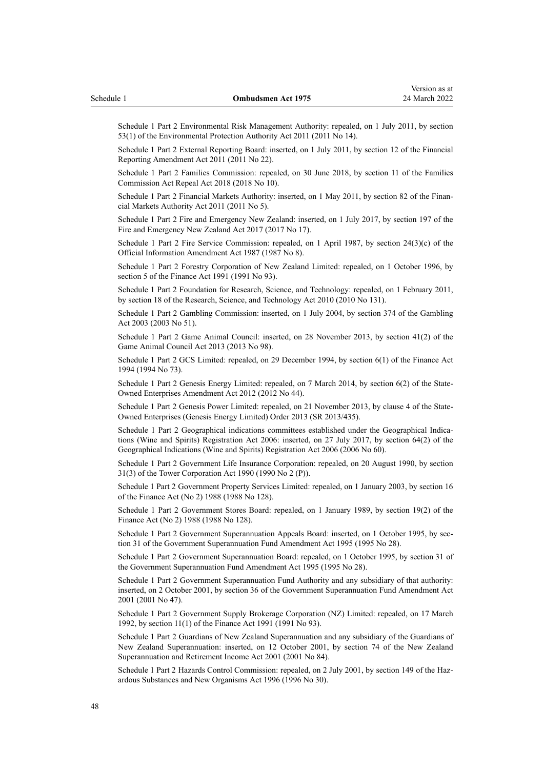Schedule 1 Part 2 Environmental Risk Management Authority: repealed, on 1 July 2011, by [section](http://legislation.govt.nz/pdflink.aspx?id=DLM3366997) [53\(1\)](http://legislation.govt.nz/pdflink.aspx?id=DLM3366997) of the Environmental Protection Authority Act 2011 (2011 No 14).

Schedule 1 Part 2 External Reporting Board: inserted, on 1 July 2011, by [section 12](http://legislation.govt.nz/pdflink.aspx?id=DLM3701759) of the Financial Reporting Amendment Act 2011 (2011 No 22).

Schedule 1 Part 2 Families Commission: repealed, on 30 June 2018, by [section 11](http://legislation.govt.nz/pdflink.aspx?id=LMS11616) of the Families Commission Act Repeal Act 2018 (2018 No 10).

Schedule 1 Part 2 Financial Markets Authority: inserted, on 1 May 2011, by [section 82](http://legislation.govt.nz/pdflink.aspx?id=DLM3231793) of the Financial Markets Authority Act 2011 (2011 No 5).

Schedule 1 Part 2 Fire and Emergency New Zealand: inserted, on 1 July 2017, by [section 197](http://legislation.govt.nz/pdflink.aspx?id=DLM6678752) of the Fire and Emergency New Zealand Act 2017 (2017 No 17).

Schedule 1 Part 2 Fire Service Commission: repealed, on 1 April 1987, by [section 24\(3\)\(c\)](http://legislation.govt.nz/pdflink.aspx?id=DLM101352) of the Official Information Amendment Act 1987 (1987 No 8).

Schedule 1 Part 2 Forestry Corporation of New Zealand Limited: repealed, on 1 October 1996, by [section 5](http://legislation.govt.nz/pdflink.aspx?id=DLM248290) of the Finance Act 1991 (1991 No 93).

Schedule 1 Part 2 Foundation for Research, Science, and Technology: repealed, on 1 February 2011, by [section 18](http://legislation.govt.nz/pdflink.aspx?id=DLM3431046) of the Research, Science, and Technology Act 2010 (2010 No 131).

Schedule 1 Part 2 Gambling Commission: inserted, on 1 July 2004, by [section 374](http://legislation.govt.nz/pdflink.aspx?id=DLM210735) of the Gambling Act 2003 (2003 No 51).

Schedule 1 Part 2 Game Animal Council: inserted, on 28 November 2013, by [section 41\(2\)](http://legislation.govt.nz/pdflink.aspx?id=DLM4105502) of the Game Animal Council Act 2013 (2013 No 98).

Schedule 1 Part 2 GCS Limited: repealed, on 29 December 1994, by [section 6\(1\)](http://legislation.govt.nz/pdflink.aspx?id=DLM332898) of the Finance Act 1994 (1994 No 73).

Schedule 1 Part 2 Genesis Energy Limited: repealed, on 7 March 2014, by [section 6\(2\)](http://legislation.govt.nz/pdflink.aspx?id=DLM4326323) of the State-Owned Enterprises Amendment Act 2012 (2012 No 44).

Schedule 1 Part 2 Genesis Power Limited: repealed, on 21 November 2013, by [clause 4](http://legislation.govt.nz/pdflink.aspx?id=DLM5651205) of the State-Owned Enterprises (Genesis Energy Limited) Order 2013 (SR 2013/435).

Schedule 1 Part 2 Geographical indications committees established under the Geographical Indications (Wine and Spirits) Registration Act 2006: inserted, on 27 July 2017, by [section 64\(2\)](http://legislation.govt.nz/pdflink.aspx?id=DLM391102) of the Geographical Indications (Wine and Spirits) Registration Act 2006 (2006 No 60).

Schedule 1 Part 2 Government Life Insurance Corporation: repealed, on 20 August 1990, by [section](http://legislation.govt.nz/pdflink.aspx?id=DLM114551) [31\(3\)](http://legislation.govt.nz/pdflink.aspx?id=DLM114551) of the Tower Corporation Act 1990 (1990 No 2 (P)).

Schedule 1 Part 2 Government Property Services Limited: repealed, on 1 January 2003, by [section 16](http://legislation.govt.nz/pdflink.aspx?id=DLM136164) of the Finance Act (No 2) 1988 (1988 No 128).

Schedule 1 Part 2 Government Stores Board: repealed, on 1 January 1989, by [section 19\(2\)](http://legislation.govt.nz/pdflink.aspx?id=DLM136170) of the Finance Act (No 2) 1988 (1988 No 128).

Schedule 1 Part 2 Government Superannuation Appeals Board: inserted, on 1 October 1995, by sec[tion 31](http://legislation.govt.nz/pdflink.aspx?id=DLM366271) of the Government Superannuation Fund Amendment Act 1995 (1995 No 28).

Schedule 1 Part 2 Government Superannuation Board: repealed, on 1 October 1995, by [section 31](http://legislation.govt.nz/pdflink.aspx?id=DLM366271) of the Government Superannuation Fund Amendment Act 1995 (1995 No 28).

Schedule 1 Part 2 Government Superannuation Fund Authority and any subsidiary of that authority: inserted, on 2 October 2001, by [section 36](http://legislation.govt.nz/pdflink.aspx?id=DLM98897) of the Government Superannuation Fund Amendment Act 2001 (2001 No 47).

Schedule 1 Part 2 Government Supply Brokerage Corporation (NZ) Limited: repealed, on 17 March 1992, by [section 11\(1\)](http://legislation.govt.nz/pdflink.aspx?id=DLM248706) of the Finance Act 1991 (1991 No 93).

Schedule 1 Part 2 Guardians of New Zealand Superannuation and any subsidiary of the Guardians of New Zealand Superannuation: inserted, on 12 October 2001, by [section 74](http://legislation.govt.nz/pdflink.aspx?id=DLM114864) of the New Zealand Superannuation and Retirement Income Act 2001 (2001 No 84).

Schedule 1 Part 2 Hazards Control Commission: repealed, on 2 July 2001, by [section 149](http://legislation.govt.nz/pdflink.aspx?id=DLM385160) of the Hazardous Substances and New Organisms Act 1996 (1996 No 30).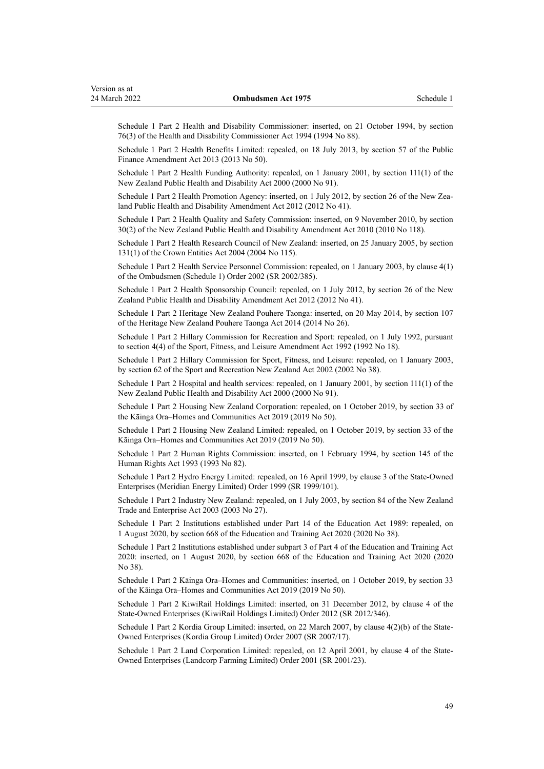Schedule 1 Part 2 Health and Disability Commissioner: inserted, on 21 October 1994, by [section](http://legislation.govt.nz/pdflink.aspx?id=DLM334174) [76\(3\)](http://legislation.govt.nz/pdflink.aspx?id=DLM334174) of the Health and Disability Commissioner Act 1994 (1994 No 88).

Schedule 1 Part 2 Health Benefits Limited: repealed, on 18 July 2013, by [section 57](http://legislation.govt.nz/pdflink.aspx?id=DLM5326333) of the Public Finance Amendment Act 2013 (2013 No 50).

Schedule 1 Part 2 Health Funding Authority: repealed, on 1 January 2001, by [section 111\(1\)](http://legislation.govt.nz/pdflink.aspx?id=DLM81644) of the New Zealand Public Health and Disability Act 2000 (2000 No 91).

Schedule 1 Part 2 Health Promotion Agency: inserted, on 1 July 2012, by [section 26](http://legislation.govt.nz/pdflink.aspx?id=DLM4484110) of the New Zealand Public Health and Disability Amendment Act 2012 (2012 No 41).

Schedule 1 Part 2 Health Quality and Safety Commission: inserted, on 9 November 2010, by [section](http://legislation.govt.nz/pdflink.aspx?id=DLM2901056) [30\(2\)](http://legislation.govt.nz/pdflink.aspx?id=DLM2901056) of the New Zealand Public Health and Disability Amendment Act 2010 (2010 No 118).

Schedule 1 Part 2 Health Research Council of New Zealand: inserted, on 25 January 2005, by [section](http://legislation.govt.nz/pdflink.aspx?id=DLM330399) [131\(1\)](http://legislation.govt.nz/pdflink.aspx?id=DLM330399) of the Crown Entities Act 2004 (2004 No 115).

Schedule 1 Part 2 Health Service Personnel Commission: repealed, on 1 January 2003, by [clause 4\(1\)](http://legislation.govt.nz/pdflink.aspx?id=DLM171048) of the Ombudsmen (Schedule 1) Order 2002 (SR 2002/385).

Schedule 1 Part 2 Health Sponsorship Council: repealed, on 1 July 2012, by [section 26](http://legislation.govt.nz/pdflink.aspx?id=DLM4484110) of the New Zealand Public Health and Disability Amendment Act 2012 (2012 No 41).

Schedule 1 Part 2 Heritage New Zealand Pouhere Taonga: inserted, on 20 May 2014, by [section 107](http://legislation.govt.nz/pdflink.aspx?id=DLM4005646) of the Heritage New Zealand Pouhere Taonga Act 2014 (2014 No 26).

Schedule 1 Part 2 Hillary Commission for Recreation and Sport: repealed, on 1 July 1992, pursuant to section 4(4) of the Sport, Fitness, and Leisure Amendment Act 1992 (1992 No 18).

Schedule 1 Part 2 Hillary Commission for Sport, Fitness, and Leisure: repealed, on 1 January 2003, by section 62 of the Sport and Recreation New Zealand Act 2002 (2002 No 38).

Schedule 1 Part 2 Hospital and health services: repealed, on 1 January 2001, by [section 111\(1\)](http://legislation.govt.nz/pdflink.aspx?id=DLM81644) of the New Zealand Public Health and Disability Act 2000 (2000 No 91).

Schedule 1 Part 2 Housing New Zealand Corporation: repealed, on 1 October 2019, by [section 33](http://legislation.govt.nz/pdflink.aspx?id=LMS191136) of the Kāinga Ora–Homes and Communities Act 2019 (2019 No 50).

Schedule 1 Part 2 Housing New Zealand Limited: repealed, on 1 October 2019, by [section 33](http://legislation.govt.nz/pdflink.aspx?id=LMS191136) of the Kāinga Ora–Homes and Communities Act 2019 (2019 No 50).

Schedule 1 Part 2 Human Rights Commission: inserted, on 1 February 1994, by [section 145](http://legislation.govt.nz/pdflink.aspx?id=DLM305710) of the Human Rights Act 1993 (1993 No 82).

Schedule 1 Part 2 Hydro Energy Limited: repealed, on 16 April 1999, by [clause 3](http://legislation.govt.nz/pdflink.aspx?id=DLM282624) of the State-Owned Enterprises (Meridian Energy Limited) Order 1999 (SR 1999/101).

Schedule 1 Part 2 Industry New Zealand: repealed, on 1 July 2003, by [section 84](http://legislation.govt.nz/pdflink.aspx?id=DLM197801) of the New Zealand Trade and Enterprise Act 2003 (2003 No 27).

Schedule 1 Part 2 Institutions established under Part 14 of the Education Act 1989: repealed, on 1 August 2020, by [section 668](http://legislation.govt.nz/pdflink.aspx?id=LMS367713) of the Education and Training Act 2020 (2020 No 38).

Schedule 1 Part 2 Institutions established under subpart 3 of Part 4 of the Education and Training Act 2020: inserted, on 1 August 2020, by [section 668](http://legislation.govt.nz/pdflink.aspx?id=LMS367713) of the Education and Training Act 2020 (2020 No 38).

Schedule 1 Part 2 Kāinga Ora–Homes and Communities: inserted, on 1 October 2019, by [section 33](http://legislation.govt.nz/pdflink.aspx?id=LMS191136) of the Kāinga Ora–Homes and Communities Act 2019 (2019 No 50).

Schedule 1 Part 2 KiwiRail Holdings Limited: inserted, on 31 December 2012, by [clause 4](http://legislation.govt.nz/pdflink.aspx?id=DLM4898507) of the State-Owned Enterprises (KiwiRail Holdings Limited) Order 2012 (SR 2012/346).

Schedule 1 Part 2 Kordia Group Limited: inserted, on 22 March 2007, by [clause 4\(2\)\(b\)](http://legislation.govt.nz/pdflink.aspx?id=DLM426135) of the State-Owned Enterprises (Kordia Group Limited) Order 2007 (SR 2007/17).

Schedule 1 Part 2 Land Corporation Limited: repealed, on 12 April 2001, by [clause 4](http://legislation.govt.nz/pdflink.aspx?id=DLM21620) of the State-Owned Enterprises (Landcorp Farming Limited) Order 2001 (SR 2001/23).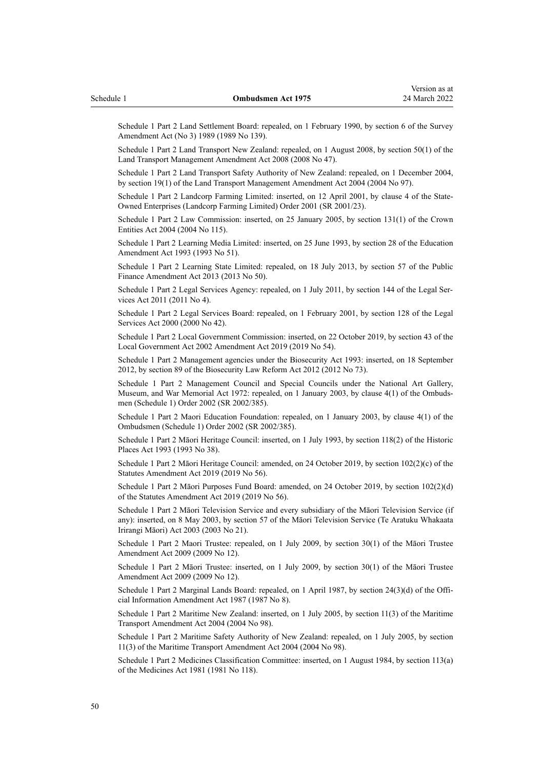Schedule 1 Part 2 Land Settlement Board: repealed, on 1 February 1990, by section 6 of the Survey Amendment Act (No 3) 1989 (1989 No 139).

Schedule 1 Part 2 Land Transport New Zealand: repealed, on 1 August 2008, by [section 50\(1\)](http://legislation.govt.nz/pdflink.aspx?id=DLM1313622) of the Land Transport Management Amendment Act 2008 (2008 No 47).

Schedule 1 Part 2 Land Transport Safety Authority of New Zealand: repealed, on 1 December 2004, by [section 19\(1\)](http://legislation.govt.nz/pdflink.aspx?id=DLM321838) of the Land Transport Management Amendment Act 2004 (2004 No 97).

Schedule 1 Part 2 Landcorp Farming Limited: inserted, on 12 April 2001, by [clause 4](http://legislation.govt.nz/pdflink.aspx?id=DLM21620) of the State-Owned Enterprises (Landcorp Farming Limited) Order 2001 (SR 2001/23).

Schedule 1 Part 2 Law Commission: inserted, on 25 January 2005, by [section 131\(1\)](http://legislation.govt.nz/pdflink.aspx?id=DLM330399) of the Crown Entities Act 2004 (2004 No 115).

Schedule 1 Part 2 Learning Media Limited: inserted, on 25 June 1993, by [section 28](http://legislation.govt.nz/pdflink.aspx?id=DLM302623) of the Education Amendment Act 1993 (1993 No 51).

Schedule 1 Part 2 Learning State Limited: repealed, on 18 July 2013, by [section 57](http://legislation.govt.nz/pdflink.aspx?id=DLM5326333) of the Public Finance Amendment Act 2013 (2013 No 50).

Schedule 1 Part 2 Legal Services Agency: repealed, on 1 July 2011, by section 144 of the Legal Services Act 2011 (2011 No 4).

Schedule 1 Part 2 Legal Services Board: repealed, on 1 February 2001, by [section 128](http://legislation.govt.nz/pdflink.aspx?id=DLM73105) of the Legal Services Act 2000 (2000 No 42).

Schedule 1 Part 2 Local Government Commission: inserted, on 22 October 2019, by [section 43](http://legislation.govt.nz/pdflink.aspx?id=DLM6868357) of the Local Government Act 2002 Amendment Act 2019 (2019 No 54).

Schedule 1 Part 2 Management agencies under the Biosecurity Act 1993: inserted, on 18 September 2012, by [section 89](http://legislation.govt.nz/pdflink.aspx?id=DLM3388546) of the Biosecurity Law Reform Act 2012 (2012 No 73).

Schedule 1 Part 2 Management Council and Special Councils under the National Art Gallery, Museum, and War Memorial Act 1972: repealed, on 1 January 2003, by [clause 4\(1\)](http://legislation.govt.nz/pdflink.aspx?id=DLM171048) of the Ombuds‐ men (Schedule 1) Order 2002 (SR 2002/385).

Schedule 1 Part 2 Maori Education Foundation: repealed, on 1 January 2003, by [clause 4\(1\)](http://legislation.govt.nz/pdflink.aspx?id=DLM171048) of the Ombudsmen (Schedule 1) Order 2002 (SR 2002/385).

Schedule 1 Part 2 Māori Heritage Council: inserted, on 1 July 1993, by [section 118\(2\)](http://legislation.govt.nz/pdflink.aspx?id=DLM301645) of the Historic Places Act 1993 (1993 No 38).

Schedule 1 Part 2 Māori Heritage Council: amended, on 24 October 2019, by [section 102\(2\)\(c\)](http://legislation.govt.nz/pdflink.aspx?id=LMS59036) of the Statutes Amendment Act 2019 (2019 No 56).

Schedule 1 Part 2 Māori Purposes Fund Board: amended, on 24 October 2019, by [section 102\(2\)\(d\)](http://legislation.govt.nz/pdflink.aspx?id=LMS59036) of the Statutes Amendment Act 2019 (2019 No 56).

Schedule 1 Part 2 Māori Television Service and every subsidiary of the Māori Television Service (if any): inserted, on 8 May 2003, by section 57 of the Māori Television Service (Te Aratuku Whakaata Irirangi Māori) Act 2003 (2003 No 21).

Schedule 1 Part 2 Maori Trustee: repealed, on 1 July 2009, by [section 30\(1\)](http://legislation.govt.nz/pdflink.aspx?id=DLM1583888) of the Māori Trustee Amendment Act 2009 (2009 No 12).

Schedule 1 Part 2 Māori Trustee: inserted, on 1 July 2009, by [section 30\(1\)](http://legislation.govt.nz/pdflink.aspx?id=DLM1583888) of the Māori Trustee Amendment Act 2009 (2009 No 12).

Schedule 1 Part 2 Marginal Lands Board: repealed, on 1 April 1987, by [section 24\(3\)\(d\)](http://legislation.govt.nz/pdflink.aspx?id=DLM101352) of the Official Information Amendment Act 1987 (1987 No 8).

Schedule 1 Part 2 Maritime New Zealand: inserted, on 1 July 2005, by [section 11\(3\)](http://legislation.govt.nz/pdflink.aspx?id=DLM322600) of the Maritime Transport Amendment Act 2004 (2004 No 98).

Schedule 1 Part 2 Maritime Safety Authority of New Zealand: repealed, on 1 July 2005, by [section](http://legislation.govt.nz/pdflink.aspx?id=DLM322600) [11\(3\)](http://legislation.govt.nz/pdflink.aspx?id=DLM322600) of the Maritime Transport Amendment Act 2004 (2004 No 98).

Schedule 1 Part 2 Medicines Classification Committee: inserted, on 1 August 1984, by [section 113\(a\)](http://legislation.govt.nz/pdflink.aspx?id=DLM56594) of the Medicines Act 1981 (1981 No 118).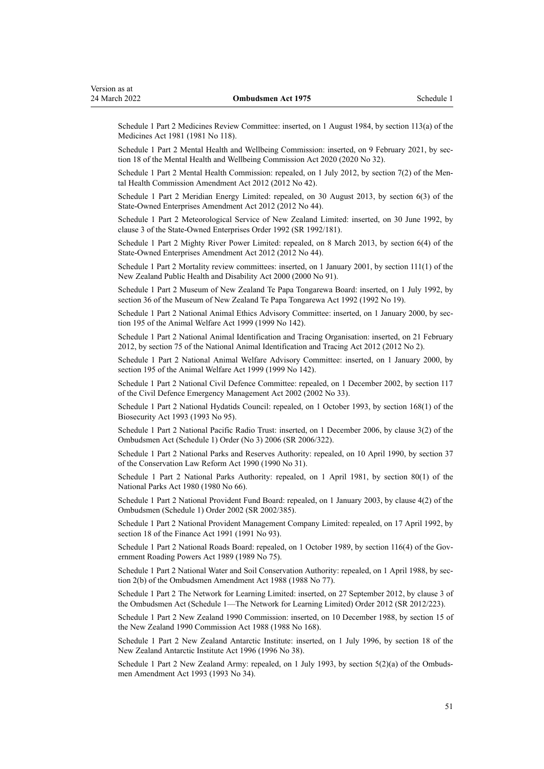Schedule 1 Part 2 Medicines Review Committee: inserted, on 1 August 1984, by [section 113\(a\)](http://legislation.govt.nz/pdflink.aspx?id=DLM56594) of the Medicines Act 1981 (1981 No 118).

Schedule 1 Part 2 Mental Health and Wellbeing Commission: inserted, on 9 February 2021, by sec[tion 18](http://legislation.govt.nz/pdflink.aspx?id=LMS281195) of the Mental Health and Wellbeing Commission Act 2020 (2020 No 32).

Schedule 1 Part 2 Mental Health Commission: repealed, on 1 July 2012, by [section 7\(2\)](http://legislation.govt.nz/pdflink.aspx?id=DLM4484313) of the Mental Health Commission Amendment Act 2012 (2012 No 42).

Schedule 1 Part 2 Meridian Energy Limited: repealed, on 30 August 2013, by [section 6\(3\)](http://legislation.govt.nz/pdflink.aspx?id=DLM4326323) of the State-Owned Enterprises Amendment Act 2012 (2012 No 44).

Schedule 1 Part 2 Meteorological Service of New Zealand Limited: inserted, on 30 June 1992, by [clause 3](http://legislation.govt.nz/pdflink.aspx?id=DLM165477) of the State-Owned Enterprises Order 1992 (SR 1992/181).

Schedule 1 Part 2 Mighty River Power Limited: repealed, on 8 March 2013, by [section 6\(4\)](http://legislation.govt.nz/pdflink.aspx?id=DLM4326323) of the State-Owned Enterprises Amendment Act 2012 (2012 No 44).

Schedule 1 Part 2 Mortality review committees: inserted, on 1 January 2001, by [section 111\(1\)](http://legislation.govt.nz/pdflink.aspx?id=DLM81644) of the New Zealand Public Health and Disability Act 2000 (2000 No 91).

Schedule 1 Part 2 Museum of New Zealand Te Papa Tongarewa Board: inserted, on 1 July 1992, by [section 36](http://legislation.govt.nz/pdflink.aspx?id=DLM260283) of the Museum of New Zealand Te Papa Tongarewa Act 1992 (1992 No 19).

Schedule 1 Part 2 National Animal Ethics Advisory Committee: inserted, on 1 January 2000, by sec[tion 195](http://legislation.govt.nz/pdflink.aspx?id=DLM51966) of the Animal Welfare Act 1999 (1999 No 142).

Schedule 1 Part 2 National Animal Identification and Tracing Organisation: inserted, on 21 February 2012, by [section 75](http://legislation.govt.nz/pdflink.aspx?id=DLM3430572) of the National Animal Identification and Tracing Act 2012 (2012 No 2).

Schedule 1 Part 2 National Animal Welfare Advisory Committee: inserted, on 1 January 2000, by [section 195](http://legislation.govt.nz/pdflink.aspx?id=DLM51966) of the Animal Welfare Act 1999 (1999 No 142).

Schedule 1 Part 2 National Civil Defence Committee: repealed, on 1 December 2002, by [section 117](http://legislation.govt.nz/pdflink.aspx?id=DLM151437) of the Civil Defence Emergency Management Act 2002 (2002 No 33).

Schedule 1 Part 2 National Hydatids Council: repealed, on 1 October 1993, by [section 168\(1\)](http://legislation.govt.nz/pdflink.aspx?id=DLM316769) of the Biosecurity Act 1993 (1993 No 95).

Schedule 1 Part 2 National Pacific Radio Trust: inserted, on 1 December 2006, by [clause 3\(2\)](http://legislation.govt.nz/pdflink.aspx?id=DLM413373) of the Ombudsmen Act (Schedule 1) Order (No 3) 2006 (SR 2006/322).

Schedule 1 Part 2 National Parks and Reserves Authority: repealed, on 10 April 1990, by [section 37](http://legislation.govt.nz/pdflink.aspx?id=DLM208750) of the Conservation Law Reform Act 1990 (1990 No 31).

Schedule 1 Part 2 National Parks Authority: repealed, on 1 April 1981, by [section 80\(1\)](http://legislation.govt.nz/pdflink.aspx?id=DLM38526) of the National Parks Act 1980 (1980 No 66).

Schedule 1 Part 2 National Provident Fund Board: repealed, on 1 January 2003, by [clause 4\(2\)](http://legislation.govt.nz/pdflink.aspx?id=DLM171048) of the Ombudsmen (Schedule 1) Order 2002 (SR 2002/385).

Schedule 1 Part 2 National Provident Management Company Limited: repealed, on 17 April 1992, by [section 18](http://legislation.govt.nz/pdflink.aspx?id=DLM248720) of the Finance Act 1991 (1991 No 93).

Schedule 1 Part 2 National Roads Board: repealed, on 1 October 1989, by [section 116\(4\)](http://legislation.govt.nz/pdflink.aspx?id=DLM175926) of the Government Roading Powers Act 1989 (1989 No 75).

Schedule 1 Part 2 National Water and Soil Conservation Authority: repealed, on 1 April 1988, by section 2(b) of the Ombudsmen Amendment Act 1988 (1988 No 77).

Schedule 1 Part 2 The Network for Learning Limited: inserted, on 27 September 2012, by [clause 3](http://legislation.govt.nz/pdflink.aspx?id=DLM4673912) of the Ombudsmen Act (Schedule 1—The Network for Learning Limited) Order 2012 (SR 2012/223).

Schedule 1 Part 2 New Zealand 1990 Commission: inserted, on 10 December 1988, by section 15 of the New Zealand 1990 Commission Act 1988 (1988 No 168).

Schedule 1 Part 2 New Zealand Antarctic Institute: inserted, on 1 July 1996, by [section 18](http://legislation.govt.nz/pdflink.aspx?id=DLM391307) of the New Zealand Antarctic Institute Act 1996 (1996 No 38).

Schedule 1 Part 2 New Zealand Army: repealed, on 1 July 1993, by section 5(2)(a) of the Ombudsmen Amendment Act 1993 (1993 No 34).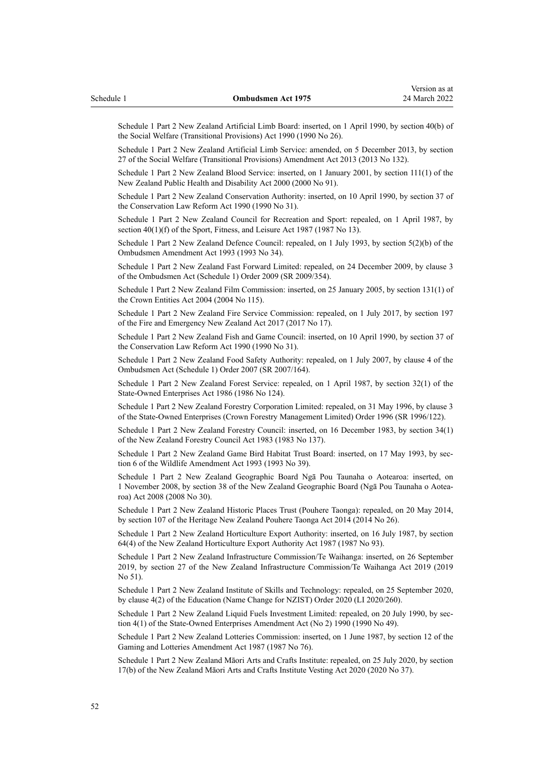Schedule 1 Part 2 New Zealand Artificial Limb Board: inserted, on 1 April 1990, by [section 40\(b\)](http://legislation.govt.nz/pdflink.aspx?id=DLM204542) of the Social Welfare (Transitional Provisions) Act 1990 (1990 No 26).

Schedule 1 Part 2 New Zealand Artificial Limb Service: amended, on 5 December 2013, by [section](http://legislation.govt.nz/pdflink.aspx?id=DLM5627445) [27](http://legislation.govt.nz/pdflink.aspx?id=DLM5627445) of the Social Welfare (Transitional Provisions) Amendment Act 2013 (2013 No 132).

Schedule 1 Part 2 New Zealand Blood Service: inserted, on 1 January 2001, by [section 111\(1\)](http://legislation.govt.nz/pdflink.aspx?id=DLM81644) of the New Zealand Public Health and Disability Act 2000 (2000 No 91).

Schedule 1 Part 2 New Zealand Conservation Authority: inserted, on 10 April 1990, by [section 37](http://legislation.govt.nz/pdflink.aspx?id=DLM208750) of the Conservation Law Reform Act 1990 (1990 No 31).

Schedule 1 Part 2 New Zealand Council for Recreation and Sport: repealed, on 1 April 1987, by [section 40\(1\)\(f\)](http://legislation.govt.nz/pdflink.aspx?id=DLM102238) of the Sport, Fitness, and Leisure Act 1987 (1987 No 13).

Schedule 1 Part 2 New Zealand Defence Council: repealed, on 1 July 1993, by section 5(2)(b) of the Ombudsmen Amendment Act 1993 (1993 No 34).

Schedule 1 Part 2 New Zealand Fast Forward Limited: repealed, on 24 December 2009, by [clause 3](http://legislation.govt.nz/pdflink.aspx?id=DLM2539531) of the Ombudsmen Act (Schedule 1) Order 2009 (SR 2009/354).

Schedule 1 Part 2 New Zealand Film Commission: inserted, on 25 January 2005, by [section 131\(1\)](http://legislation.govt.nz/pdflink.aspx?id=DLM330399) of the Crown Entities Act 2004 (2004 No 115).

Schedule 1 Part 2 New Zealand Fire Service Commission: repealed, on 1 July 2017, by [section 197](http://legislation.govt.nz/pdflink.aspx?id=DLM6678752) of the Fire and Emergency New Zealand Act 2017 (2017 No 17).

Schedule 1 Part 2 New Zealand Fish and Game Council: inserted, on 10 April 1990, by [section 37](http://legislation.govt.nz/pdflink.aspx?id=DLM208750) of the Conservation Law Reform Act 1990 (1990 No 31).

Schedule 1 Part 2 New Zealand Food Safety Authority: repealed, on 1 July 2007, by [clause 4](http://legislation.govt.nz/pdflink.aspx?id=DLM440094) of the Ombudsmen Act (Schedule 1) Order 2007 (SR 2007/164).

Schedule 1 Part 2 New Zealand Forest Service: repealed, on 1 April 1987, by section 32(1) of the State-Owned Enterprises Act 1986 (1986 No 124).

Schedule 1 Part 2 New Zealand Forestry Corporation Limited: repealed, on 31 May 1996, by clause 3 of the State-Owned Enterprises (Crown Forestry Management Limited) Order 1996 (SR 1996/122).

Schedule 1 Part 2 New Zealand Forestry Council: inserted, on 16 December 1983, by section 34(1) of the New Zealand Forestry Council Act 1983 (1983 No 137).

Schedule 1 Part 2 New Zealand Game Bird Habitat Trust Board: inserted, on 17 May 1993, by section 6 of the Wildlife Amendment Act 1993 (1993 No 39).

Schedule 1 Part 2 New Zealand Geographic Board Ngā Pou Taunaha o Aotearoa: inserted, on 1 November 2008, by [section 38](http://legislation.govt.nz/pdflink.aspx?id=DLM1065526) of the New Zealand Geographic Board (Ngā Pou Taunaha o Aotea‐ roa) Act 2008 (2008 No 30).

Schedule 1 Part 2 New Zealand Historic Places Trust (Pouhere Taonga): repealed, on 20 May 2014, by [section 107](http://legislation.govt.nz/pdflink.aspx?id=DLM4005646) of the Heritage New Zealand Pouhere Taonga Act 2014 (2014 No 26).

Schedule 1 Part 2 New Zealand Horticulture Export Authority: inserted, on 16 July 1987, by [section](http://legislation.govt.nz/pdflink.aspx?id=DLM118177) [64\(4\)](http://legislation.govt.nz/pdflink.aspx?id=DLM118177) of the New Zealand Horticulture Export Authority Act 1987 (1987 No 93).

Schedule 1 Part 2 New Zealand Infrastructure Commission/Te Waihanga: inserted, on 26 September 2019, by [section 27](http://legislation.govt.nz/pdflink.aspx?id=LMS155617) of the New Zealand Infrastructure Commission/Te Waihanga Act 2019 (2019 No 51).

Schedule 1 Part 2 New Zealand Institute of Skills and Technology: repealed, on 25 September 2020, by [clause 4\(2\)](http://legislation.govt.nz/pdflink.aspx?id=LMS408582) of the Education (Name Change for NZIST) Order 2020 (LI 2020/260).

Schedule 1 Part 2 New Zealand Liquid Fuels Investment Limited: repealed, on 20 July 1990, by sec[tion 4\(1\)](http://legislation.govt.nz/pdflink.aspx?id=DLM210987) of the State-Owned Enterprises Amendment Act (No 2) 1990 (1990 No 49).

Schedule 1 Part 2 New Zealand Lotteries Commission: inserted, on 1 June 1987, by section 12 of the Gaming and Lotteries Amendment Act 1987 (1987 No 76).

Schedule 1 Part 2 New Zealand Māori Arts and Crafts Institute: repealed, on 25 July 2020, by [section](http://legislation.govt.nz/pdflink.aspx?id=LMS119052) [17\(b\)](http://legislation.govt.nz/pdflink.aspx?id=LMS119052) of the New Zealand Māori Arts and Crafts Institute Vesting Act 2020 (2020 No 37).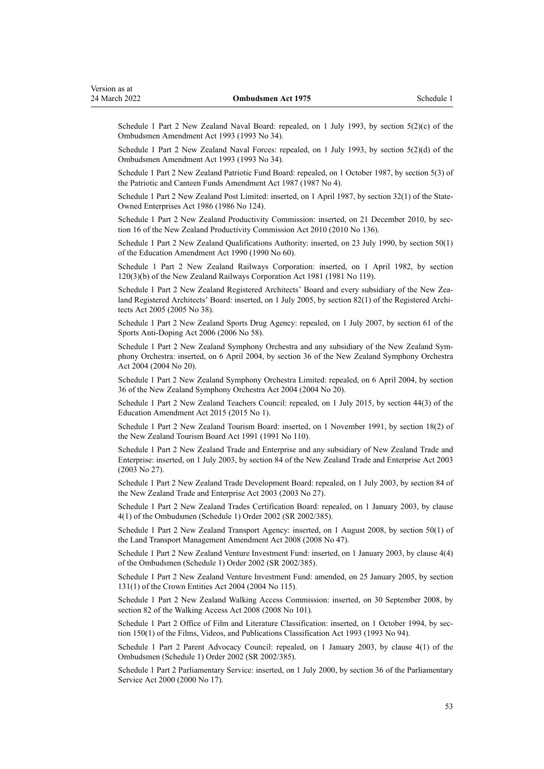Schedule 1 Part 2 New Zealand Naval Board: repealed, on 1 July 1993, by section 5(2)(c) of the Ombudsmen Amendment Act 1993 (1993 No 34).

Schedule 1 Part 2 New Zealand Naval Forces: repealed, on 1 July 1993, by section 5(2)(d) of the Ombudsmen Amendment Act 1993 (1993 No 34).

Schedule 1 Part 2 New Zealand Patriotic Fund Board: repealed, on 1 October 1987, by [section 5\(3\)](http://legislation.govt.nz/pdflink.aspx?id=DLM100574) of the Patriotic and Canteen Funds Amendment Act 1987 (1987 No 4).

Schedule 1 Part 2 New Zealand Post Limited: inserted, on 1 April 1987, by [section 32\(1\)](http://legislation.govt.nz/pdflink.aspx?id=DLM98437) of the State-Owned Enterprises Act 1986 (1986 No 124).

Schedule 1 Part 2 New Zealand Productivity Commission: inserted, on 21 December 2010, by sec[tion 16](http://legislation.govt.nz/pdflink.aspx?id=DLM3104343) of the New Zealand Productivity Commission Act 2010 (2010 No 136).

Schedule 1 Part 2 New Zealand Qualifications Authority: inserted, on 23 July 1990, by [section 50\(1\)](http://legislation.govt.nz/pdflink.aspx?id=DLM212679) of the Education Amendment Act 1990 (1990 No 60).

Schedule 1 Part 2 New Zealand Railways Corporation: inserted, on 1 April 1982, by [section](http://legislation.govt.nz/pdflink.aspx?id=DLM58277) [120\(3\)\(b\)](http://legislation.govt.nz/pdflink.aspx?id=DLM58277) of the New Zealand Railways Corporation Act 1981 (1981 No 119).

Schedule 1 Part 2 New Zealand Registered Architects' Board and every subsidiary of the New Zealand Registered Architects' Board: inserted, on 1 July 2005, by [section 82\(1\)](http://legislation.govt.nz/pdflink.aspx?id=DLM344094) of the Registered Architects Act 2005 (2005 No 38).

Schedule 1 Part 2 New Zealand Sports Drug Agency: repealed, on 1 July 2007, by [section 61](http://legislation.govt.nz/pdflink.aspx?id=DLM390404) of the Sports Anti-Doping Act 2006 (2006 No 58).

Schedule 1 Part 2 New Zealand Symphony Orchestra and any subsidiary of the New Zealand Symphony Orchestra: inserted, on 6 April 2004, by [section 36](http://legislation.govt.nz/pdflink.aspx?id=DLM243147) of the New Zealand Symphony Orchestra Act 2004 (2004 No 20).

Schedule 1 Part 2 New Zealand Symphony Orchestra Limited: repealed, on 6 April 2004, by [section](http://legislation.govt.nz/pdflink.aspx?id=DLM243147) [36](http://legislation.govt.nz/pdflink.aspx?id=DLM243147) of the New Zealand Symphony Orchestra Act 2004 (2004 No 20).

Schedule 1 Part 2 New Zealand Teachers Council: repealed, on 1 July 2015, by [section 44\(3\)](http://legislation.govt.nz/pdflink.aspx?id=DLM5989259) of the Education Amendment Act 2015 (2015 No 1).

Schedule 1 Part 2 New Zealand Tourism Board: inserted, on 1 November 1991, by [section 18\(2\)](http://legislation.govt.nz/pdflink.aspx?id=DLM249395) of the New Zealand Tourism Board Act 1991 (1991 No 110).

Schedule 1 Part 2 New Zealand Trade and Enterprise and any subsidiary of New Zealand Trade and Enterprise: inserted, on 1 July 2003, by [section 84](http://legislation.govt.nz/pdflink.aspx?id=DLM197801) of the New Zealand Trade and Enterprise Act 2003 (2003 No 27).

Schedule 1 Part 2 New Zealand Trade Development Board: repealed, on 1 July 2003, by [section 84](http://legislation.govt.nz/pdflink.aspx?id=DLM197801) of the New Zealand Trade and Enterprise Act 2003 (2003 No 27).

Schedule 1 Part 2 New Zealand Trades Certification Board: repealed, on 1 January 2003, by [clause](http://legislation.govt.nz/pdflink.aspx?id=DLM171048) [4\(1\)](http://legislation.govt.nz/pdflink.aspx?id=DLM171048) of the Ombudsmen (Schedule 1) Order 2002 (SR 2002/385).

Schedule 1 Part 2 New Zealand Transport Agency: inserted, on 1 August 2008, by [section 50\(1\)](http://legislation.govt.nz/pdflink.aspx?id=DLM1313622) of the Land Transport Management Amendment Act 2008 (2008 No 47).

Schedule 1 Part 2 New Zealand Venture Investment Fund: inserted, on 1 January 2003, by [clause 4\(4\)](http://legislation.govt.nz/pdflink.aspx?id=DLM171048) of the Ombudsmen (Schedule 1) Order 2002 (SR 2002/385).

Schedule 1 Part 2 New Zealand Venture Investment Fund: amended, on 25 January 2005, by section 131(1) of the Crown Entities Act 2004 (2004 No 115).

Schedule 1 Part 2 New Zealand Walking Access Commission: inserted, on 30 September 2008, by [section 82](http://legislation.govt.nz/pdflink.aspx?id=DLM1244216) of the Walking Access Act 2008 (2008 No 101).

Schedule 1 Part 2 Office of Film and Literature Classification: inserted, on 1 October 1994, by sec[tion 150\(1\)](http://legislation.govt.nz/pdflink.aspx?id=DLM314425) of the Films, Videos, and Publications Classification Act 1993 (1993 No 94).

Schedule 1 Part 2 Parent Advocacy Council: repealed, on 1 January 2003, by [clause 4\(1\)](http://legislation.govt.nz/pdflink.aspx?id=DLM171048) of the Ombudsmen (Schedule 1) Order 2002 (SR 2002/385).

Schedule 1 Part 2 Parliamentary Service: inserted, on 1 July 2000, by [section 36](http://legislation.govt.nz/pdflink.aspx?id=DLM56324) of the Parliamentary Service Act 2000 (2000 No 17).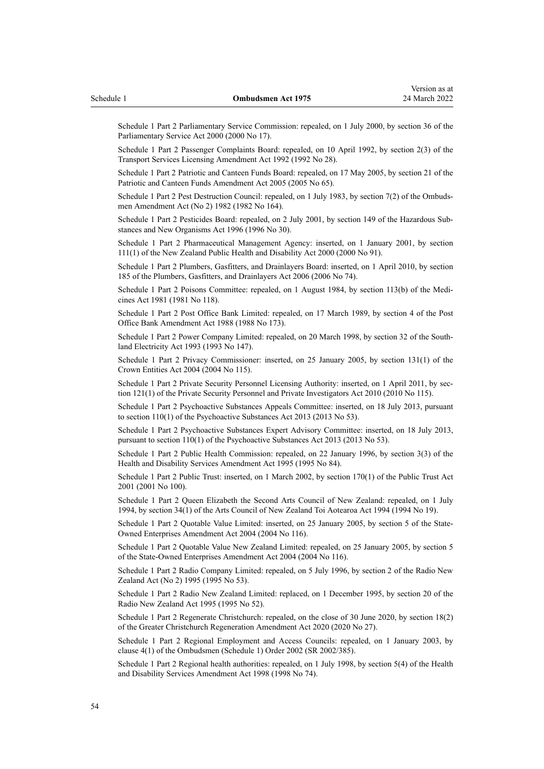Schedule 1 Part 2 Parliamentary Service Commission: repealed, on 1 July 2000, by [section 36](http://legislation.govt.nz/pdflink.aspx?id=DLM56324) of the Parliamentary Service Act 2000 (2000 No 17).

Schedule 1 Part 2 Passenger Complaints Board: repealed, on 10 April 1992, by section 2(3) of the Transport Services Licensing Amendment Act 1992 (1992 No 28).

Schedule 1 Part 2 Patriotic and Canteen Funds Board: repealed, on 17 May 2005, by [section 21](http://legislation.govt.nz/pdflink.aspx?id=DLM348933) of the Patriotic and Canteen Funds Amendment Act 2005 (2005 No 65).

Schedule 1 Part 2 Pest Destruction Council: repealed, on 1 July 1983, by section 7(2) of the Ombudsmen Amendment Act (No 2) 1982 (1982 No 164).

Schedule 1 Part 2 Pesticides Board: repealed, on 2 July 2001, by [section 149](http://legislation.govt.nz/pdflink.aspx?id=DLM385160) of the Hazardous Sub‐ stances and New Organisms Act 1996 (1996 No 30).

Schedule 1 Part 2 Pharmaceutical Management Agency: inserted, on 1 January 2001, by [section](http://legislation.govt.nz/pdflink.aspx?id=DLM81644) [111\(1\)](http://legislation.govt.nz/pdflink.aspx?id=DLM81644) of the New Zealand Public Health and Disability Act 2000 (2000 No 91).

Schedule 1 Part 2 Plumbers, Gasfitters, and Drainlayers Board: inserted, on 1 April 2010, by [section](http://legislation.govt.nz/pdflink.aspx?id=DLM397798) [185](http://legislation.govt.nz/pdflink.aspx?id=DLM397798) of the Plumbers, Gasfitters, and Drainlayers Act 2006 (2006 No 74).

Schedule 1 Part 2 Poisons Committee: repealed, on 1 August 1984, by [section 113\(b\)](http://legislation.govt.nz/pdflink.aspx?id=DLM56594) of the Medicines Act 1981 (1981 No 118).

Schedule 1 Part 2 Post Office Bank Limited: repealed, on 17 March 1989, by section 4 of the Post Office Bank Amendment Act 1988 (1988 No 173).

Schedule 1 Part 2 Power Company Limited: repealed, on 20 March 1998, by [section 32](http://legislation.govt.nz/pdflink.aspx?id=DLM328925) of the Southland Electricity Act 1993 (1993 No 147).

Schedule 1 Part 2 Privacy Commissioner: inserted, on 25 January 2005, by [section 131\(1\)](http://legislation.govt.nz/pdflink.aspx?id=DLM330399) of the Crown Entities Act 2004 (2004 No 115).

Schedule 1 Part 2 Private Security Personnel Licensing Authority: inserted, on 1 April 2011, by sec[tion 121\(1\)](http://legislation.govt.nz/pdflink.aspx?id=DLM1594656) of the Private Security Personnel and Private Investigators Act 2010 (2010 No 115).

Schedule 1 Part 2 Psychoactive Substances Appeals Committee: inserted, on 18 July 2013, pursuant to [section 110\(1\)](http://legislation.govt.nz/pdflink.aspx?id=DLM5043149) of the Psychoactive Substances Act 2013 (2013 No 53).

Schedule 1 Part 2 Psychoactive Substances Expert Advisory Committee: inserted, on 18 July 2013, pursuant to [section 110\(1\)](http://legislation.govt.nz/pdflink.aspx?id=DLM5043149) of the Psychoactive Substances Act 2013 (2013 No 53).

Schedule 1 Part 2 Public Health Commission: repealed, on 22 January 1996, by [section 3\(3\)](http://legislation.govt.nz/pdflink.aspx?id=DLM371289) of the Health and Disability Services Amendment Act 1995 (1995 No 84).

Schedule 1 Part 2 Public Trust: inserted, on 1 March 2002, by [section 170\(1\)](http://legislation.govt.nz/pdflink.aspx?id=DLM124529) of the Public Trust Act 2001 (2001 No 100).

Schedule 1 Part 2 Queen Elizabeth the Second Arts Council of New Zealand: repealed, on 1 July 1994, by [section 34\(1\)](http://legislation.govt.nz/pdflink.aspx?id=DLM330648) of the Arts Council of New Zealand Toi Aotearoa Act 1994 (1994 No 19).

Schedule 1 Part 2 Quotable Value Limited: inserted, on 25 January 2005, by [section 5](http://legislation.govt.nz/pdflink.aspx?id=DLM333210) of the State-Owned Enterprises Amendment Act 2004 (2004 No 116).

Schedule 1 Part 2 Quotable Value New Zealand Limited: repealed, on 25 January 2005, by [section 5](http://legislation.govt.nz/pdflink.aspx?id=DLM333210) of the State-Owned Enterprises Amendment Act 2004 (2004 No 116).

Schedule 1 Part 2 Radio Company Limited: repealed, on 5 July 1996, by [section 2](http://legislation.govt.nz/pdflink.aspx?id=DLM368674) of the Radio New Zealand Act (No 2) 1995 (1995 No 53).

Schedule 1 Part 2 Radio New Zealand Limited: replaced, on 1 December 1995, by [section 20](http://legislation.govt.nz/pdflink.aspx?id=DLM368655) of the Radio New Zealand Act 1995 (1995 No 52).

Schedule 1 Part 2 Regenerate Christchurch: repealed, on the close of 30 June 2020, by [section 18\(2\)](http://legislation.govt.nz/pdflink.aspx?id=LMS312453) of the Greater Christchurch Regeneration Amendment Act 2020 (2020 No 27).

Schedule 1 Part 2 Regional Employment and Access Councils: repealed, on 1 January 2003, by [clause 4\(1\)](http://legislation.govt.nz/pdflink.aspx?id=DLM171048) of the Ombudsmen (Schedule 1) Order 2002 (SR 2002/385).

Schedule 1 Part 2 Regional health authorities: repealed, on 1 July 1998, by section 5(4) of the Health and Disability Services Amendment Act 1998 (1998 No 74).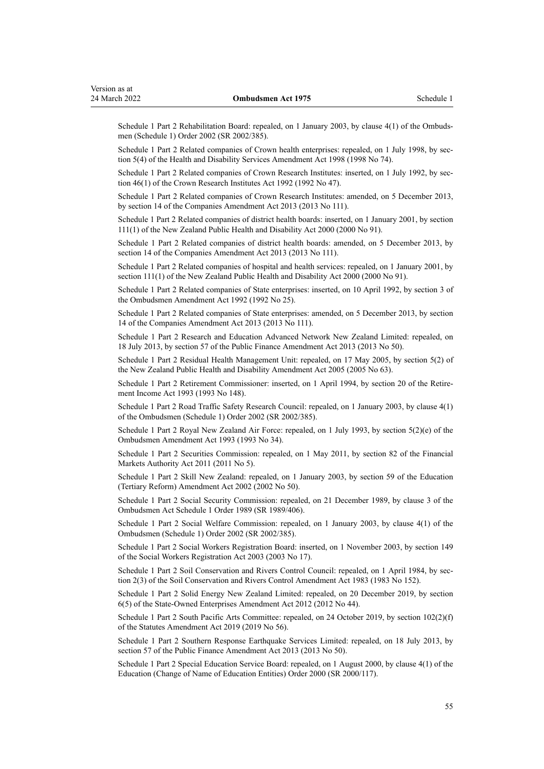Schedule 1 Part 2 Rehabilitation Board: repealed, on 1 January 2003, by [clause 4\(1\)](http://legislation.govt.nz/pdflink.aspx?id=DLM171048) of the Ombuds‐ men (Schedule 1) Order 2002 (SR 2002/385).

Schedule 1 Part 2 Related companies of Crown health enterprises: repealed, on 1 July 1998, by section 5(4) of the Health and Disability Services Amendment Act 1998 (1998 No 74).

Schedule 1 Part 2 Related companies of Crown Research Institutes: inserted, on 1 July 1992, by sec[tion 46\(1\)](http://legislation.govt.nz/pdflink.aspx?id=DLM265666) of the Crown Research Institutes Act 1992 (1992 No 47).

Schedule 1 Part 2 Related companies of Crown Research Institutes: amended, on 5 December 2013, by [section 14](http://legislation.govt.nz/pdflink.aspx?id=DLM5620822) of the Companies Amendment Act 2013 (2013 No 111).

Schedule 1 Part 2 Related companies of district health boards: inserted, on 1 January 2001, by [section](http://legislation.govt.nz/pdflink.aspx?id=DLM81644) [111\(1\)](http://legislation.govt.nz/pdflink.aspx?id=DLM81644) of the New Zealand Public Health and Disability Act 2000 (2000 No 91).

Schedule 1 Part 2 Related companies of district health boards: amended, on 5 December 2013, by [section 14](http://legislation.govt.nz/pdflink.aspx?id=DLM5620822) of the Companies Amendment Act 2013 (2013 No 111).

Schedule 1 Part 2 Related companies of hospital and health services: repealed, on 1 January 2001, by [section 111\(1\)](http://legislation.govt.nz/pdflink.aspx?id=DLM81644) of the New Zealand Public Health and Disability Act 2000 (2000 No 91).

Schedule 1 Part 2 Related companies of State enterprises: inserted, on 10 April 1992, by section 3 of the Ombudsmen Amendment Act 1992 (1992 No 25).

Schedule 1 Part 2 Related companies of State enterprises: amended, on 5 December 2013, by [section](http://legislation.govt.nz/pdflink.aspx?id=DLM5620822) [14](http://legislation.govt.nz/pdflink.aspx?id=DLM5620822) of the Companies Amendment Act 2013 (2013 No 111).

Schedule 1 Part 2 Research and Education Advanced Network New Zealand Limited: repealed, on 18 July 2013, by [section 57](http://legislation.govt.nz/pdflink.aspx?id=DLM5326333) of the Public Finance Amendment Act 2013 (2013 No 50).

Schedule 1 Part 2 Residual Health Management Unit: repealed, on 17 May 2005, by [section 5\(2\)](http://legislation.govt.nz/pdflink.aspx?id=DLM348477) of the New Zealand Public Health and Disability Amendment Act 2005 (2005 No 63).

Schedule 1 Part 2 Retirement Commissioner: inserted, on 1 April 1994, by section 20 of the Retire‐ ment Income Act 1993 (1993 No 148).

Schedule 1 Part 2 Road Traffic Safety Research Council: repealed, on 1 January 2003, by [clause 4\(1\)](http://legislation.govt.nz/pdflink.aspx?id=DLM171048) of the Ombudsmen (Schedule 1) Order 2002 (SR 2002/385).

Schedule 1 Part 2 Royal New Zealand Air Force: repealed, on 1 July 1993, by section 5(2)(e) of the Ombudsmen Amendment Act 1993 (1993 No 34).

Schedule 1 Part 2 Securities Commission: repealed, on 1 May 2011, by [section 82](http://legislation.govt.nz/pdflink.aspx?id=DLM3231793) of the Financial Markets Authority Act 2011 (2011 No 5).

Schedule 1 Part 2 Skill New Zealand: repealed, on 1 January 2003, by [section 59](http://legislation.govt.nz/pdflink.aspx?id=DLM166273) of the Education (Tertiary Reform) Amendment Act 2002 (2002 No 50).

Schedule 1 Part 2 Social Security Commission: repealed, on 21 December 1989, by [clause 3](http://legislation.govt.nz/pdflink.aspx?id=DLM134799) of the Ombudsmen Act Schedule 1 Order 1989 (SR 1989/406).

Schedule 1 Part 2 Social Welfare Commission: repealed, on 1 January 2003, by [clause 4\(1\)](http://legislation.govt.nz/pdflink.aspx?id=DLM171048) of the Ombudsmen (Schedule 1) Order 2002 (SR 2002/385).

Schedule 1 Part 2 Social Workers Registration Board: inserted, on 1 November 2003, by [section 149](http://legislation.govt.nz/pdflink.aspx?id=DLM190655) of the Social Workers Registration Act 2003 (2003 No 17).

Schedule 1 Part 2 Soil Conservation and Rivers Control Council: repealed, on 1 April 1984, by section 2(3) of the Soil Conservation and Rivers Control Amendment Act 1983 (1983 No 152).

Schedule 1 Part 2 Solid Energy New Zealand Limited: repealed, on 20 December 2019, by [section](http://legislation.govt.nz/pdflink.aspx?id=DLM4326323) [6\(5\)](http://legislation.govt.nz/pdflink.aspx?id=DLM4326323) of the State-Owned Enterprises Amendment Act 2012 (2012 No 44).

Schedule 1 Part 2 South Pacific Arts Committee: repealed, on 24 October 2019, by section  $102(2)(f)$ of the Statutes Amendment Act 2019 (2019 No 56).

Schedule 1 Part 2 Southern Response Earthquake Services Limited: repealed, on 18 July 2013, by [section 57](http://legislation.govt.nz/pdflink.aspx?id=DLM5326333) of the Public Finance Amendment Act 2013 (2013 No 50).

Schedule 1 Part 2 Special Education Service Board: repealed, on 1 August 2000, by [clause 4\(1\)](http://legislation.govt.nz/pdflink.aspx?id=DLM6021) of the Education (Change of Name of Education Entities) Order 2000 (SR 2000/117).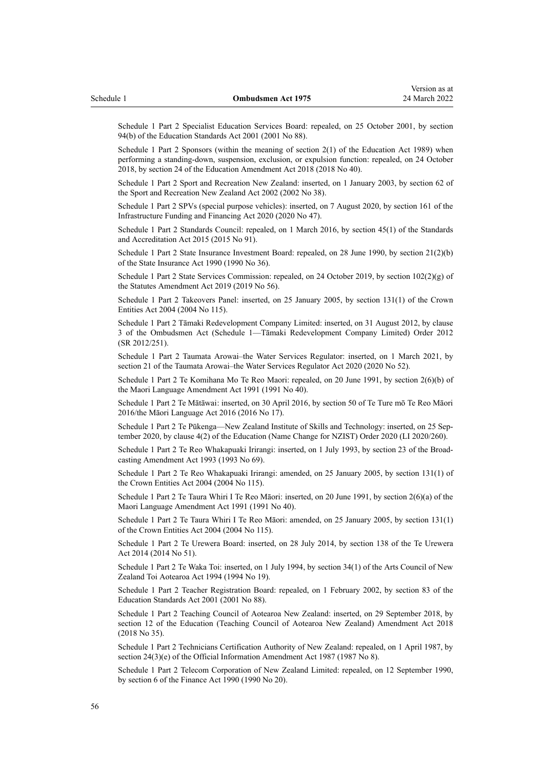Schedule 1 Part 2 Specialist Education Services Board: repealed, on 25 October 2001, by [section](http://legislation.govt.nz/pdflink.aspx?id=DLM119207) [94\(b\)](http://legislation.govt.nz/pdflink.aspx?id=DLM119207) of the Education Standards Act 2001 (2001 No 88).

Schedule 1 Part 2 Sponsors (within the meaning of section 2(1) of the Education Act 1989) when performing a standing-down, suspension, exclusion, or expulsion function: repealed, on 24 October 2018, by [section 24](http://legislation.govt.nz/pdflink.aspx?id=LMS8587) of the Education Amendment Act 2018 (2018 No 40).

Schedule 1 Part 2 Sport and Recreation New Zealand: inserted, on 1 January 2003, by [section 62](http://legislation.govt.nz/pdflink.aspx?id=DLM157684) of the Sport and Recreation New Zealand Act 2002 (2002 No 38).

Schedule 1 Part 2 SPVs (special purpose vehicles): inserted, on 7 August 2020, by [section 161](http://legislation.govt.nz/pdflink.aspx?id=LMS276471) of the Infrastructure Funding and Financing Act 2020 (2020 No 47).

Schedule 1 Part 2 Standards Council: repealed, on 1 March 2016, by [section 45\(1\)](http://legislation.govt.nz/pdflink.aspx?id=DLM5947001) of the Standards and Accreditation Act 2015 (2015 No 91).

Schedule 1 Part 2 State Insurance Investment Board: repealed, on 28 June 1990, by [section 21\(2\)\(b\)](http://legislation.govt.nz/pdflink.aspx?id=DLM210424) of the State Insurance Act 1990 (1990 No 36).

Schedule 1 Part 2 State Services Commission: repealed, on 24 October 2019, by section  $102(2)(g)$  of the Statutes Amendment Act 2019 (2019 No 56).

Schedule 1 Part 2 Takeovers Panel: inserted, on 25 January 2005, by [section 131\(1\)](http://legislation.govt.nz/pdflink.aspx?id=DLM330399) of the Crown Entities Act 2004 (2004 No 115).

Schedule 1 Part 2 Tāmaki Redevelopment Company Limited: inserted, on 31 August 2012, by [clause](http://legislation.govt.nz/pdflink.aspx?id=DLM4693013) [3](http://legislation.govt.nz/pdflink.aspx?id=DLM4693013) of the Ombudsmen Act (Schedule 1—Tāmaki Redevelopment Company Limited) Order 2012 (SR 2012/251).

Schedule 1 Part 2 Taumata Arowai–the Water Services Regulator: inserted, on 1 March 2021, by [section 21](http://legislation.govt.nz/pdflink.aspx?id=LMS294399) of the Taumata Arowai–the Water Services Regulator Act 2020 (2020 No 52).

Schedule 1 Part 2 Te Komihana Mo Te Reo Maori: repealed, on 20 June 1991, by section 2(6)(b) of the Maori Language Amendment Act 1991 (1991 No 40).

Schedule 1 Part 2 Te Mātāwai: inserted, on 30 April 2016, by [section 50](http://legislation.govt.nz/pdflink.aspx?id=DLM6174613) of Te Ture mō Te Reo Māori 2016/the Māori Language Act 2016 (2016 No 17).

Schedule 1 Part 2 Te Pūkenga—New Zealand Institute of Skills and Technology: inserted, on 25 September 2020, by [clause 4\(2\)](http://legislation.govt.nz/pdflink.aspx?id=LMS408582) of the Education (Name Change for NZIST) Order 2020 (LI 2020/260).

Schedule 1 Part 2 Te Reo Whakapuaki Irirangi: inserted, on 1 July 1993, by [section 23](http://legislation.govt.nz/pdflink.aspx?id=DLM304208) of the Broadcasting Amendment Act 1993 (1993 No 69).

Schedule 1 Part 2 Te Reo Whakapuaki Irirangi: amended, on 25 January 2005, by [section 131\(1\)](http://legislation.govt.nz/pdflink.aspx?id=DLM330399) of the Crown Entities Act 2004 (2004 No 115).

Schedule 1 Part 2 Te Taura Whiri I Te Reo Māori: inserted, on 20 June 1991, by section 2(6)(a) of the Maori Language Amendment Act 1991 (1991 No 40).

Schedule 1 Part 2 Te Taura Whiri I Te Reo Māori: amended, on 25 January 2005, by [section 131\(1\)](http://legislation.govt.nz/pdflink.aspx?id=DLM330399) of the Crown Entities Act 2004 (2004 No 115).

Schedule 1 Part 2 Te Urewera Board: inserted, on 28 July 2014, by [section 138](http://legislation.govt.nz/pdflink.aspx?id=DLM6183949) of the Te Urewera Act 2014 (2014 No 51).

Schedule 1 Part 2 Te Waka Toi: inserted, on 1 July 1994, by [section 34\(1\)](http://legislation.govt.nz/pdflink.aspx?id=DLM330648) of the Arts Council of New Zealand Toi Aotearoa Act 1994 (1994 No 19).

Schedule 1 Part 2 Teacher Registration Board: repealed, on 1 February 2002, by [section 83](http://legislation.govt.nz/pdflink.aspx?id=DLM118875) of the Education Standards Act 2001 (2001 No 88).

Schedule 1 Part 2 Teaching Council of Aotearoa New Zealand: inserted, on 29 September 2018, by [section 12](http://legislation.govt.nz/pdflink.aspx?id=LMS9418) of the Education (Teaching Council of Aotearoa New Zealand) Amendment Act 2018 (2018 No 35).

Schedule 1 Part 2 Technicians Certification Authority of New Zealand: repealed, on 1 April 1987, by [section 24\(3\)\(e\)](http://legislation.govt.nz/pdflink.aspx?id=DLM101352) of the Official Information Amendment Act 1987 (1987 No 8).

Schedule 1 Part 2 Telecom Corporation of New Zealand Limited: repealed, on 12 September 1990, by [section 6](http://legislation.govt.nz/pdflink.aspx?id=DLM203569) of the Finance Act 1990 (1990 No 20).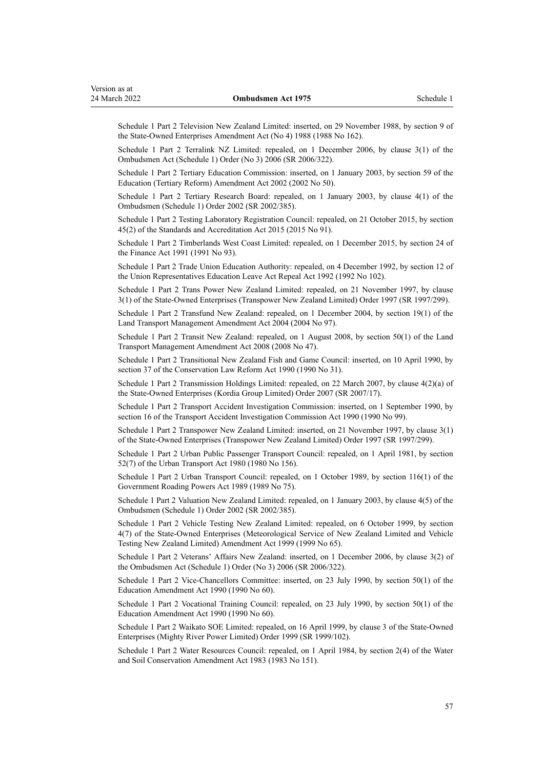Schedule 1 Part 2 Television New Zealand Limited: inserted, on 29 November 1988, by section 9 of the State-Owned Enterprises Amendment Act (No 4) 1988 (1988 No 162).

Schedule 1 Part 2 Terralink NZ Limited: repealed, on 1 December 2006, by [clause 3\(1\)](http://legislation.govt.nz/pdflink.aspx?id=DLM413373) of the Ombudsmen Act (Schedule 1) Order (No 3) 2006 (SR 2006/322).

Schedule 1 Part 2 Tertiary Education Commission: inserted, on 1 January 2003, by [section 59](http://legislation.govt.nz/pdflink.aspx?id=DLM166273) of the Education (Tertiary Reform) Amendment Act 2002 (2002 No 50).

Schedule 1 Part 2 Tertiary Research Board: repealed, on 1 January 2003, by [clause 4\(1\)](http://legislation.govt.nz/pdflink.aspx?id=DLM171048) of the Ombudsmen (Schedule 1) Order 2002 (SR 2002/385).

Schedule 1 Part 2 Testing Laboratory Registration Council: repealed, on 21 October 2015, by [section](http://legislation.govt.nz/pdflink.aspx?id=DLM5947001) [45\(2\)](http://legislation.govt.nz/pdflink.aspx?id=DLM5947001) of the Standards and Accreditation Act 2015 (2015 No 91).

Schedule 1 Part 2 Timberlands West Coast Limited: repealed, on 1 December 2015, by [section 24](http://legislation.govt.nz/pdflink.aspx?id=DLM248734) of the Finance Act 1991 (1991 No 93).

Schedule 1 Part 2 Trade Union Education Authority: repealed, on 4 December 1992, by [section 12](http://legislation.govt.nz/pdflink.aspx?id=DLM280654) of the Union Representatives Education Leave Act Repeal Act 1992 (1992 No 102).

Schedule 1 Part 2 Trans Power New Zealand Limited: repealed, on 21 November 1997, by clause 3(1) of the State-Owned Enterprises (Transpower New Zealand Limited) Order 1997 (SR 1997/299).

Schedule 1 Part 2 Transfund New Zealand: repealed, on 1 December 2004, by [section 19\(1\)](http://legislation.govt.nz/pdflink.aspx?id=DLM321838) of the Land Transport Management Amendment Act 2004 (2004 No 97).

Schedule 1 Part 2 Transit New Zealand: repealed, on 1 August 2008, by [section 50\(1\)](http://legislation.govt.nz/pdflink.aspx?id=DLM1313622) of the Land Transport Management Amendment Act 2008 (2008 No 47).

Schedule 1 Part 2 Transitional New Zealand Fish and Game Council: inserted, on 10 April 1990, by [section 37](http://legislation.govt.nz/pdflink.aspx?id=DLM208750) of the Conservation Law Reform Act 1990 (1990 No 31).

Schedule 1 Part 2 Transmission Holdings Limited: repealed, on 22 March 2007, by [clause 4\(2\)\(a\)](http://legislation.govt.nz/pdflink.aspx?id=DLM426135) of the State-Owned Enterprises (Kordia Group Limited) Order 2007 (SR 2007/17).

Schedule 1 Part 2 Transport Accident Investigation Commission: inserted, on 1 September 1990, by [section 16](http://legislation.govt.nz/pdflink.aspx?id=DLM221899) of the Transport Accident Investigation Commission Act 1990 (1990 No 99).

Schedule 1 Part 2 Transpower New Zealand Limited: inserted, on 21 November 1997, by clause 3(1) of the State-Owned Enterprises (Transpower New Zealand Limited) Order 1997 (SR 1997/299).

Schedule 1 Part 2 Urban Public Passenger Transport Council: repealed, on 1 April 1981, by section 52(7) of the Urban Transport Act 1980 (1980 No 156).

Schedule 1 Part 2 Urban Transport Council: repealed, on 1 October 1989, by [section 116\(1\)](http://legislation.govt.nz/pdflink.aspx?id=DLM175926) of the Government Roading Powers Act 1989 (1989 No 75).

Schedule 1 Part 2 Valuation New Zealand Limited: repealed, on 1 January 2003, by [clause 4\(5\)](http://legislation.govt.nz/pdflink.aspx?id=DLM171048) of the Ombudsmen (Schedule 1) Order 2002 (SR 2002/385).

Schedule 1 Part 2 Vehicle Testing New Zealand Limited: repealed, on 6 October 1999, by [section](http://legislation.govt.nz/pdflink.aspx?id=DLM30524) [4\(7\)](http://legislation.govt.nz/pdflink.aspx?id=DLM30524) of the State-Owned Enterprises (Meteorological Service of New Zealand Limited and Vehicle Testing New Zealand Limited) Amendment Act 1999 (1999 No 65).

Schedule 1 Part 2 Veterans' Affairs New Zealand: inserted, on 1 December 2006, by [clause 3\(2\)](http://legislation.govt.nz/pdflink.aspx?id=DLM413373) of the Ombudsmen Act (Schedule 1) Order (No 3) 2006 (SR 2006/322).

Schedule 1 Part 2 Vice-Chancellors Committee: inserted, on 23 July 1990, by [section 50\(1\)](http://legislation.govt.nz/pdflink.aspx?id=DLM212679) of the Education Amendment Act 1990 (1990 No 60).

Schedule 1 Part 2 Vocational Training Council: repealed, on 23 July 1990, by [section 50\(1\)](http://legislation.govt.nz/pdflink.aspx?id=DLM212679) of the Education Amendment Act 1990 (1990 No 60).

Schedule 1 Part 2 Waikato SOE Limited: repealed, on 16 April 1999, by [clause 3](http://legislation.govt.nz/pdflink.aspx?id=DLM282635) of the State-Owned Enterprises (Mighty River Power Limited) Order 1999 (SR 1999/102).

Schedule 1 Part 2 Water Resources Council: repealed, on 1 April 1984, by section 2(4) of the Water and Soil Conservation Amendment Act 1983 (1983 No 151).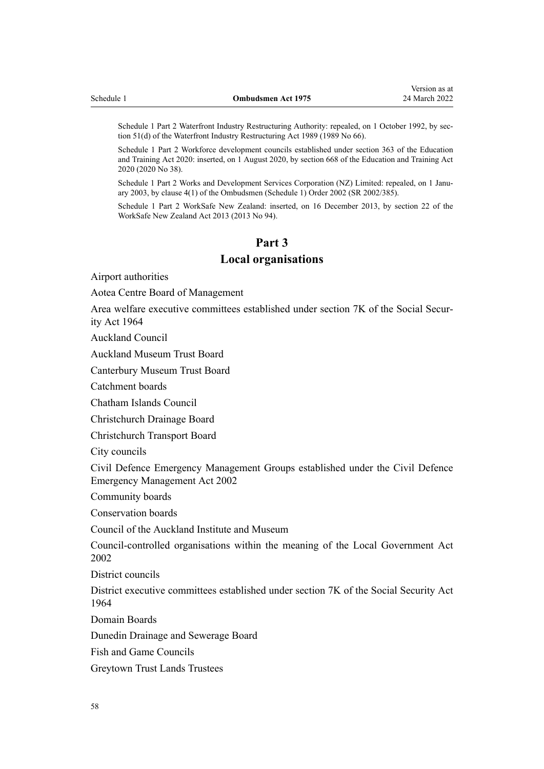Schedule 1 Part 2 Waterfront Industry Restructuring Authority: repealed, on 1 October 1992, by sec[tion 51\(d\)](http://legislation.govt.nz/pdflink.aspx?id=DLM169930) of the Waterfront Industry Restructuring Act 1989 (1989 No 66).

Schedule 1 Part 2 Workforce development councils established under section 363 of the Education and Training Act 2020: inserted, on 1 August 2020, by [section 668](http://legislation.govt.nz/pdflink.aspx?id=LMS367713) of the Education and Training Act 2020 (2020 No 38).

Schedule 1 Part 2 Works and Development Services Corporation (NZ) Limited: repealed, on 1 January 2003, by [clause 4\(1\)](http://legislation.govt.nz/pdflink.aspx?id=DLM171048) of the Ombudsmen (Schedule 1) Order 2002 (SR 2002/385).

Schedule 1 Part 2 WorkSafe New Zealand: inserted, on 16 December 2013, by [section 22](http://legislation.govt.nz/pdflink.aspx?id=DLM5302071) of the WorkSafe New Zealand Act 2013 (2013 No 94).

# **Part 3 Local organisations**

Airport authorities

Aotea Centre Board of Management

Area welfare executive committees established under section 7K of the Social Security Act 1964

Auckland Council

Auckland Museum Trust Board

Canterbury Museum Trust Board

Catchment boards

Chatham Islands Council

Christchurch Drainage Board

Christchurch Transport Board

City councils

Civil Defence Emergency Management Groups established under the [Civil Defence](http://legislation.govt.nz/pdflink.aspx?id=DLM149788) [Emergency Management Act 2002](http://legislation.govt.nz/pdflink.aspx?id=DLM149788)

Community boards

Conservation boards

Council of the Auckland Institute and Museum

Council-controlled organisations within the meaning of the [Local Government Act](http://legislation.govt.nz/pdflink.aspx?id=DLM170872) [2002](http://legislation.govt.nz/pdflink.aspx?id=DLM170872)

District councils

District executive committees established under section 7K of the Social Security Act 1964

Domain Boards

Dunedin Drainage and Sewerage Board

Fish and Game Councils

Greytown Trust Lands Trustees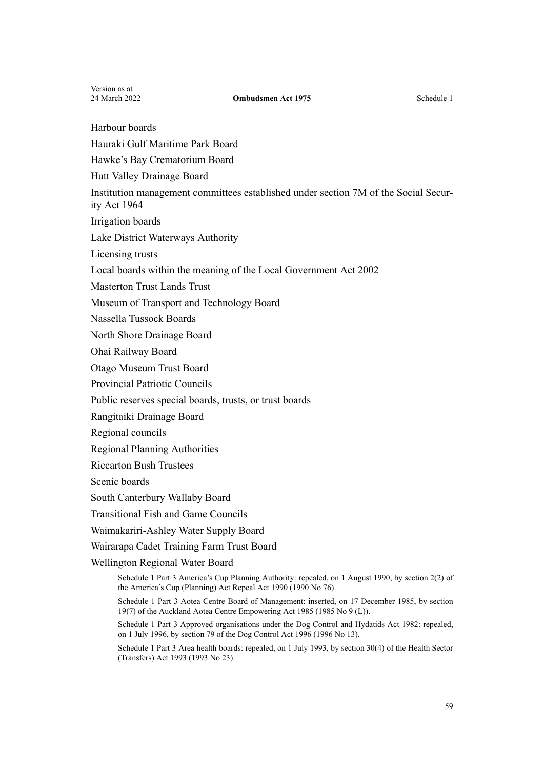Harbour boards Hauraki Gulf Maritime Park Board Hawke's Bay Crematorium Board Hutt Valley Drainage Board Institution management committees established under section 7M of the Social Security Act 1964 Irrigation boards Lake District Waterways Authority Licensing trusts Local boards within the meaning of the [Local Government Act 2002](http://legislation.govt.nz/pdflink.aspx?id=DLM170872) Masterton Trust Lands Trust Museum of Transport and Technology Board Nassella Tussock Boards North Shore Drainage Board Ohai Railway Board Otago Museum Trust Board Provincial Patriotic Councils Public reserves special boards, trusts, or trust boards Rangitaiki Drainage Board Regional councils Regional Planning Authorities Riccarton Bush Trustees Scenic boards South Canterbury Wallaby Board Transitional Fish and Game Councils Waimakariri-Ashley Water Supply Board Wairarapa Cadet Training Farm Trust Board Wellington Regional Water Board Schedule 1 Part 3 America's Cup Planning Authority: repealed, on 1 August 1990, by [section 2\(2\)](http://legislation.govt.nz/pdflink.aspx?id=DLM214603) of the America's Cup (Planning) Act Repeal Act 1990 (1990 No 76). Schedule 1 Part 3 Aotea Centre Board of Management: inserted, on 17 December 1985, by [section](http://legislation.govt.nz/pdflink.aspx?id=DLM77330) [19\(7\)](http://legislation.govt.nz/pdflink.aspx?id=DLM77330) of the Auckland Aotea Centre Empowering Act 1985 (1985 No 9 (L)).

Schedule 1 Part 3 Approved organisations under the Dog Control and Hydatids Act 1982: repealed, on 1 July 1996, by [section 79](http://legislation.govt.nz/pdflink.aspx?id=DLM375484) of the Dog Control Act 1996 (1996 No 13).

Schedule 1 Part 3 Area health boards: repealed, on 1 July 1993, by [section 30\(4\)](http://legislation.govt.nz/pdflink.aspx?id=DLM295176) of the Health Sector (Transfers) Act 1993 (1993 No 23).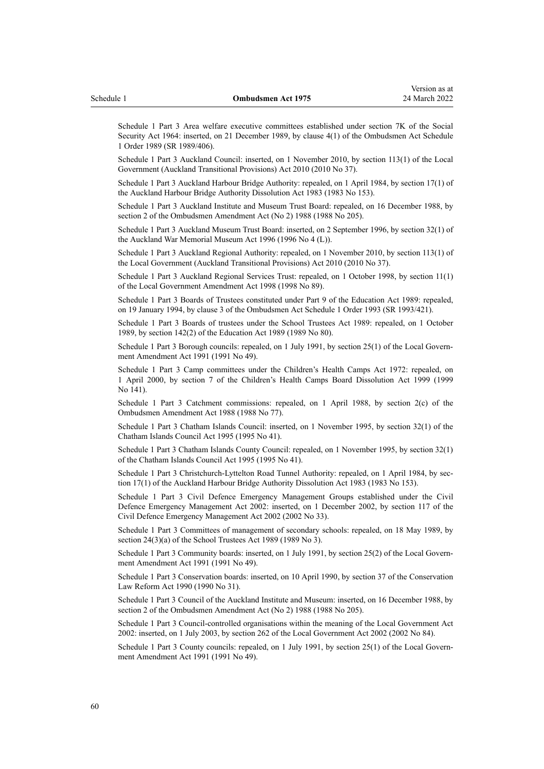Schedule 1 Part 3 Area welfare executive committees established under section 7K of the Social Security Act 1964: inserted, on 21 December 1989, by [clause 4\(1\)](http://legislation.govt.nz/pdflink.aspx?id=DLM135400) of the Ombudsmen Act Schedule 1 Order 1989 (SR 1989/406).

Schedule 1 Part 3 Auckland Council: inserted, on 1 November 2010, by [section 113\(1\)](http://legislation.govt.nz/pdflink.aspx?id=DLM3016880) of the Local Government (Auckland Transitional Provisions) Act 2010 (2010 No 37).

Schedule 1 Part 3 Auckland Harbour Bridge Authority: repealed, on 1 April 1984, by [section 17\(1\)](http://legislation.govt.nz/pdflink.aspx?id=DLM75141) of the Auckland Harbour Bridge Authority Dissolution Act 1983 (1983 No 153).

Schedule 1 Part 3 Auckland Institute and Museum Trust Board: repealed, on 16 December 1988, by section 2 of the Ombudsmen Amendment Act (No 2) 1988 (1988 No 205).

Schedule 1 Part 3 Auckland Museum Trust Board: inserted, on 2 September 1996, by section 32(1) of the Auckland War Memorial Museum Act 1996 (1996 No 4 (L)).

Schedule 1 Part 3 Auckland Regional Authority: repealed, on 1 November 2010, by [section 113\(1\)](http://legislation.govt.nz/pdflink.aspx?id=DLM3016880) of the Local Government (Auckland Transitional Provisions) Act 2010 (2010 No 37).

Schedule 1 Part 3 Auckland Regional Services Trust: repealed, on 1 October 1998, by [section 11\(1\)](http://legislation.govt.nz/pdflink.aspx?id=DLM428815) of the Local Government Amendment Act 1998 (1998 No 89).

Schedule 1 Part 3 Boards of Trustees constituted under Part 9 of the Education Act 1989: repealed, on 19 January 1994, by [clause 3](http://legislation.govt.nz/pdflink.aspx?id=DLM184892) of the Ombudsmen Act Schedule 1 Order 1993 (SR 1993/421).

Schedule 1 Part 3 Boards of trustees under the School Trustees Act 1989: repealed, on 1 October 1989, by [section 142\(2\)](http://legislation.govt.nz/pdflink.aspx?id=DLM182043) of the Education Act 1989 (1989 No 80).

Schedule 1 Part 3 Borough councils: repealed, on 1 July 1991, by [section 25\(1\)](http://legislation.govt.nz/pdflink.aspx?id=DLM229888) of the Local Government Amendment Act 1991 (1991 No 49).

Schedule 1 Part 3 Camp committees under the Children's Health Camps Act 1972: repealed, on 1 April 2000, by [section 7](http://legislation.govt.nz/pdflink.aspx?id=DLM49649) of the Children's Health Camps Board Dissolution Act 1999 (1999 No 141).

Schedule 1 Part 3 Catchment commissions: repealed, on 1 April 1988, by section 2(c) of the Ombudsmen Amendment Act 1988 (1988 No 77).

Schedule 1 Part 3 Chatham Islands Council: inserted, on 1 November 1995, by [section 32\(1\)](http://legislation.govt.nz/pdflink.aspx?id=DLM368047) of the Chatham Islands Council Act 1995 (1995 No 41).

Schedule 1 Part 3 Chatham Islands County Council: repealed, on 1 November 1995, by [section 32\(1\)](http://legislation.govt.nz/pdflink.aspx?id=DLM368047) of the Chatham Islands Council Act 1995 (1995 No 41).

Schedule 1 Part 3 Christchurch-Lyttelton Road Tunnel Authority: repealed, on 1 April 1984, by sec[tion 17\(1\)](http://legislation.govt.nz/pdflink.aspx?id=DLM75141) of the Auckland Harbour Bridge Authority Dissolution Act 1983 (1983 No 153).

Schedule 1 Part 3 Civil Defence Emergency Management Groups established under the Civil Defence Emergency Management Act 2002: inserted, on 1 December 2002, by [section 117](http://legislation.govt.nz/pdflink.aspx?id=DLM151437) of the Civil Defence Emergency Management Act 2002 (2002 No 33).

Schedule 1 Part 3 Committees of management of secondary schools: repealed, on 18 May 1989, by section 24(3)(a) of the School Trustees Act 1989 (1989 No 3).

Schedule 1 Part 3 Community boards: inserted, on 1 July 1991, by [section 25\(2\)](http://legislation.govt.nz/pdflink.aspx?id=DLM229888) of the Local Government Amendment Act 1991 (1991 No 49).

Schedule 1 Part 3 Conservation boards: inserted, on 10 April 1990, by [section 37](http://legislation.govt.nz/pdflink.aspx?id=DLM208750) of the Conservation Law Reform Act 1990 (1990 No 31).

Schedule 1 Part 3 Council of the Auckland Institute and Museum: inserted, on 16 December 1988, by section 2 of the Ombudsmen Amendment Act (No 2) 1988 (1988 No 205).

Schedule 1 Part 3 Council-controlled organisations within the meaning of the Local Government Act 2002: inserted, on 1 July 2003, by [section 262](http://legislation.govt.nz/pdflink.aspx?id=DLM174088) of the Local Government Act 2002 (2002 No 84).

Schedule 1 Part 3 County councils: repealed, on 1 July 1991, by [section 25\(1\)](http://legislation.govt.nz/pdflink.aspx?id=DLM229888) of the Local Government Amendment Act 1991 (1991 No 49).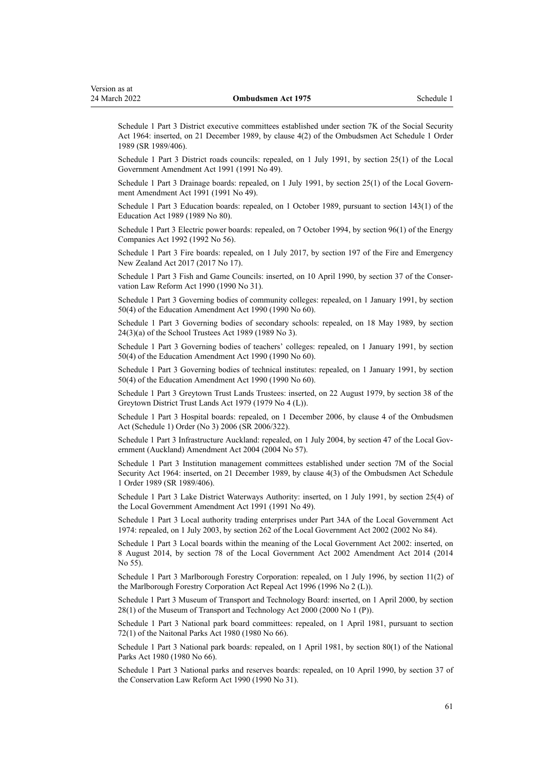Schedule 1 Part 3 District executive committees established under section 7K of the Social Security Act 1964: inserted, on 21 December 1989, by [clause 4\(2\)](http://legislation.govt.nz/pdflink.aspx?id=DLM135400) of the Ombudsmen Act Schedule 1 Order 1989 (SR 1989/406).

Schedule 1 Part 3 District roads councils: repealed, on 1 July 1991, by [section 25\(1\)](http://legislation.govt.nz/pdflink.aspx?id=DLM229888) of the Local Government Amendment Act 1991 (1991 No 49).

Schedule 1 Part 3 Drainage boards: repealed, on 1 July 1991, by [section 25\(1\)](http://legislation.govt.nz/pdflink.aspx?id=DLM229888) of the Local Government Amendment Act 1991 (1991 No 49).

Schedule 1 Part 3 Education boards: repealed, on 1 October 1989, pursuant to [section 143\(1\)](http://legislation.govt.nz/pdflink.aspx?id=DLM182044) of the Education Act 1989 (1989 No 80).

Schedule 1 Part 3 Electric power boards: repealed, on 7 October 1994, by [section 96\(1\)](http://legislation.govt.nz/pdflink.aspx?id=DLM268395) of the Energy Companies Act 1992 (1992 No 56).

Schedule 1 Part 3 Fire boards: repealed, on 1 July 2017, by [section 197](http://legislation.govt.nz/pdflink.aspx?id=DLM6678752) of the Fire and Emergency New Zealand Act 2017 (2017 No 17).

Schedule 1 Part 3 Fish and Game Councils: inserted, on 10 April 1990, by [section 37](http://legislation.govt.nz/pdflink.aspx?id=DLM208750) of the Conservation Law Reform Act 1990 (1990 No 31).

Schedule 1 Part 3 Governing bodies of community colleges: repealed, on 1 January 1991, by [section](http://legislation.govt.nz/pdflink.aspx?id=DLM212679) [50\(4\)](http://legislation.govt.nz/pdflink.aspx?id=DLM212679) of the Education Amendment Act 1990 (1990 No 60).

Schedule 1 Part 3 Governing bodies of secondary schools: repealed, on 18 May 1989, by section 24(3)(a) of the School Trustees Act 1989 (1989 No 3).

Schedule 1 Part 3 Governing bodies of teachers' colleges: repealed, on 1 January 1991, by [section](http://legislation.govt.nz/pdflink.aspx?id=DLM212679) [50\(4\)](http://legislation.govt.nz/pdflink.aspx?id=DLM212679) of the Education Amendment Act 1990 (1990 No 60).

Schedule 1 Part 3 Governing bodies of technical institutes: repealed, on 1 January 1991, by [section](http://legislation.govt.nz/pdflink.aspx?id=DLM212679) [50\(4\)](http://legislation.govt.nz/pdflink.aspx?id=DLM212679) of the Education Amendment Act 1990 (1990 No 60).

Schedule 1 Part 3 Greytown Trust Lands Trustees: inserted, on 22 August 1979, by section 38 of the Greytown District Trust Lands Act 1979 (1979 No 4 (L)).

Schedule 1 Part 3 Hospital boards: repealed, on 1 December 2006, by [clause 4](http://legislation.govt.nz/pdflink.aspx?id=DLM413374) of the Ombudsmen Act (Schedule 1) Order (No 3) 2006 (SR 2006/322).

Schedule 1 Part 3 Infrastructure Auckland: repealed, on 1 July 2004, by [section 47](http://legislation.govt.nz/pdflink.aspx?id=DLM301337) of the Local Government (Auckland) Amendment Act 2004 (2004 No 57).

Schedule 1 Part 3 Institution management committees established under section 7M of the Social Security Act 1964: inserted, on 21 December 1989, by [clause 4\(3\)](http://legislation.govt.nz/pdflink.aspx?id=DLM135400) of the Ombudsmen Act Schedule 1 Order 1989 (SR 1989/406).

Schedule 1 Part 3 Lake District Waterways Authority: inserted, on 1 July 1991, by [section 25\(4\)](http://legislation.govt.nz/pdflink.aspx?id=DLM229888) of the Local Government Amendment Act 1991 (1991 No 49).

Schedule 1 Part 3 Local authority trading enterprises under Part 34A of the Local Government Act 1974: repealed, on 1 July 2003, by [section 262](http://legislation.govt.nz/pdflink.aspx?id=DLM174088) of the Local Government Act 2002 (2002 No 84).

Schedule 1 Part 3 Local boards within the meaning of the Local Government Act 2002: inserted, on 8 August 2014, by [section 78](http://legislation.govt.nz/pdflink.aspx?id=DLM5707315) of the Local Government Act 2002 Amendment Act 2014 (2014 No 55).

Schedule 1 Part 3 Marlborough Forestry Corporation: repealed, on 1 July 1996, by section 11(2) of the Marlborough Forestry Corporation Act Repeal Act 1996 (1996 No 2 (L)).

Schedule 1 Part 3 Museum of Transport and Technology Board: inserted, on 1 April 2000, by [section](http://legislation.govt.nz/pdflink.aspx?id=DLM119840) [28\(1\)](http://legislation.govt.nz/pdflink.aspx?id=DLM119840) of the Museum of Transport and Technology Act 2000 (2000 No 1 (P)).

Schedule 1 Part 3 National park board committees: repealed, on 1 April 1981, pursuant to section 72(1) of the Naitonal Parks Act 1980 (1980 No 66).

Schedule 1 Part 3 National park boards: repealed, on 1 April 1981, by section 80(1) of the National Parks Act 1980 (1980 No 66).

Schedule 1 Part 3 National parks and reserves boards: repealed, on 10 April 1990, by [section 37](http://legislation.govt.nz/pdflink.aspx?id=DLM208750) of the Conservation Law Reform Act 1990 (1990 No 31).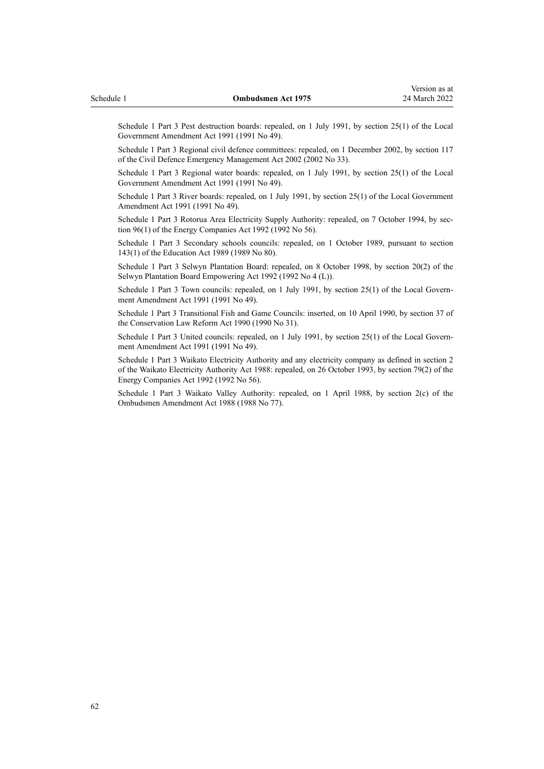Schedule 1 Part 3 Pest destruction boards: repealed, on 1 July 1991, by [section 25\(1\)](http://legislation.govt.nz/pdflink.aspx?id=DLM229888) of the Local Government Amendment Act 1991 (1991 No 49).

Schedule 1 Part 3 Regional civil defence committees: repealed, on 1 December 2002, by [section 117](http://legislation.govt.nz/pdflink.aspx?id=DLM151437) of the Civil Defence Emergency Management Act 2002 (2002 No 33).

Schedule 1 Part 3 Regional water boards: repealed, on 1 July 1991, by [section 25\(1\)](http://legislation.govt.nz/pdflink.aspx?id=DLM229888) of the Local Government Amendment Act 1991 (1991 No 49).

Schedule 1 Part 3 River boards: repealed, on 1 July 1991, by [section 25\(1\)](http://legislation.govt.nz/pdflink.aspx?id=DLM229888) of the Local Government Amendment Act 1991 (1991 No 49).

Schedule 1 Part 3 Rotorua Area Electricity Supply Authority: repealed, on 7 October 1994, by sec[tion 96\(1\)](http://legislation.govt.nz/pdflink.aspx?id=DLM268395) of the Energy Companies Act 1992 (1992 No 56).

Schedule 1 Part 3 Secondary schools councils: repealed, on 1 October 1989, pursuant to [section](http://legislation.govt.nz/pdflink.aspx?id=DLM182044) [143\(1\)](http://legislation.govt.nz/pdflink.aspx?id=DLM182044) of the Education Act 1989 (1989 No 80).

Schedule 1 Part 3 Selwyn Plantation Board: repealed, on 8 October 1998, by [section 20\(2\)](http://legislation.govt.nz/pdflink.aspx?id=DLM80697) of the Selwyn Plantation Board Empowering Act 1992 (1992 No 4 (L)).

Schedule 1 Part 3 Town councils: repealed, on 1 July 1991, by [section 25\(1\)](http://legislation.govt.nz/pdflink.aspx?id=DLM229888) of the Local Government Amendment Act 1991 (1991 No 49).

Schedule 1 Part 3 Transitional Fish and Game Councils: inserted, on 10 April 1990, by [section 37](http://legislation.govt.nz/pdflink.aspx?id=DLM208750) of the Conservation Law Reform Act 1990 (1990 No 31).

Schedule 1 Part 3 United councils: repealed, on 1 July 1991, by [section 25\(1\)](http://legislation.govt.nz/pdflink.aspx?id=DLM229888) of the Local Government Amendment Act 1991 (1991 No 49).

Schedule 1 Part 3 Waikato Electricity Authority and any electricity company as defined in section 2 of the Waikato Electricity Authority Act 1988: repealed, on 26 October 1993, by [section 79\(2\)](http://legislation.govt.nz/pdflink.aspx?id=DLM268363) of the Energy Companies Act 1992 (1992 No 56).

Schedule 1 Part 3 Waikato Valley Authority: repealed, on 1 April 1988, by section 2(c) of the Ombudsmen Amendment Act 1988 (1988 No 77).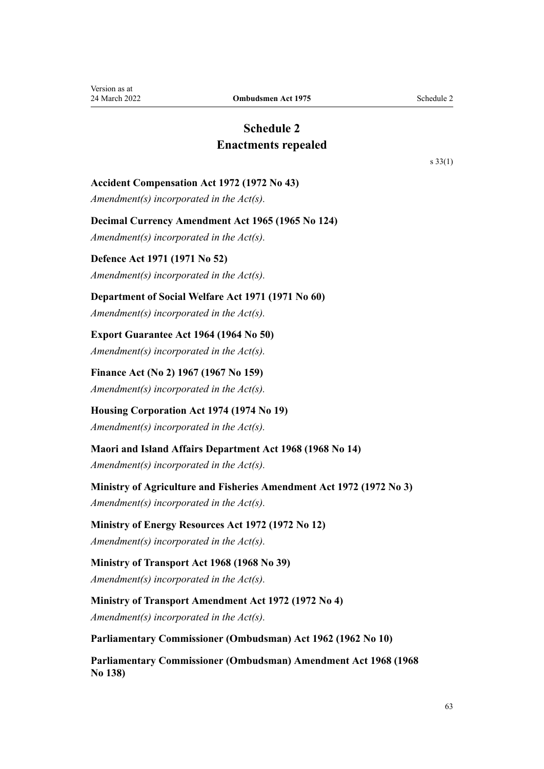# **Schedule 2 Enactments repealed**

[s 33\(1\)](#page-29-0)

#### **Accident Compensation Act 1972 (1972 No 43)**

*Amendment(s) incorporated in the Act(s).*

# **Decimal Currency Amendment Act 1965 (1965 No 124)**

*Amendment(s) incorporated in the Act(s).*

# **Defence Act 1971 (1971 No 52)** *Amendment(s) incorporated in the Act(s).*

# **Department of Social Welfare Act 1971 (1971 No 60)**

*Amendment(s) incorporated in the [Act\(s\).](http://legislation.govt.nz/pdflink.aspx?id=DLM405035)*

# **Export Guarantee Act 1964 (1964 No 50)**

*Amendment(s) incorporated in the [Act\(s\).](http://legislation.govt.nz/pdflink.aspx?id=DLM354065)*

# **Finance Act (No 2) 1967 (1967 No 159)**

*Amendment(s) incorporated in the [Act\(s\).](http://legislation.govt.nz/pdflink.aspx?id=DLM385580)*

# **Housing Corporation Act 1974 (1974 No 19)**

*Amendment(s) incorporated in the [Act\(s\).](http://legislation.govt.nz/pdflink.aspx?id=DLM412723)*

# **Maori and Island Affairs Department Act 1968 (1968 No 14)**

*Amendment(s) incorporated in the Act(s).*

# **Ministry of Agriculture and Fisheries Amendment Act 1972 (1972 No 3)**

*Amendment(s) incorporated in the Act(s).*

# **Ministry of Energy Resources Act 1972 (1972 No 12)**

*Amendment(s) incorporated in the Act(s).*

# **Ministry of Transport Act 1968 (1968 No 39)**

*Amendment(s) incorporated in the Act(s).*

# **Ministry of Transport Amendment Act 1972 (1972 No 4)**

*Amendment(s) incorporated in the Act(s).*

#### **Parliamentary Commissioner (Ombudsman) Act 1962 (1962 No 10)**

**Parliamentary Commissioner (Ombudsman) Amendment Act 1968 (1968 No 138)**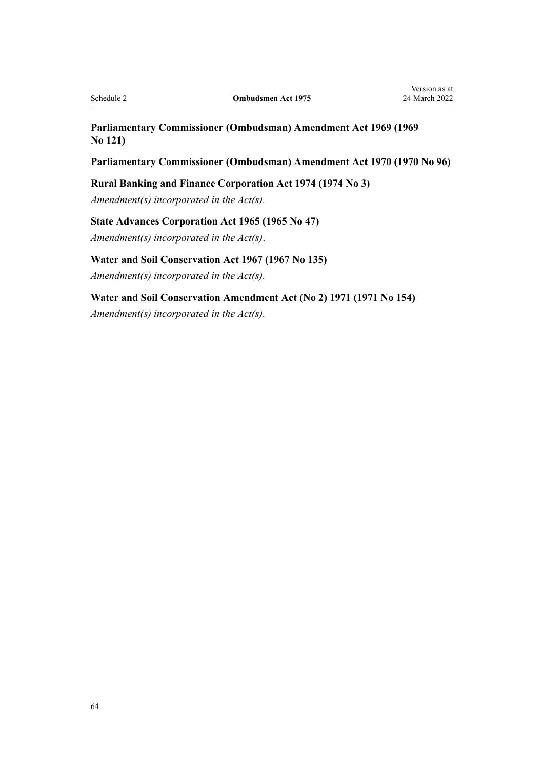#### **Parliamentary Commissioner (Ombudsman) Amendment Act 1969 (1969 No 121)**

#### **Parliamentary Commissioner (Ombudsman) Amendment Act 1970 (1970 No 96)**

#### **Rural Banking and Finance Corporation Act 1974 (1974 No 3)**

*Amendment(s) incorporated in the Act(s).*

# **State Advances Corporation Act 1965 (1965 No 47)**

*Amendment(s) incorporated in the [Act\(s\)](http://legislation.govt.nz/pdflink.aspx?id=DLM373712)*.

#### **Water and Soil Conservation Act 1967 (1967 No 135)**

*Amendment(s) incorporated in the Act(s).*

# **Water and Soil Conservation Amendment Act (No 2) 1971 (1971 No 154)**

*Amendment(s) incorporated in the Act(s).*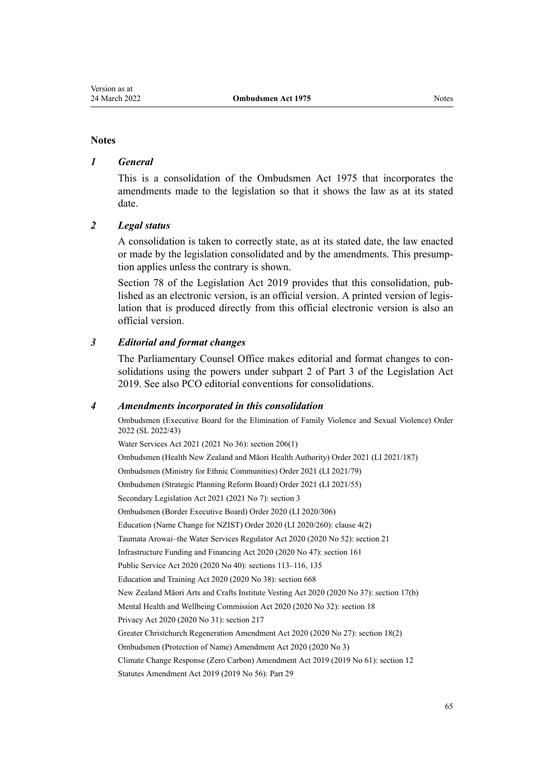#### **Notes**

#### *1 General*

This is a consolidation of the Ombudsmen Act 1975 that incorporates the amendments made to the legislation so that it shows the law as at its stated date.

#### *2 Legal status*

A consolidation is taken to correctly state, as at its stated date, the law enacted or made by the legislation consolidated and by the amendments. This presump‐ tion applies unless the contrary is shown.

[Section 78](http://legislation.govt.nz/pdflink.aspx?id=DLM7298365) of the Legislation Act 2019 provides that this consolidation, published as an electronic version, is an official version. A printed version of legis‐ lation that is produced directly from this official electronic version is also an official version.

#### *3 Editorial and format changes*

The Parliamentary Counsel Office makes editorial and format changes to con‐ solidations using the powers under [subpart 2](http://legislation.govt.nz/pdflink.aspx?id=DLM7298371) of Part 3 of the Legislation Act 2019. See also [PCO editorial conventions for consolidations](http://www.pco.govt.nz/editorial-conventions/).

#### *4 Amendments incorporated in this consolidation*

[Ombudsmen \(Executive Board for the Elimination of Family Violence and Sexual Violence\) Order](http://legislation.govt.nz/pdflink.aspx?id=LMS641476) [2022](http://legislation.govt.nz/pdflink.aspx?id=LMS641476) (SL 2022/43) Water Services Act 2021 (2021 No 36): [section 206\(1\)](http://legislation.govt.nz/pdflink.aspx?id=LMS374952)

[Ombudsmen \(Health New Zealand and Māori Health Authority\) Order 2021](http://legislation.govt.nz/pdflink.aspx?id=LMS514780) (LI 2021/187) [Ombudsmen \(Ministry for Ethnic Communities\) Order 2021](http://legislation.govt.nz/pdflink.aspx?id=LMS474731) (LI 2021/79) [Ombudsmen \(Strategic Planning Reform Board\) Order 2021](http://legislation.govt.nz/pdflink.aspx?id=LMS464603) (LI 2021/55) Secondary Legislation Act 2021 (2021 No 7): [section 3](http://legislation.govt.nz/pdflink.aspx?id=LMS268932) [Ombudsmen \(Border Executive Board\) Order 2020](http://legislation.govt.nz/pdflink.aspx?id=LMS436120) (LI 2020/306) Education (Name Change for NZIST) Order 2020 (LI 2020/260): [clause 4\(2\)](http://legislation.govt.nz/pdflink.aspx?id=LMS408582) Taumata Arowai–the Water Services Regulator Act 2020 (2020 No 52): [section 21](http://legislation.govt.nz/pdflink.aspx?id=LMS294399) Infrastructure Funding and Financing Act 2020 (2020 No 47): [section 161](http://legislation.govt.nz/pdflink.aspx?id=LMS276471) Public Service Act 2020 (2020 No 40): [sections 113–116,](http://legislation.govt.nz/pdflink.aspx?id=LMS359111) [135](http://legislation.govt.nz/pdflink.aspx?id=LMS176959) Education and Training Act 2020 (2020 No 38): [section 668](http://legislation.govt.nz/pdflink.aspx?id=LMS367713) New Zealand Māori Arts and Crafts Institute Vesting Act 2020 (2020 No 37): [section 17\(b\)](http://legislation.govt.nz/pdflink.aspx?id=LMS119052) Mental Health and Wellbeing Commission Act 2020 (2020 No 32): [section 18](http://legislation.govt.nz/pdflink.aspx?id=LMS281195) Privacy Act 2020 (2020 No 31): [section 217](http://legislation.govt.nz/pdflink.aspx?id=LMS23706) Greater Christchurch Regeneration Amendment Act 2020 (2020 No 27): [section 18\(2\)](http://legislation.govt.nz/pdflink.aspx?id=LMS312453) [Ombudsmen \(Protection of Name\) Amendment Act 2020](http://legislation.govt.nz/pdflink.aspx?id=LMS190584) (2020 No 3) Climate Change Response (Zero Carbon) Amendment Act 2019 (2019 No 61): [section 12](http://legislation.govt.nz/pdflink.aspx?id=LMS183854) Statutes Amendment Act 2019 (2019 No 56): [Part 29](http://legislation.govt.nz/pdflink.aspx?id=LMS59037)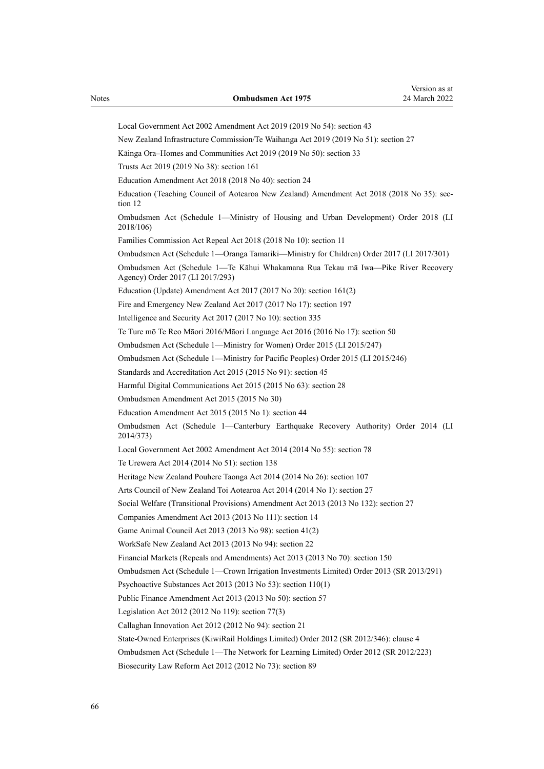Local Government Act 2002 Amendment Act 2019 (2019 No 54): [section 43](http://legislation.govt.nz/pdflink.aspx?id=DLM6868357) New Zealand Infrastructure Commission/Te Waihanga Act 2019 (2019 No 51): [section 27](http://legislation.govt.nz/pdflink.aspx?id=LMS155617) Kāinga Ora–Homes and Communities Act 2019 (2019 No 50): [section 33](http://legislation.govt.nz/pdflink.aspx?id=LMS191136) Trusts Act 2019 (2019 No 38): [section 161](http://legislation.govt.nz/pdflink.aspx?id=DLM7383110) Education Amendment Act 2018 (2018 No 40): [section 24](http://legislation.govt.nz/pdflink.aspx?id=LMS8587) Education (Teaching Council of Aotearoa New Zealand) Amendment Act 2018 (2018 No 35): sec[tion 12](http://legislation.govt.nz/pdflink.aspx?id=LMS9418) [Ombudsmen Act \(Schedule 1—Ministry of Housing and Urban Development\) Order 2018](http://legislation.govt.nz/pdflink.aspx?id=LMS51664) (LI 2018/106) Families Commission Act Repeal Act 2018 (2018 No 10): [section 11](http://legislation.govt.nz/pdflink.aspx?id=LMS11616) [Ombudsmen Act \(Schedule 1—Oranga Tamariki—Ministry for Children\) Order 2017](http://legislation.govt.nz/pdflink.aspx?id=DLM7518310) (LI 2017/301) [Ombudsmen Act \(Schedule 1—Te Kāhui Whakamana Rua Tekau mā Iwa—Pike River Recovery](http://legislation.govt.nz/pdflink.aspx?id=DLM7495506) [Agency\) Order 2017](http://legislation.govt.nz/pdflink.aspx?id=DLM7495506) (LI 2017/293) Education (Update) Amendment Act 2017 (2017 No 20): [section 161\(2\)](http://legislation.govt.nz/pdflink.aspx?id=DLM6929049) Fire and Emergency New Zealand Act 2017 (2017 No 17): [section 197](http://legislation.govt.nz/pdflink.aspx?id=DLM6678752) Intelligence and Security Act 2017 (2017 No 10): [section 335](http://legislation.govt.nz/pdflink.aspx?id=DLM6921475) Te Ture mō Te Reo Māori 2016/Māori Language Act 2016 (2016 No 17): [section 50](http://legislation.govt.nz/pdflink.aspx?id=DLM6174613) [Ombudsmen Act \(Schedule 1—Ministry for Women\) Order 2015](http://legislation.govt.nz/pdflink.aspx?id=DLM6627346) (LI 2015/247) [Ombudsmen Act \(Schedule 1—Ministry for Pacific Peoples\) Order 2015](http://legislation.govt.nz/pdflink.aspx?id=DLM6627329) (LI 2015/246) Standards and Accreditation Act 2015 (2015 No 91): [section 45](http://legislation.govt.nz/pdflink.aspx?id=DLM5947001) Harmful Digital Communications Act 2015 (2015 No 63): [section 28](http://legislation.govt.nz/pdflink.aspx?id=DLM6124419) [Ombudsmen Amendment Act 2015](http://legislation.govt.nz/pdflink.aspx?id=DLM6404402) (2015 No 30) Education Amendment Act 2015 (2015 No 1): [section 44](http://legislation.govt.nz/pdflink.aspx?id=DLM5989259) [Ombudsmen Act \(Schedule 1—Canterbury Earthquake Recovery Authority\) Order 2014](http://legislation.govt.nz/pdflink.aspx?id=DLM6326507) (LI 2014/373) Local Government Act 2002 Amendment Act 2014 (2014 No 55): [section 78](http://legislation.govt.nz/pdflink.aspx?id=DLM5707315) Te Urewera Act 2014 (2014 No 51): [section 138](http://legislation.govt.nz/pdflink.aspx?id=DLM6183949) Heritage New Zealand Pouhere Taonga Act 2014 (2014 No 26): [section 107](http://legislation.govt.nz/pdflink.aspx?id=DLM4005646) Arts Council of New Zealand Toi Aotearoa Act 2014 (2014 No 1): [section 27](http://legislation.govt.nz/pdflink.aspx?id=DLM3007375) Social Welfare (Transitional Provisions) Amendment Act 2013 (2013 No 132): [section 27](http://legislation.govt.nz/pdflink.aspx?id=DLM5627445) Companies Amendment Act 2013 (2013 No 111): [section 14](http://legislation.govt.nz/pdflink.aspx?id=DLM5620822) Game Animal Council Act 2013 (2013 No 98): [section 41\(2\)](http://legislation.govt.nz/pdflink.aspx?id=DLM4105502) WorkSafe New Zealand Act 2013 (2013 No 94): [section 22](http://legislation.govt.nz/pdflink.aspx?id=DLM5302071) Financial Markets (Repeals and Amendments) Act 2013 (2013 No 70): [section 150](http://legislation.govt.nz/pdflink.aspx?id=DLM5561603) [Ombudsmen Act \(Schedule 1—Crown Irrigation Investments Limited\) Order 2013](http://legislation.govt.nz/pdflink.aspx?id=DLM5314400) (SR 2013/291) Psychoactive Substances Act 2013 (2013 No 53): [section 110\(1\)](http://legislation.govt.nz/pdflink.aspx?id=DLM5043149) Public Finance Amendment Act 2013 (2013 No 50): [section 57](http://legislation.govt.nz/pdflink.aspx?id=DLM5326333) Legislation Act 2012 (2012 No 119): [section 77\(3\)](http://legislation.govt.nz/pdflink.aspx?id=DLM2998633) Callaghan Innovation Act 2012 (2012 No 94): [section 21](http://legislation.govt.nz/pdflink.aspx?id=DLM4732765) State-Owned Enterprises (KiwiRail Holdings Limited) Order 2012 (SR 2012/346): [clause 4](http://legislation.govt.nz/pdflink.aspx?id=DLM4898507) [Ombudsmen Act \(Schedule 1—The Network for Learning Limited\) Order 2012](http://legislation.govt.nz/pdflink.aspx?id=DLM4673906) (SR 2012/223) Biosecurity Law Reform Act 2012 (2012 No 73): [section 89](http://legislation.govt.nz/pdflink.aspx?id=DLM3388546)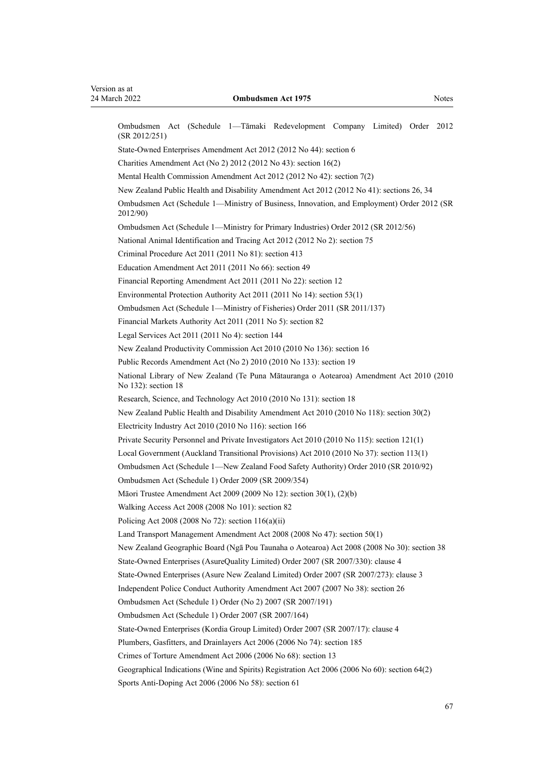(SR 2012/251)

2012/90)

[Ombudsmen Act \(Schedule 1—Tāmaki Redevelopment Company Limited\) Order 2012](http://legislation.govt.nz/pdflink.aspx?id=DLM4693007)

State-Owned Enterprises Amendment Act 2012 (2012 No 44): [section 6](http://legislation.govt.nz/pdflink.aspx?id=DLM4326323) Charities Amendment Act (No 2) 2012 (2012 No 43): [section 16\(2\)](http://legislation.govt.nz/pdflink.aspx?id=DLM4484647) Mental Health Commission Amendment Act 2012 (2012 No 42): [section 7\(2\)](http://legislation.govt.nz/pdflink.aspx?id=DLM4484313) New Zealand Public Health and Disability Amendment Act 2012 (2012 No 41): [sections 26,](http://legislation.govt.nz/pdflink.aspx?id=DLM4484110) [34](http://legislation.govt.nz/pdflink.aspx?id=DLM4484121) [Ombudsmen Act \(Schedule 1—Ministry of Business, Innovation, and Employment\) Order 2012](http://legislation.govt.nz/pdflink.aspx?id=DLM4441500) (SR [Ombudsmen Act \(Schedule 1—Ministry for Primary Industries\) Order 2012](http://legislation.govt.nz/pdflink.aspx?id=DLM4361552) (SR 2012/56) National Animal Identification and Tracing Act 2012 (2012 No 2): [section 75](http://legislation.govt.nz/pdflink.aspx?id=DLM3430572)

Criminal Procedure Act 2011 (2011 No 81): [section 413](http://legislation.govt.nz/pdflink.aspx?id=DLM3360714)

Education Amendment Act 2011 (2011 No 66): [section 49](http://legislation.govt.nz/pdflink.aspx?id=DLM3612399)

Financial Reporting Amendment Act 2011 (2011 No 22): [section 12](http://legislation.govt.nz/pdflink.aspx?id=DLM3701759)

Environmental Protection Authority Act 2011 (2011 No 14): [section 53\(1\)](http://legislation.govt.nz/pdflink.aspx?id=DLM3366997)

[Ombudsmen Act \(Schedule 1—Ministry of Fisheries\) Order 2011](http://legislation.govt.nz/pdflink.aspx?id=DLM3698300) (SR 2011/137)

Financial Markets Authority Act 2011 (2011 No 5): [section 82](http://legislation.govt.nz/pdflink.aspx?id=DLM3231793)

Legal Services Act 2011 (2011 No 4): [section 144](http://legislation.govt.nz/pdflink.aspx?id=DLM3143015)

New Zealand Productivity Commission Act 2010 (2010 No 136): [section 16](http://legislation.govt.nz/pdflink.aspx?id=DLM3104343)

Public Records Amendment Act (No 2) 2010 (2010 No 133): [section 19](http://legislation.govt.nz/pdflink.aspx?id=DLM3431136)

National Library of New Zealand (Te Puna Mātauranga o Aotearoa) Amendment Act 2010 (2010 No 132)[: section 18](http://legislation.govt.nz/pdflink.aspx?id=DLM3430033)

Research, Science, and Technology Act 2010 (2010 No 131): [section 18](http://legislation.govt.nz/pdflink.aspx?id=DLM3431046)

New Zealand Public Health and Disability Amendment Act 2010 (2010 No 118): [section 30\(2\)](http://legislation.govt.nz/pdflink.aspx?id=DLM2901056) Electricity Industry Act 2010 (2010 No 116): [section 166](http://legislation.govt.nz/pdflink.aspx?id=DLM2634629)

Private Security Personnel and Private Investigators Act 2010 (2010 No 115): [section 121\(1\)](http://legislation.govt.nz/pdflink.aspx?id=DLM1594656)

Local Government (Auckland Transitional Provisions) Act 2010 (2010 No 37): [section 113\(1\)](http://legislation.govt.nz/pdflink.aspx?id=DLM3016880)

[Ombudsmen Act \(Schedule 1—New Zealand Food Safety Authority\) Order 2010](http://legislation.govt.nz/pdflink.aspx?id=DLM2894885) (SR 2010/92)

[Ombudsmen Act \(Schedule 1\) Order 2009](http://legislation.govt.nz/pdflink.aspx?id=DLM2539525) (SR 2009/354)

Māori Trustee Amendment Act 2009 (2009 No 12): [section 30\(1\), \(2\)\(b\)](http://legislation.govt.nz/pdflink.aspx?id=DLM1583888)

Walking Access Act 2008 (2008 No 101): [section 82](http://legislation.govt.nz/pdflink.aspx?id=DLM1244216)

Policing Act 2008 (2008 No 72): [section 116\(a\)\(ii\)](http://legislation.govt.nz/pdflink.aspx?id=DLM1102349)

Land Transport Management Amendment Act 2008 (2008 No 47): [section 50\(1\)](http://legislation.govt.nz/pdflink.aspx?id=DLM1313622)

New Zealand Geographic Board (Ngā Pou Taunaha o Aotearoa) Act 2008 (2008 No 30): [section 38](http://legislation.govt.nz/pdflink.aspx?id=DLM1065526)

State-Owned Enterprises (AsureQuality Limited) Order 2007 (SR 2007/330): [clause 4](http://legislation.govt.nz/pdflink.aspx?id=DLM981292)

State-Owned Enterprises (Asure New Zealand Limited) Order 2007 (SR 2007/273): [clause 3](http://legislation.govt.nz/pdflink.aspx?id=DLM972982)

Independent Police Conduct Authority Amendment Act 2007 (2007 No 38): [section 26](http://legislation.govt.nz/pdflink.aspx?id=DLM967974)

[Ombudsmen Act \(Schedule 1\) Order \(No 2\) 2007](http://legislation.govt.nz/pdflink.aspx?id=DLM442438) (SR 2007/191)

[Ombudsmen Act \(Schedule 1\) Order 2007](http://legislation.govt.nz/pdflink.aspx?id=DLM440085) (SR 2007/164)

State-Owned Enterprises (Kordia Group Limited) Order 2007 (SR 2007/17): [clause 4](http://legislation.govt.nz/pdflink.aspx?id=DLM426135)

Plumbers, Gasfitters, and Drainlayers Act 2006 (2006 No 74): [section 185](http://legislation.govt.nz/pdflink.aspx?id=DLM397798)

Crimes of Torture Amendment Act 2006 (2006 No 68): [section 13](http://legislation.govt.nz/pdflink.aspx?id=DLM393156)

Geographical Indications (Wine and Spirits) Registration Act 2006 (2006 No 60): [section 64\(2\)](http://legislation.govt.nz/pdflink.aspx?id=DLM391102)

Sports Anti-Doping Act 2006 (2006 No 58): [section 61](http://legislation.govt.nz/pdflink.aspx?id=DLM390404)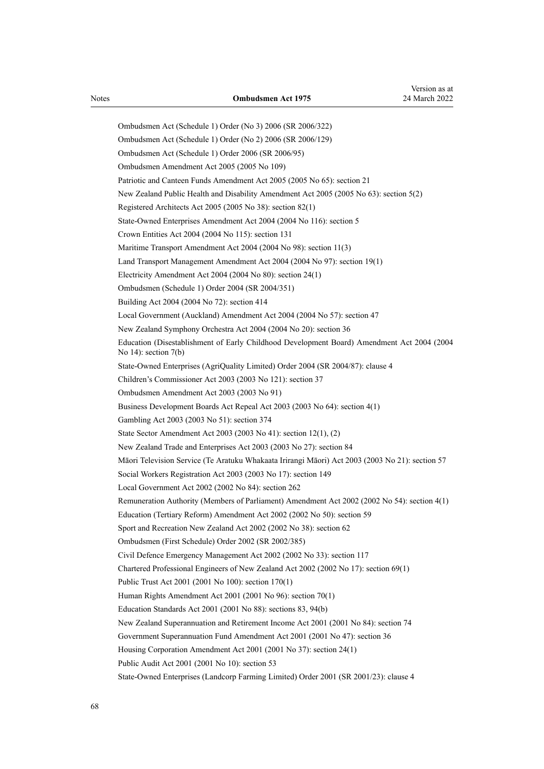[Ombudsmen Act \(Schedule 1\) Order \(No 3\) 2006](http://legislation.govt.nz/pdflink.aspx?id=DLM413365) (SR 2006/322) [Ombudsmen Act \(Schedule 1\) Order \(No 2\) 2006](http://legislation.govt.nz/pdflink.aspx?id=DLM382465) (SR 2006/129) [Ombudsmen Act \(Schedule 1\) Order 2006](http://legislation.govt.nz/pdflink.aspx?id=DLM378014) (SR 2006/95) [Ombudsmen Amendment Act 2005](http://legislation.govt.nz/pdflink.aspx?id=DLM362239) (2005 No 109) Patriotic and Canteen Funds Amendment Act 2005 (2005 No 65): [section 21](http://legislation.govt.nz/pdflink.aspx?id=DLM348933) New Zealand Public Health and Disability Amendment Act 2005 (2005 No 63): [section 5\(2\)](http://legislation.govt.nz/pdflink.aspx?id=DLM348477) Registered Architects Act 2005 (2005 No 38): [section 82\(1\)](http://legislation.govt.nz/pdflink.aspx?id=DLM344094) State-Owned Enterprises Amendment Act 2004 (2004 No 116): [section 5](http://legislation.govt.nz/pdflink.aspx?id=DLM333210) Crown Entities Act 2004 (2004 No 115): [section 131](http://legislation.govt.nz/pdflink.aspx?id=DLM330399) Maritime Transport Amendment Act 2004 (2004 No 98): [section 11\(3\)](http://legislation.govt.nz/pdflink.aspx?id=DLM322600) Land Transport Management Amendment Act 2004 (2004 No 97): [section 19\(1\)](http://legislation.govt.nz/pdflink.aspx?id=DLM321838) Electricity Amendment Act 2004 (2004 No 80): [section 24\(1\)](http://legislation.govt.nz/pdflink.aspx?id=DLM315118) [Ombudsmen \(Schedule 1\) Order 2004](http://legislation.govt.nz/pdflink.aspx?id=DLM292290) (SR 2004/351) Building Act 2004 (2004 No 72): [section 414](http://legislation.govt.nz/pdflink.aspx?id=DLM309090) Local Government (Auckland) Amendment Act 2004 (2004 No 57): [section 47](http://legislation.govt.nz/pdflink.aspx?id=DLM301337) New Zealand Symphony Orchestra Act 2004 (2004 No 20): [section 36](http://legislation.govt.nz/pdflink.aspx?id=DLM243147) Education (Disestablishment of Early Childhood Development Board) Amendment Act 2004 (2004 No 14): [section 7\(b\)](http://legislation.govt.nz/pdflink.aspx?id=DLM241067) State-Owned Enterprises (AgriQuality Limited) Order 2004 (SR 2004/87): [clause 4](http://legislation.govt.nz/pdflink.aspx?id=DLM252871) Children's Commissioner Act 2003 (2003 No 121): [section 37](http://legislation.govt.nz/pdflink.aspx?id=DLM230914) [Ombudsmen Amendment Act 2003](http://legislation.govt.nz/pdflink.aspx?id=DLM218152) (2003 No 91) Business Development Boards Act Repeal Act 2003 (2003 No 64): [section 4\(1\)](http://legislation.govt.nz/pdflink.aspx?id=DLM216542) Gambling Act 2003 (2003 No 51): [section 374](http://legislation.govt.nz/pdflink.aspx?id=DLM210735) State Sector Amendment Act 2003 (2003 No 41): [section 12\(1\), \(2\)](http://legislation.govt.nz/pdflink.aspx?id=DLM201376) New Zealand Trade and Enterprises Act 2003 (2003 No 27): [section 84](http://legislation.govt.nz/pdflink.aspx?id=DLM197801) Māori Television Service (Te Aratuku Whakaata Irirangi Māori) Act 2003 (2003 No 21): [section 57](http://legislation.govt.nz/pdflink.aspx?id=DLM194561) Social Workers Registration Act 2003 (2003 No 17): [section 149](http://legislation.govt.nz/pdflink.aspx?id=DLM190655) Local Government Act 2002 (2002 No 84): [section 262](http://legislation.govt.nz/pdflink.aspx?id=DLM174088) Remuneration Authority (Members of Parliament) Amendment Act 2002 (2002 No 54): [section 4\(1\)](http://legislation.govt.nz/pdflink.aspx?id=DLM167443) Education (Tertiary Reform) Amendment Act 2002 (2002 No 50): [section 59](http://legislation.govt.nz/pdflink.aspx?id=DLM166273) Sport and Recreation New Zealand Act 2002 (2002 No 38): [section 62](http://legislation.govt.nz/pdflink.aspx?id=DLM157684) [Ombudsmen \(First Schedule\) Order 2002](http://legislation.govt.nz/pdflink.aspx?id=DLM171041) (SR 2002/385) Civil Defence Emergency Management Act 2002 (2002 No 33): [section 117](http://legislation.govt.nz/pdflink.aspx?id=DLM151437) Chartered Professional Engineers of New Zealand Act 2002 (2002 No 17): [section 69\(1\)](http://legislation.govt.nz/pdflink.aspx?id=DLM145116) Public Trust Act 2001 (2001 No 100): [section 170\(1\)](http://legislation.govt.nz/pdflink.aspx?id=DLM124529) Human Rights Amendment Act 2001 (2001 No 96): [section 70\(1\)](http://legislation.govt.nz/pdflink.aspx?id=DLM122579) Education Standards Act 2001 (2001 No 88): [sections 83,](http://legislation.govt.nz/pdflink.aspx?id=DLM118875) [94\(b\)](http://legislation.govt.nz/pdflink.aspx?id=DLM119207) New Zealand Superannuation and Retirement Income Act 2001 (2001 No 84): [section 74](http://legislation.govt.nz/pdflink.aspx?id=DLM114864) Government Superannuation Fund Amendment Act 2001 (2001 No 47): [section 36](http://legislation.govt.nz/pdflink.aspx?id=DLM98897) Housing Corporation Amendment Act 2001 (2001 No 37): [section 24\(1\)](http://legislation.govt.nz/pdflink.aspx?id=DLM96736) Public Audit Act 2001 (2001 No 10): [section 53](http://legislation.govt.nz/pdflink.aspx?id=DLM88957) State-Owned Enterprises (Landcorp Farming Limited) Order 2001 (SR 2001/23): [clause 4](http://legislation.govt.nz/pdflink.aspx?id=DLM21620)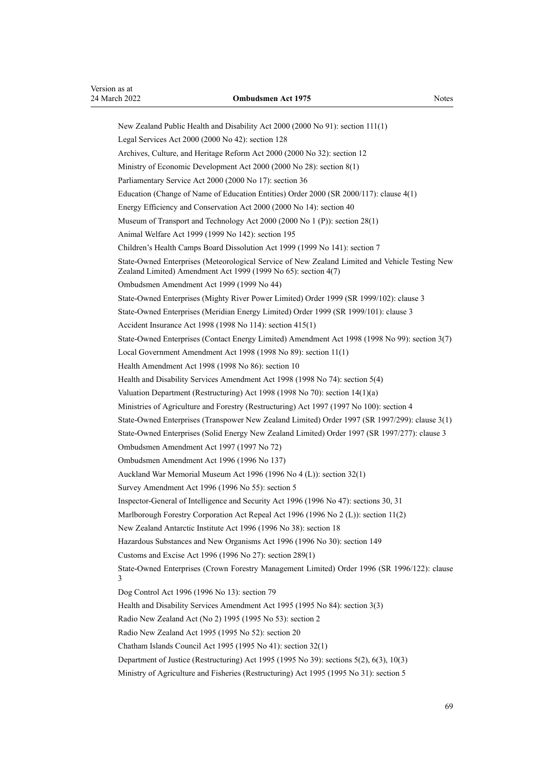New Zealand Public Health and Disability Act 2000 (2000 No 91): [section 111\(1\)](http://legislation.govt.nz/pdflink.aspx?id=DLM81644) Legal Services Act 2000 (2000 No 42): [section 128](http://legislation.govt.nz/pdflink.aspx?id=DLM73105) Archives, Culture, and Heritage Reform Act 2000 (2000 No 32): [section 12](http://legislation.govt.nz/pdflink.aspx?id=DLM67196) Ministry of Economic Development Act 2000 (2000 No 28): [section 8\(1\)](http://legislation.govt.nz/pdflink.aspx?id=DLM67109) Parliamentary Service Act 2000 (2000 No 17): [section 36](http://legislation.govt.nz/pdflink.aspx?id=DLM56324) Education (Change of Name of Education Entities) Order 2000 (SR 2000/117): [clause 4\(1\)](http://legislation.govt.nz/pdflink.aspx?id=DLM6021) Energy Efficiency and Conservation Act 2000 (2000 No 14): [section 40](http://legislation.govt.nz/pdflink.aspx?id=DLM55733) Museum of Transport and Technology Act 2000 (2000 No 1 (P)): [section 28\(1\)](http://legislation.govt.nz/pdflink.aspx?id=DLM119840) Animal Welfare Act 1999 (1999 No 142): [section 195](http://legislation.govt.nz/pdflink.aspx?id=DLM51966) Children's Health Camps Board Dissolution Act 1999 (1999 No 141): [section 7](http://legislation.govt.nz/pdflink.aspx?id=DLM49649) State-Owned Enterprises (Meteorological Service of New Zealand Limited and Vehicle Testing New Zealand Limited) Amendment Act 1999 (1999 No 65): [section 4\(7\)](http://legislation.govt.nz/pdflink.aspx?id=DLM30524) [Ombudsmen Amendment Act 1999](http://legislation.govt.nz/pdflink.aspx?id=DLM24758) (1999 No 44) State-Owned Enterprises (Mighty River Power Limited) Order 1999 (SR 1999/102): [clause 3](http://legislation.govt.nz/pdflink.aspx?id=DLM282635) State-Owned Enterprises (Meridian Energy Limited) Order 1999 (SR 1999/101): [clause 3](http://legislation.govt.nz/pdflink.aspx?id=DLM282624) Accident Insurance Act 1998 (1998 No 114): section 415(1) State-Owned Enterprises (Contact Energy Limited) Amendment Act 1998 (1998 No 99): [section 3\(7\)](http://legislation.govt.nz/pdflink.aspx?id=DLM431912) Local Government Amendment Act 1998 (1998 No 89): [section 11\(1\)](http://legislation.govt.nz/pdflink.aspx?id=DLM428815) Health Amendment Act 1998 (1998 No 86): [section 10](http://legislation.govt.nz/pdflink.aspx?id=DLM428199) Health and Disability Services Amendment Act 1998 (1998 No 74): section 5(4) Valuation Department (Restructuring) Act 1998 (1998 No 70): [section 14\(1\)\(a\)](http://legislation.govt.nz/pdflink.aspx?id=DLM427790) Ministries of Agriculture and Forestry (Restructuring) Act 1997 (1997 No 100): [section 4](http://legislation.govt.nz/pdflink.aspx?id=DLM418617) State-Owned Enterprises (Transpower New Zealand Limited) Order 1997 (SR 1997/299): [clause 3\(1\)](http://legislation.govt.nz/pdflink.aspx?id=DLM242249) State-Owned Enterprises (Solid Energy New Zealand Limited) Order 1997 (SR 1997/277): [clause 3](http://legislation.govt.nz/pdflink.aspx?id=DLM239992) [Ombudsmen Amendment Act 1997](http://legislation.govt.nz/pdflink.aspx?id=DLM412319) (1997 No 72) Ombudsmen Amendment Act 1996 (1996 No 137) Auckland War Memorial Museum Act 1996 (1996 No 4 (L)): [section 32\(1\)](http://legislation.govt.nz/pdflink.aspx?id=DLM83638) Survey Amendment Act 1996 (1996 No 55): section 5 Inspector-General of Intelligence and Security Act 1996 (1996 No 47): [sections 30](http://legislation.govt.nz/pdflink.aspx?id=DLM392551), [31](http://legislation.govt.nz/pdflink.aspx?id=DLM392553) Marlborough Forestry Corporation Act Repeal Act 1996 (1996 No 2 (L)): section 11(2) New Zealand Antarctic Institute Act 1996 (1996 No 38): [section 18](http://legislation.govt.nz/pdflink.aspx?id=DLM391307) Hazardous Substances and New Organisms Act 1996 (1996 No 30): [section 149](http://legislation.govt.nz/pdflink.aspx?id=DLM385160) Customs and Excise Act 1996 (1996 No 27): [section 289\(1\)](http://legislation.govt.nz/pdflink.aspx?id=DLM380185) State-Owned Enterprises (Crown Forestry Management Limited) Order 1996 (SR 1996/122): [clause](http://legislation.govt.nz/pdflink.aspx?id=DLM211617) [3](http://legislation.govt.nz/pdflink.aspx?id=DLM211617) Dog Control Act 1996 (1996 No 13): [section 79](http://legislation.govt.nz/pdflink.aspx?id=DLM375484) Health and Disability Services Amendment Act 1995 (1995 No 84): [section 3\(3\)](http://legislation.govt.nz/pdflink.aspx?id=DLM371289) Radio New Zealand Act (No 2) 1995 (1995 No 53): [section 2](http://legislation.govt.nz/pdflink.aspx?id=DLM368674) Radio New Zealand Act 1995 (1995 No 52): [section 20](http://legislation.govt.nz/pdflink.aspx?id=DLM368655) Chatham Islands Council Act 1995 (1995 No 41): [section 32\(1\)](http://legislation.govt.nz/pdflink.aspx?id=DLM368047) Department of Justice (Restructuring) Act 1995 (1995 No 39): [sections 5\(2\),](http://legislation.govt.nz/pdflink.aspx?id=DLM367230) [6\(3\)](http://legislation.govt.nz/pdflink.aspx?id=DLM367231), [10\(3\)](http://legislation.govt.nz/pdflink.aspx?id=DLM367235) Ministry of Agriculture and Fisheries (Restructuring) Act 1995 (1995 No 31): [section 5](http://legislation.govt.nz/pdflink.aspx?id=DLM366836)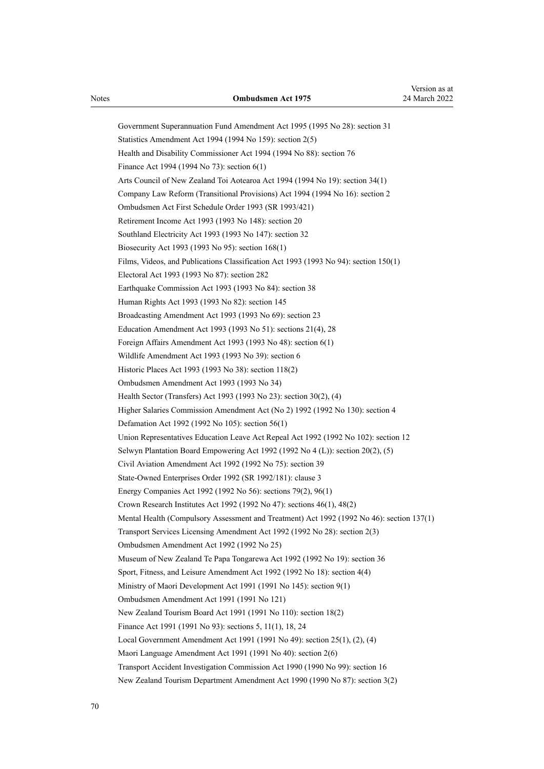Government Superannuation Fund Amendment Act 1995 (1995 No 28): [section 31](http://legislation.govt.nz/pdflink.aspx?id=DLM366271) Statistics Amendment Act 1994 (1994 No 159): [section 2\(5\)](http://legislation.govt.nz/pdflink.aspx?id=DLM347442) Health and Disability Commissioner Act 1994 (1994 No 88): [section 76](http://legislation.govt.nz/pdflink.aspx?id=DLM334174) Finance Act 1994 (1994 No 73): [section 6\(1\)](http://legislation.govt.nz/pdflink.aspx?id=DLM332898) Arts Council of New Zealand Toi Aotearoa Act 1994 (1994 No 19): [section 34\(1\)](http://legislation.govt.nz/pdflink.aspx?id=DLM330648) Company Law Reform (Transitional Provisions) Act 1994 (1994 No 16): [section 2](http://legislation.govt.nz/pdflink.aspx?id=DLM328986) [Ombudsmen Act First Schedule Order 1993](http://legislation.govt.nz/pdflink.aspx?id=DLM184886) (SR 1993/421) Retirement Income Act 1993 (1993 No 148): section 20 Southland Electricity Act 1993 (1993 No 147): [section 32](http://legislation.govt.nz/pdflink.aspx?id=DLM328925) Biosecurity Act 1993 (1993 No 95): [section 168\(1\)](http://legislation.govt.nz/pdflink.aspx?id=DLM316769) Films, Videos, and Publications Classification Act 1993 (1993 No 94): [section 150\(1\)](http://legislation.govt.nz/pdflink.aspx?id=DLM314425) Electoral Act 1993 (1993 No 87): [section 282](http://legislation.govt.nz/pdflink.aspx?id=DLM310826) Earthquake Commission Act 1993 (1993 No 84): [section 38](http://legislation.govt.nz/pdflink.aspx?id=DLM306786) Human Rights Act 1993 (1993 No 82): [section 145](http://legislation.govt.nz/pdflink.aspx?id=DLM305710) Broadcasting Amendment Act 1993 (1993 No 69): [section 23](http://legislation.govt.nz/pdflink.aspx?id=DLM304208) Education Amendment Act 1993 (1993 No 51): [sections 21\(4\)](http://legislation.govt.nz/pdflink.aspx?id=DLM302615), [28](http://legislation.govt.nz/pdflink.aspx?id=DLM302623) Foreign Affairs Amendment Act 1993 (1993 No 48): [section 6\(1\)](http://legislation.govt.nz/pdflink.aspx?id=DLM302525) Wildlife Amendment Act 1993 (1993 No 39): section 6 Historic Places Act 1993 (1993 No 38): [section 118\(2\)](http://legislation.govt.nz/pdflink.aspx?id=DLM301645) Ombudsmen Amendment Act 1993 (1993 No 34) Health Sector (Transfers) Act 1993 (1993 No 23): [section 30\(2\), \(4\)](http://legislation.govt.nz/pdflink.aspx?id=DLM295176) Higher Salaries Commission Amendment Act (No 2) 1992 (1992 No 130): section 4 Defamation Act 1992 (1992 No 105): [section 56\(1\)](http://legislation.govt.nz/pdflink.aspx?id=DLM281277) Union Representatives Education Leave Act Repeal Act 1992 (1992 No 102): [section 12](http://legislation.govt.nz/pdflink.aspx?id=DLM280654) Selwyn Plantation Board Empowering Act 1992 (1992 No 4 (L)): [section 20\(2\), \(5\)](http://legislation.govt.nz/pdflink.aspx?id=DLM80697) Civil Aviation Amendment Act 1992 (1992 No 75): [section 39](http://legislation.govt.nz/pdflink.aspx?id=DLM269410) State-Owned Enterprises Order 1992 (SR 1992/181): [clause 3](http://legislation.govt.nz/pdflink.aspx?id=DLM165477) Energy Companies Act 1992 (1992 No 56): [sections 79\(2\),](http://legislation.govt.nz/pdflink.aspx?id=DLM268363) [96\(1\)](http://legislation.govt.nz/pdflink.aspx?id=DLM268395) Crown Research Institutes Act 1992 (1992 No 47): [sections 46\(1\),](http://legislation.govt.nz/pdflink.aspx?id=DLM265666) [48\(2\)](http://legislation.govt.nz/pdflink.aspx?id=DLM265669) Mental Health (Compulsory Assessment and Treatment) Act 1992 (1992 No 46): [section 137\(1\)](http://legislation.govt.nz/pdflink.aspx?id=DLM264250) Transport Services Licensing Amendment Act 1992 (1992 No 28): section 2(3) Ombudsmen Amendment Act 1992 (1992 No 25) Museum of New Zealand Te Papa Tongarewa Act 1992 (1992 No 19): [section 36](http://legislation.govt.nz/pdflink.aspx?id=DLM260283) Sport, Fitness, and Leisure Amendment Act 1992 (1992 No 18): section 4(4) Ministry of Maori Development Act 1991 (1991 No 145): [section 9\(1\)](http://legislation.govt.nz/pdflink.aspx?id=DLM257786) Ombudsmen Amendment Act 1991 (1991 No 121) New Zealand Tourism Board Act 1991 (1991 No 110): [section 18\(2\)](http://legislation.govt.nz/pdflink.aspx?id=DLM249395) Finance Act 1991 (1991 No 93): [sections 5](http://legislation.govt.nz/pdflink.aspx?id=DLM248290), [11\(1\)](http://legislation.govt.nz/pdflink.aspx?id=DLM248706), [18,](http://legislation.govt.nz/pdflink.aspx?id=DLM248720) [24](http://legislation.govt.nz/pdflink.aspx?id=DLM248734) Local Government Amendment Act 1991 (1991 No 49): section 25(1), (2), (4) Maori Language Amendment Act 1991 (1991 No 40): section 2(6) Transport Accident Investigation Commission Act 1990 (1990 No 99): [section 16](http://legislation.govt.nz/pdflink.aspx?id=DLM221899) New Zealand Tourism Department Amendment Act 1990 (1990 No 87): section 3(2)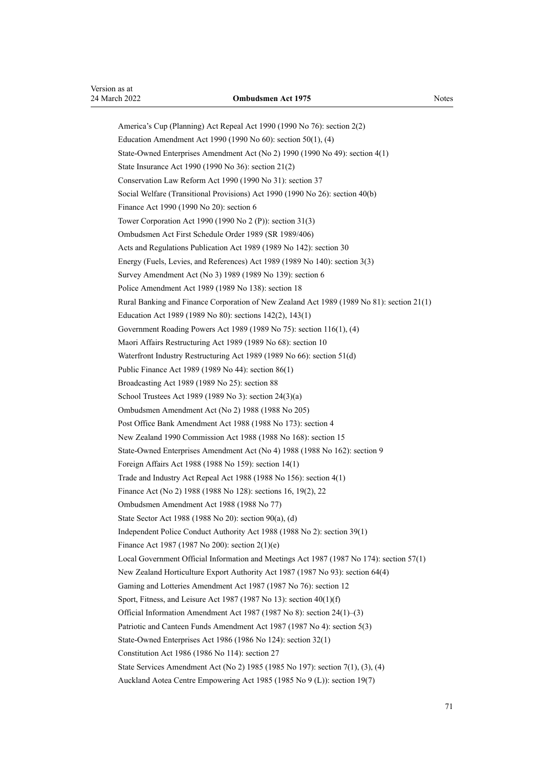America's Cup (Planning) Act Repeal Act 1990 (1990 No 76): [section 2\(2\)](http://legislation.govt.nz/pdflink.aspx?id=DLM214603) Education Amendment Act 1990 (1990 No 60): section 50(1), (4) State-Owned Enterprises Amendment Act (No 2) 1990 (1990 No 49): [section 4\(1\)](http://legislation.govt.nz/pdflink.aspx?id=DLM210987) State Insurance Act 1990 (1990 No 36): [section 21\(2\)](http://legislation.govt.nz/pdflink.aspx?id=DLM210424) Conservation Law Reform Act 1990 (1990 No 31): [section 37](http://legislation.govt.nz/pdflink.aspx?id=DLM208750) Social Welfare (Transitional Provisions) Act 1990 (1990 No 26): [section 40\(b\)](http://legislation.govt.nz/pdflink.aspx?id=DLM204542) Finance Act 1990 (1990 No 20): [section 6](http://legislation.govt.nz/pdflink.aspx?id=DLM203569) Tower Corporation Act 1990 (1990 No 2 (P)): [section 31\(3\)](http://legislation.govt.nz/pdflink.aspx?id=DLM114551) [Ombudsmen Act First Schedule Order 1989](http://legislation.govt.nz/pdflink.aspx?id=DLM134792) (SR 1989/406) Acts and Regulations Publication Act 1989 (1989 No 142): [section 30](http://legislation.govt.nz/pdflink.aspx?id=DLM195514) Energy (Fuels, Levies, and References) Act 1989 (1989 No 140): [section 3\(3\)](http://legislation.govt.nz/pdflink.aspx?id=DLM194765) Survey Amendment Act (No 3) 1989 (1989 No 139): section 6 Police Amendment Act 1989 (1989 No 138): section 18 Rural Banking and Finance Corporation of New Zealand Act 1989 (1989 No 81): [section 21\(1\)](http://legislation.govt.nz/pdflink.aspx?id=DLM191709) Education Act 1989 (1989 No 80): [sections 142\(2\),](http://legislation.govt.nz/pdflink.aspx?id=DLM182043) [143\(1\)](http://legislation.govt.nz/pdflink.aspx?id=DLM182044) Government Roading Powers Act 1989 (1989 No 75): [section 116\(1\), \(4\)](http://legislation.govt.nz/pdflink.aspx?id=DLM175926) Maori Affairs Restructuring Act 1989 (1989 No 68): [section 10](http://legislation.govt.nz/pdflink.aspx?id=DLM170435) Waterfront Industry Restructuring Act 1989 (1989 No 66): [section 51\(d\)](http://legislation.govt.nz/pdflink.aspx?id=DLM169930) Public Finance Act 1989 (1989 No 44): [section 86\(1\)](http://legislation.govt.nz/pdflink.aspx?id=DLM163175) Broadcasting Act 1989 (1989 No 25): [section 88](http://legislation.govt.nz/pdflink.aspx?id=DLM158930) School Trustees Act 1989 (1989 No 3): section 24(3)(a) Ombudsmen Amendment Act (No 2) 1988 (1988 No 205) Post Office Bank Amendment Act 1988 (1988 No 173): section 4 New Zealand 1990 Commission Act 1988 (1988 No 168): section 15 State-Owned Enterprises Amendment Act (No 4) 1988 (1988 No 162): section 9 Foreign Affairs Act 1988 (1988 No 159): [section 14\(1\)](http://legislation.govt.nz/pdflink.aspx?id=DLM138741) Trade and Industry Act Repeal Act 1988 (1988 No 156): [section 4\(1\)](http://legislation.govt.nz/pdflink.aspx?id=DLM137557) Finance Act (No 2) 1988 (1988 No 128): [sections 16](http://legislation.govt.nz/pdflink.aspx?id=DLM136164), [19\(2\)](http://legislation.govt.nz/pdflink.aspx?id=DLM136170), [22](http://legislation.govt.nz/pdflink.aspx?id=DLM136179) Ombudsmen Amendment Act 1988 (1988 No 77) State Sector Act 1988 (1988 No 20): [section 90\(a\), \(d\)](http://legislation.govt.nz/pdflink.aspx?id=DLM130377) Independent Police Conduct Authority Act 1988 (1988 No 2): [section 39\(1\)](http://legislation.govt.nz/pdflink.aspx?id=DLM126524) Finance Act 1987 (1987 No 200): [section 2\(1\)\(e\)](http://legislation.govt.nz/pdflink.aspx?id=DLM125656) Local Government Official Information and Meetings Act 1987 (1987 No 174): [section 57\(1\)](http://legislation.govt.nz/pdflink.aspx?id=DLM123614) New Zealand Horticulture Export Authority Act 1987 (1987 No 93): [section 64\(4\)](http://legislation.govt.nz/pdflink.aspx?id=DLM118177) Gaming and Lotteries Amendment Act 1987 (1987 No 76): section 12 Sport, Fitness, and Leisure Act 1987 (1987 No 13): [section 40\(1\)\(f\)](http://legislation.govt.nz/pdflink.aspx?id=DLM102238) Official Information Amendment Act 1987 (1987 No 8): section 24(1)–(3) Patriotic and Canteen Funds Amendment Act 1987 (1987 No 4): section 5(3) State-Owned Enterprises Act 1986 (1986 No 124): [section 32\(1\)](http://legislation.govt.nz/pdflink.aspx?id=DLM98437) Constitution Act 1986 (1986 No 114): [section 27](http://legislation.govt.nz/pdflink.aspx?id=DLM94261) State Services Amendment Act (No 2) 1985 (1985 No 197): section 7(1), (3), (4) Auckland Aotea Centre Empowering Act 1985 (1985 No 9 (L)): [section 19\(7\)](http://legislation.govt.nz/pdflink.aspx?id=DLM77330)